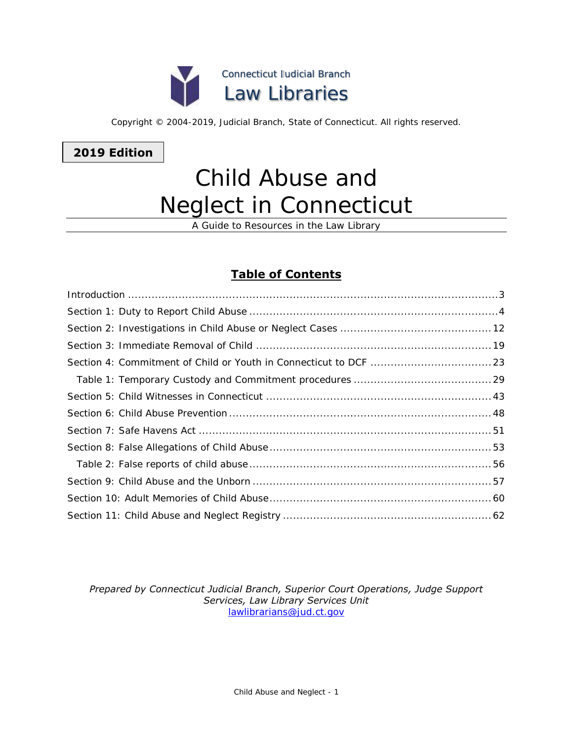

Copyright © 2004-2019, Judicial Branch, State of Connecticut. All rights reserved.

**2019 Edition**

# Child Abuse and Neglect in Connecticut

A Guide to Resources in the Law Library

# **Table of Contents**

| $Introduction \dots 3$ |  |
|------------------------|--|
|                        |  |
|                        |  |
|                        |  |
|                        |  |
|                        |  |
|                        |  |
|                        |  |
|                        |  |
|                        |  |
|                        |  |
|                        |  |
|                        |  |
|                        |  |

### *Prepared by Connecticut Judicial Branch, Superior Court Operations, Judge Support Services, Law Library Services Unit* [lawlibrarians@jud.ct.gov](mailto:lawlibrarians@jud.ct.gov)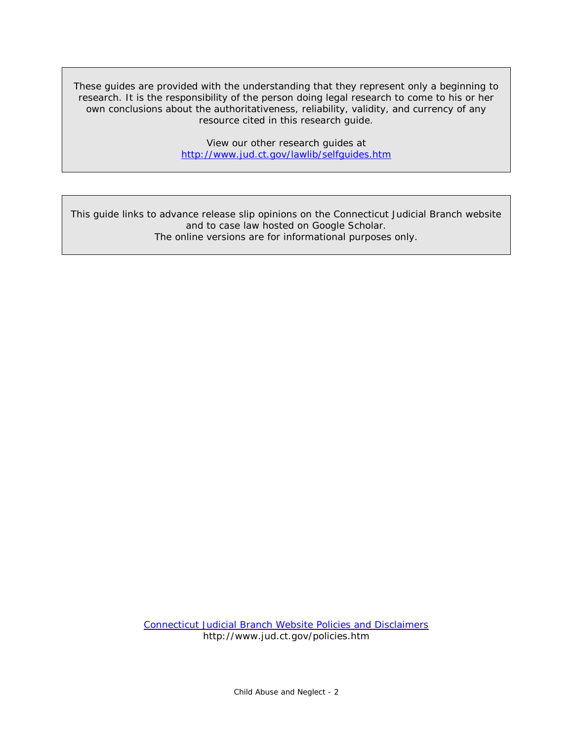These guides are provided with the understanding that they represent only a beginning to research. It is the responsibility of the person doing legal research to come to his or her own conclusions about the authoritativeness, reliability, validity, and currency of any resource cited in this research guide.

> View our other research guides at <http://www.jud.ct.gov/lawlib/selfguides.htm>

This guide links to advance release slip opinions on the Connecticut Judicial Branch website and to case law hosted on Google Scholar. The online versions are for informational purposes only.

> [Connecticut Judicial Branch Website Policies and Disclaimers](http://www.jud.ct.gov/policies.htm) http://www.jud.ct.gov/policies.htm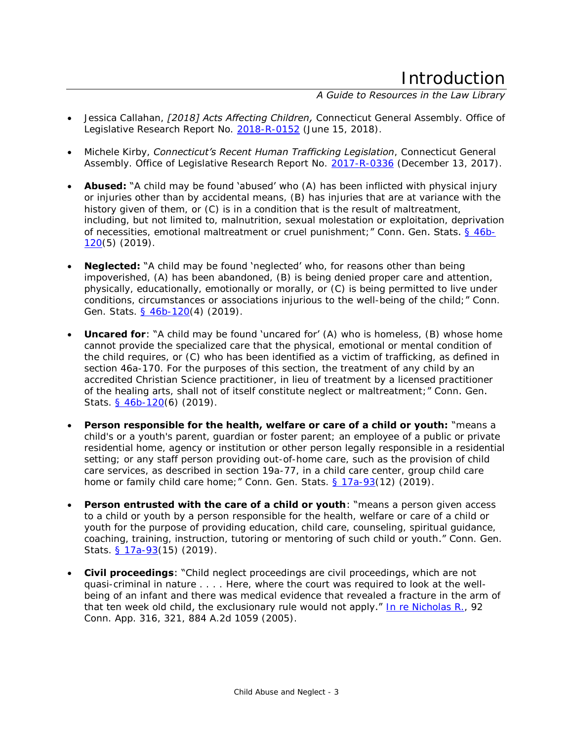# Introduction

# *A Guide to Resources in the Law Library*

- <span id="page-2-0"></span> Jessica Callahan, *[2018] Acts Affecting Children,* Connecticut General Assembly. Office of Legislative Research Report No. [2018-R-0152](https://www.cga.ct.gov/2018/rpt/pdf/2018-R-0152.pdf) (June 15, 2018).
- Michele Kirby, *Connecticut's Recent Human Trafficking Legislation*, Connecticut General Assembly. Office of Legislative Research Report No. [2017-R-0336](https://www.cga.ct.gov/2017/rpt/pdf/2017-R-0336.pdf) (December 13, 2017).
- **Abused:** "A child may be found 'abused' who (A) has been inflicted with physical injury or injuries other than by accidental means, (B) has injuries that are at variance with the history given of them, or (C) is in a condition that is the result of maltreatment, including, but not limited to, malnutrition, sexual molestation or exploitation, deprivation of necessities, emotional maltreatment or cruel punishment;" Conn. Gen. Stats. [§ 46b-](http://www.cga.ct.gov/current/pub/chap_815t.htm#sec_46b-120)[120\(](http://www.cga.ct.gov/current/pub/chap_815t.htm#sec_46b-120)5) (2019).
- **Neglected:** "A child may be found 'neglected' who, for reasons other than being impoverished, (A) has been abandoned, (B) is being denied proper care and attention, physically, educationally, emotionally or morally, or (C) is being permitted to live under conditions, circumstances or associations injurious to the well-being of the child;" Conn. Gen. Stats. [§ 46b-120\(](http://www.cga.ct.gov/current/pub/chap_815t.htm#sec_46b-120)4) (2019).
- **Uncared for:** "A child may be found 'uncared for' (A) who is homeless, (B) whose home cannot provide the specialized care that the physical, emotional or mental condition of the child requires, or (C) who has been identified as a victim of trafficking, as defined in section 46a-170. For the purposes of this section, the treatment of any child by an accredited Christian Science practitioner, in lieu of treatment by a licensed practitioner of the healing arts, shall not of itself constitute neglect or maltreatment;" Conn. Gen. Stats. [§ 46b-120\(](http://www.cga.ct.gov/current/pub/chap_815t.htm#sec_46b-120)6) (2019).
- **Person responsible for the health, welfare or care of a child or youth:** "means a child's or a youth's parent, guardian or foster parent; an employee of a public or private residential home, agency or institution or other person legally responsible in a residential setting; or any staff person providing out-of-home care, such as the provision of child care services, as described in section 19a-77, in a child care center, group child care home or family child care home;" Conn. Gen. Stats.  $§ 17a-93(12)$  (2019).
- **Person entrusted with the care of a child or youth:** "means a person given access to a child or youth by a person responsible for the health, welfare or care of a child or youth for the purpose of providing education, child care, counseling, spiritual guidance, coaching, training, instruction, tutoring or mentoring of such child or youth." Conn. Gen. Stats. [§ 17a-93\(](http://www.cga.ct.gov/current/pub/chap_319a.htm#sec_17a-93)15) (2019).
- **Civil proceedings**: "Child neglect proceedings are civil proceedings, which are not quasi-criminal in nature . . . . Here, where the court was required to look at the wellbeing of an infant and there was medical evidence that revealed a fracture in the arm of that ten week old child, the exclusionary rule would not apply." [In re Nicholas R.,](http://scholar.google.com/scholar_case?case=10352055443779272043) 92 Conn. App. 316, 321, 884 A.2d 1059 (2005).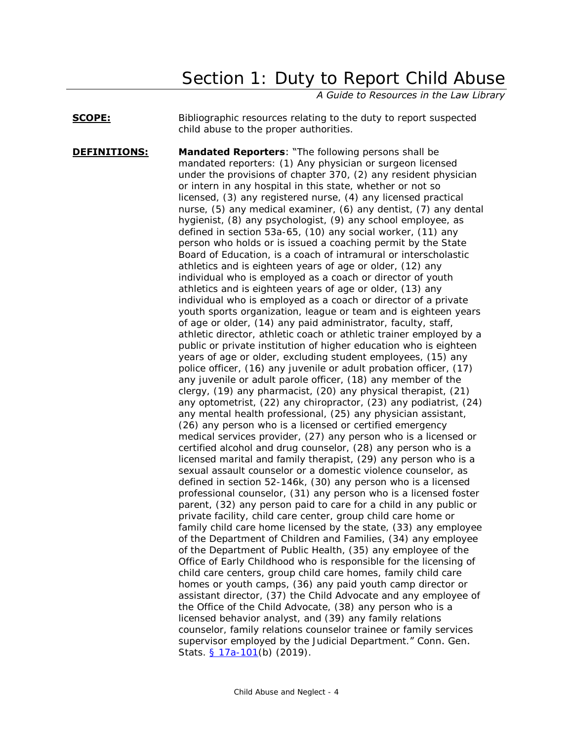# Section 1: Duty to Report Child Abuse

*A Guide to Resources in the Law Library*

# <span id="page-3-0"></span>**SCOPE:** Bibliographic resources relating to the duty to report suspected child abuse to the proper authorities.

**DEFINITIONS:** Mandated Reporters: "The following persons shall be mandated reporters: (1) Any physician or surgeon licensed under the provisions of chapter 370, (2) any resident physician or intern in any hospital in this state, whether or not so licensed, (3) any registered nurse, (4) any licensed practical nurse, (5) any medical examiner, (6) any dentist, (7) any dental hygienist, (8) any psychologist, (9) any school employee, as defined in section 53a-65, (10) any social worker, (11) any person who holds or is issued a coaching permit by the State Board of Education, is a coach of intramural or interscholastic athletics and is eighteen years of age or older, (12) any individual who is employed as a coach or director of youth athletics and is eighteen years of age or older, (13) any individual who is employed as a coach or director of a private youth sports organization, league or team and is eighteen years of age or older, (14) any paid administrator, faculty, staff, athletic director, athletic coach or athletic trainer employed by a public or private institution of higher education who is eighteen years of age or older, excluding student employees, (15) any police officer, (16) any juvenile or adult probation officer, (17) any juvenile or adult parole officer, (18) any member of the clergy, (19) any pharmacist, (20) any physical therapist, (21) any optometrist, (22) any chiropractor, (23) any podiatrist, (24) any mental health professional, (25) any physician assistant, (26) any person who is a licensed or certified emergency medical services provider, (27) any person who is a licensed or certified alcohol and drug counselor, (28) any person who is a licensed marital and family therapist, (29) any person who is a sexual assault counselor or a domestic violence counselor, as defined in section 52-146k, (30) any person who is a licensed professional counselor, (31) any person who is a licensed foster parent, (32) any person paid to care for a child in any public or private facility, child care center, group child care home or family child care home licensed by the state, (33) any employee of the Department of Children and Families, (34) any employee of the Department of Public Health, (35) any employee of the Office of Early Childhood who is responsible for the licensing of child care centers, group child care homes, family child care homes or youth camps, (36) any paid youth camp director or assistant director, (37) the Child Advocate and any employee of the Office of the Child Advocate, (38) any person who is a licensed behavior analyst, and (39) any family relations counselor, family relations counselor trainee or family services supervisor employed by the Judicial Department." Conn. Gen. Stats. [§ 17a-101\(](https://www.cga.ct.gov/current/pub/chap_319a.htm#sec_17a-101)b) (2019).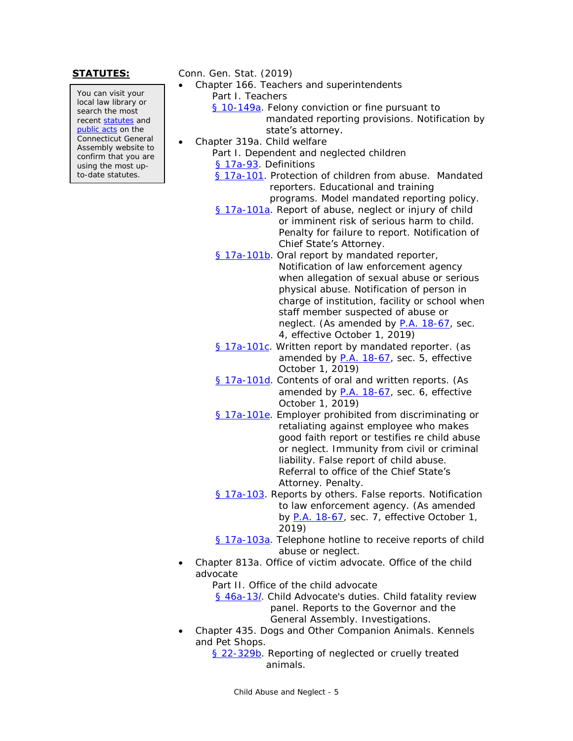You can visit your local law library or search the most recent [statutes](http://search.cga.state.ct.us/r/statute/dtsearch_form.asp) and [public acts](http://search.cga.state.ct.us/r/adv/dtsearch_form.asp) on the Connecticut General Assembly website to confirm that you are using the most upto-date statutes.

**STATUTES:** Conn. Gen. Stat. (2019)

- Chapter 166. Teachers and superintendents Part I. Teachers
	- [§ 10-149a.](http://www.cga.ct.gov/current/pub/chap_166.htm#sec_10-149a) Felony conviction or fine pursuant to mandated reporting provisions. Notification by state's attorney.
- Chapter 319a. Child welfare
	- Part I. Dependent and neglected children [§ 17a-93.](https://www.cga.ct.gov/current/pub/chap_319a.htm#sec_17a-93) Definitions
		- [§ 17a-101.](https://www.cga.ct.gov/current/pub/chap_319a.htm#sec_17a-101) Protection of children from abuse. Mandated reporters. Educational and training programs. Model mandated reporting policy.
		- [§ 17a-101a.](https://www.cga.ct.gov/current/pub/chap_319a.htm#sec_17a-101a) Report of abuse, neglect or injury of child or imminent risk of serious harm to child. Penalty for failure to report. Notification of Chief State's Attorney.
		- [§ 17a-101b.](https://www.cga.ct.gov/current/pub/chap_319a.htm#sec_17a-101b) Oral report by mandated reporter, Notification of law enforcement agency when allegation of sexual abuse or serious physical abuse. Notification of person in charge of institution, facility or school when staff member suspected of abuse or neglect. (As amended by [P.A. 18-67,](https://www.cga.ct.gov/2018/ACT/pa/pdf/2018PA-00067-R00SB-00315-PA.pdf) sec. 4, effective October 1, 2019)
		- [§ 17a-101c.](http://www.cga.ct.gov/current/pub/chap_319a.htm#sec_17a-101c) Written report by mandated reporter. (as amended by [P.A. 18-67,](https://www.cga.ct.gov/2018/ACT/pa/pdf/2018PA-00067-R00SB-00315-PA.pdf) sec. 5, effective October 1, 2019)
		- [§ 17a-101d.](http://www.cga.ct.gov/current/pub/chap_319a.htm#sec_17a-101d) Contents of oral and written reports. (As amended by [P.A. 18-67,](https://www.cga.ct.gov/2018/ACT/pa/pdf/2018PA-00067-R00SB-00315-PA.pdf) sec. 6, effective October 1, 2019)
		- [§ 17a-101e.](https://www.cga.ct.gov/current/pub/chap_319a.htm#sec_17a-101e) Employer prohibited from discriminating or retaliating against employee who makes good faith report or testifies re child abuse or neglect. Immunity from civil or criminal liability. False report of child abuse. Referral to office of the Chief State's

Attorney. Penalty.

[§ 17a-103.](http://www.cga.ct.gov/current/pub/chap_319a.htm#sec_17a-103) Reports by others. False reports. Notification to law enforcement agency. (As amended

by [P.A. 18-67,](https://www.cga.ct.gov/2018/ACT/pa/pdf/2018PA-00067-R00SB-00315-PA.pdf) sec. 7, effective October 1, 2019)

- [§ 17a-103a.](http://www.cga.ct.gov/current/pub/chap_319a.htm#sec_17a-103a) Telephone hotline to receive reports of child abuse or neglect.
- Chapter 813a. Office of victim advocate. Office of the child advocate
	- Part II. Office of the child advocate

[§ 46a-13](http://www.cga.ct.gov/current/pub/chap_813a.htm#sec_46a-13L)*l*. Child Advocate's duties. Child fatality review panel. Reports to the Governor and the General Assembly. Investigations.

 Chapter 435. Dogs and Other Companion Animals. Kennels and Pet Shops.

[§ 22-329b.](http://www.cga.ct.gov/current/pub/chap_435.htm#sec_22-329b) Reporting of neglected or cruelly treated animals.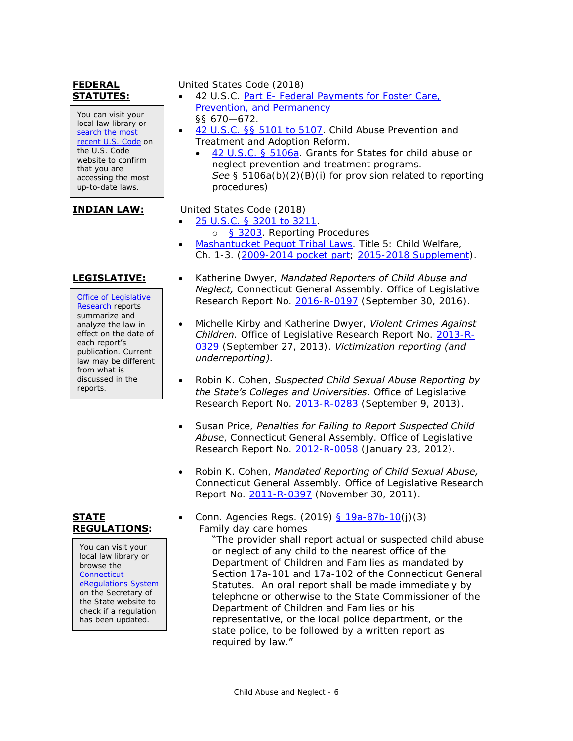# **FEDERAL STATUTES:**

You can visit your local law library or search the most [recent U.S. Code](http://uscode.house.gov/) on the U.S. Code website to confirm that you are accessing the most up-to-date laws.

[Office of Legislative](http://www.cga.ct.gov/olr/default.asp)  [Research](http://www.cga.ct.gov/olr/default.asp) reports summarize and analyze the law in effect on the date of each report's publication. Current law may be different from what is discussed in the reports.

# **STATE REGULATIONS:**

You can visit your local law library or browse the **Connecticut** [eRegulations System](https://eregulations.ct.gov/eRegsPortal/) on the Secretary of the State website to check if a regulation has been updated.

# United States Code (2018)

- 42 U.S.C. Part E- [Federal Payments for Foster Care,](https://www.law.cornell.edu/uscode/text/42/chapter-7/subchapter-IV/part-E)  [Prevention, and Permanency](https://www.law.cornell.edu/uscode/text/42/chapter-7/subchapter-IV/part-E) §§ 670—672.
- [42 U.S.C. §§ 5101 to 5107.](http://www.law.cornell.edu/uscode/text/42/chapter-67/subchapter-I) Child Abuse Prevention and Treatment and Adoption Reform.
	- [42 U.S.C. § 5106a.](http://www.law.cornell.edu/uscode/text/42/5106a) Grants for States for child abuse or neglect prevention and treatment programs. *See* § 5106a(b)(2)(B)(i) for provision related to reporting procedures)

# **INDIAN LAW:** United States Code (2018)

- [25 U.S.C. § 3201 to 3211.](http://www.law.cornell.edu/uscode/text/25/chapter-34)
- o [§ 3203.](http://www.law.cornell.edu/uscode/text/25/3203) Reporting Procedures [Mashantucket Pequot Tribal Laws.](http://www.mptnlaw.com/TribalLaws.htm) Title 5: Child Welfare, Ch. 1-3. [\(2009-2014 pocket part;](http://www.mptnlaw.com/laws/2009-2014%20Pocket%20Part%20to%202008%20Tribal%20Laws%20(Vol%20%201).pdf) [2015-2018 Supplement\)](http://www.mptnlaw.com/laws/MPTL%20ONLINE%20SUPPLEMENT%202015-2018%20(09%2024%202018).pdf).
- **LEGISLATIVE:** Katherine Dwyer, Mandated Reporters of Child Abuse and *Neglect,* Connecticut General Assembly. Office of Legislative Research Report No. [2016-R-0197](https://www.cga.ct.gov/2016/rpt/pdf/2016-R-0197.pdf) (September 30, 2016).
	- Michelle Kirby and Katherine Dwyer, *Violent Crimes Against Children*. Office of Legislative Research Report No. [2013-R-](http://www.cga.ct.gov/2013/rpt/pdf/2013-R-0329.pdf)[0329](http://www.cga.ct.gov/2013/rpt/pdf/2013-R-0329.pdf) (September 27, 2013). *Victimization reporting (and underreporting).*
	- Robin K. Cohen, *Suspected Child Sexual Abuse Reporting by the State's Colleges and Universities*. Office of Legislative Research Report No. [2013-R-0283](http://www.cga.ct.gov/2013/rpt/pdf/2013-R-0283.pdf) (September 9, 2013).
	- Susan Price, *Penalties for Failing to Report Suspected Child Abuse*, Connecticut General Assembly. Office of Legislative Research Report No. [2012-R-0058](http://www.cga.ct.gov/2012/rpt/2012-R-0058.htm) (January 23, 2012).
	- Robin K. Cohen, *Mandated Reporting of Child Sexual Abuse,*  Connecticut General Assembly. Office of Legislative Research Report No. [2011-R-0397](http://www.cga.ct.gov/2011/rpt/2011-R-0397.htm) (November 30, 2011).
	- Conn. Agencies Regs. (2019) [§ 19a-87b-10\(](https://eregulations.ct.gov/eRegsPortal/Browse/RCSA?id=Title%2019a|19a-87b|19a-87b-10|19a-87b-10)j)(3) Family day care homes

"The provider shall report actual or suspected child abuse or neglect of any child to the nearest office of the Department of Children and Families as mandated by Section 17a-101 and 17a-102 of the Connecticut General Statutes. An oral report shall be made immediately by telephone or otherwise to the State Commissioner of the Department of Children and Families or his representative, or the local police department, or the state police, to be followed by a written report as required by law."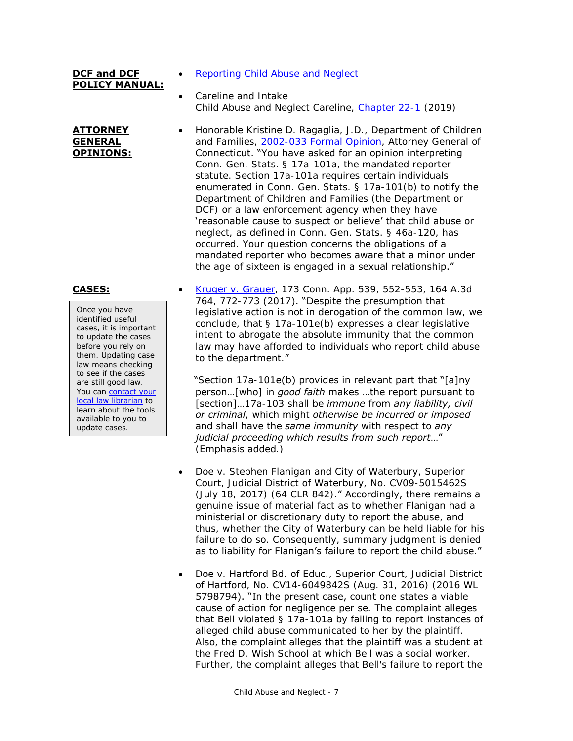# **DCF and DCF POLICY MANUAL:**

### **ATTORNEY GENERAL OPINIONS:**

Once you have identified useful cases, it is important to update the cases before you rely on them. Updating case law means checking to see if the cases are still good law. You can contact your [local law librarian](http://www.jud.ct.gov/lawlib/staff.htm) to learn about the tools available to you to update cases.

- [Reporting Child Abuse and Neglect](https://portal.ct.gov/DCF/1-DCF/Reporting-Child-Abuse-and-Neglect)
- Careline and Intake Child Abuse and Neglect Careline, [Chapter 22-1](https://portal.ct.gov/-/media/DCF/Policy/Chapters/22-1.pdf?la=en) (2019)
- Honorable Kristine D. Ragaglia, J.D., Department of Children and Families, [2002-033 Formal Opinion,](https://portal.ct.gov/AG/Opinions/2002-Formal-Opinions/Honorable-Kristine-D-Ragaglia-JD-Department-of-Children-and-Families-2002033-Formal-Opinion-Attorney) Attorney General of Connecticut. "You have asked for an opinion interpreting Conn. Gen. Stats. § 17a-101a, the mandated reporter statute. Section 17a-101a requires certain individuals enumerated in Conn. Gen. Stats. § 17a-101(b) to notify the Department of Children and Families (the Department or DCF) or a law enforcement agency when they have 'reasonable cause to suspect or believe' that child abuse or neglect, as defined in Conn. Gen. Stats. § 46a-120, has occurred. Your question concerns the obligations of a mandated reporter who becomes aware that a minor under the age of sixteen is engaged in a sexual relationship."

**CASES:** [Kruger v. Grauer,](https://scholar.google.com/scholar_case?case=5943586639125307303) 173 Conn. App. 539, 552-553, 164 A.3d 764, 772-773 (2017). "Despite the presumption that legislative action is not in derogation of the common law, we conclude, that § 17a-101e(b) expresses a clear legislative intent to abrogate the absolute immunity that the common law may have afforded to individuals who report child abuse to the department."

> "Section 17a-101e(b) provides in relevant part that "[a]ny person…[who] in *good faith* makes …the report pursuant to [section]…17a-103 shall be *immune* from *any liability, civil or criminal*, which might *otherwise be incurred or imposed* and shall have the *same immunity* with respect to *any judicial proceeding which results from such report*…" (Emphasis added.)

- Doe v. Stephen Flanigan and City of Waterbury, Superior Court, Judicial District of Waterbury, No. CV09-5015462S (July 18, 2017) (64 CLR 842)." Accordingly, there remains a genuine issue of material fact as to whether Flanigan had a ministerial or discretionary duty to report the abuse, and thus, whether the City of Waterbury can be held liable for his failure to do so. Consequently, summary judgment is denied as to liability for Flanigan's failure to report the child abuse."
- Doe v. Hartford Bd. of Educ., Superior Court, Judicial District of Hartford, No. CV14-6049842S (Aug. 31, 2016) (2016 WL 5798794). "In the present case, count one states a viable cause of action for negligence per se. The complaint alleges that Bell violated § 17a-101a by failing to report instances of alleged child abuse communicated to her by the plaintiff. Also, the complaint alleges that the plaintiff was a student at the Fred D. Wish School at which Bell was a social worker. Further, the complaint alleges that Bell's failure to report the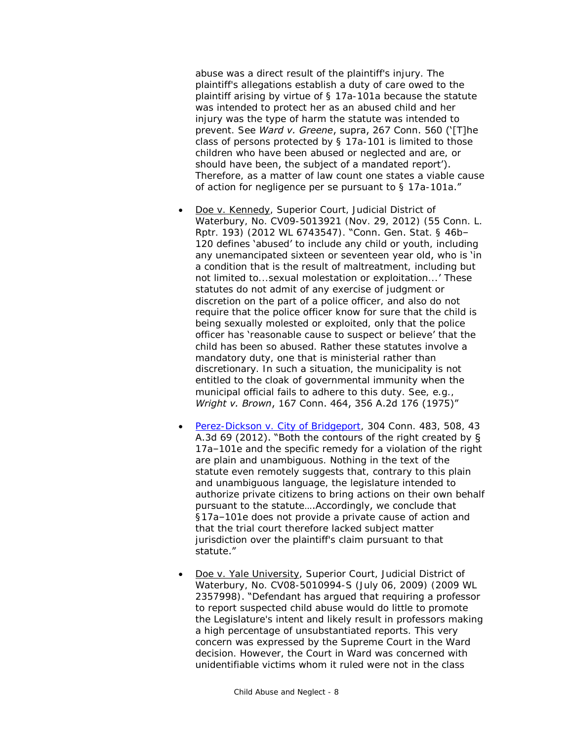abuse was a direct result of the plaintiff's injury. The plaintiff's allegations establish a duty of care owed to the plaintiff arising by virtue of § 17a-101a because the statute was intended to protect her as an abused child and her injury was the type of harm the statute was intended to prevent. See *Ward v. Greene*, supra, 267 Conn. 560 ('[T]he class of persons protected by § 17a-101 is limited to those children who have been abused or neglected and are, or should have been, the subject of a mandated report'). Therefore, as a matter of law count one states a viable cause of action for negligence per se pursuant to  $\S$  17a-101a."

- Doe v. Kennedy, Superior Court, Judicial District of Waterbury, No. CV09-5013921 (Nov. 29, 2012) (55 Conn. L. Rptr. 193) (2012 WL 6743547). "Conn. Gen. Stat. § 46b– 120 defines 'abused' to include any child or youth, including any unemancipated sixteen or seventeen year old, who is 'in a condition that is the result of maltreatment, including but not limited to...sexual molestation or exploitation...' These statutes do not admit of any exercise of judgment or discretion on the part of a police officer, and also do not require that the police officer know for sure that the child is being sexually molested or exploited, only that the police officer has 'reasonable cause to suspect or believe' that the child has been so abused. Rather these statutes involve a mandatory duty, one that is ministerial rather than discretionary. In such a situation, the municipality is not entitled to the cloak of governmental immunity when the municipal official fails to adhere to this duty. See, e.g., *Wright v. Brown*, 167 Conn. 464, 356 A.2d 176 (1975)"
- [Perez-Dickson v. City of Bridgeport,](http://scholar.google.com/scholar_case?case=3644401836334116435) 304 Conn. 483, 508, 43 A.3d 69 (2012). "Both the contours of the right created by § 17a–101e and the specific remedy for a violation of the right are plain and unambiguous. Nothing in the text of the statute even remotely suggests that, contrary to this plain and unambiguous language, the legislature intended to authorize private citizens to bring actions on their own behalf pursuant to the statute….Accordingly, we conclude that §17a–101e does not provide a private cause of action and that the trial court therefore lacked subject matter jurisdiction over the plaintiff's claim pursuant to that statute."
- Doe v. Yale University, Superior Court, Judicial District of Waterbury, No. CV08-5010994-S (July 06, 2009) (2009 WL 2357998). "Defendant has argued that requiring a professor to report suspected child abuse would do little to promote the Legislature's intent and likely result in professors making a high percentage of unsubstantiated reports. This very concern was expressed by the Supreme Court in the Ward decision. However, the Court in Ward was concerned with unidentifiable victims whom it ruled were not in the class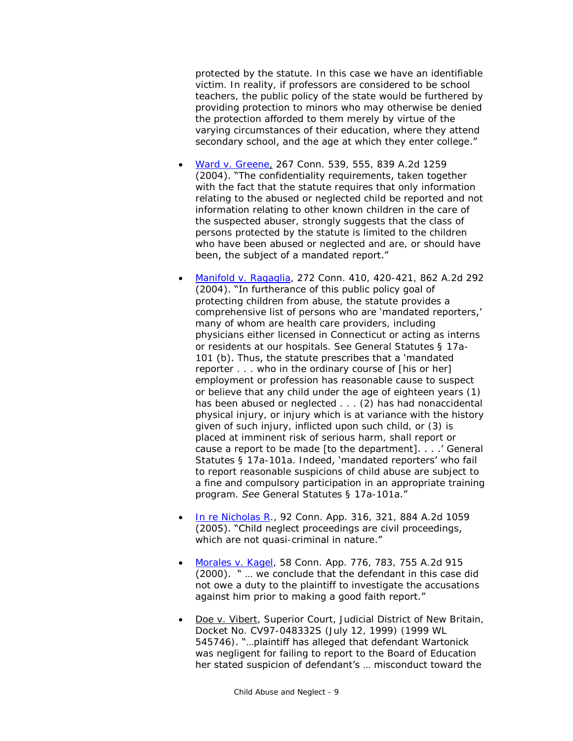protected by the statute. In this case we have an identifiable victim. In reality, if professors are considered to be school teachers, the public policy of the state would be furthered by providing protection to minors who may otherwise be denied the protection afforded to them merely by virtue of the varying circumstances of their education, where they attend secondary school, and the age at which they enter college."

- [Ward v. Greene,](http://scholar.google.com/scholar_case?case=2156186593122809816) 267 Conn. 539, 555, 839 A.2d 1259 (2004). "The confidentiality requirements, taken together with the fact that the statute requires that only information relating to the abused or neglected child be reported and not information relating to other known children in the care of the suspected abuser, strongly suggests that the class of persons protected by the statute is limited to the children who have been abused or neglected and are, or should have been, the subject of a mandated report."
- [Manifold v. Ragaglia,](http://scholar.google.com/scholar_case?case=4962563018927202832) 272 Conn. 410, 420-421, 862 A.2d 292 (2004). "In furtherance of this public policy goal of protecting children from abuse, the statute provides a comprehensive list of persons who are 'mandated reporters,' many of whom are health care providers, including physicians either licensed in Connecticut or acting as interns or residents at our hospitals. See General Statutes § 17a-101 (b). Thus, the statute prescribes that a 'mandated reporter . . . who in the ordinary course of [his or her] employment or profession has reasonable cause to suspect or believe that any child under the age of eighteen years (1) has been abused or neglected . . . (2) has had nonaccidental physical injury, or injury which is at variance with the history given of such injury, inflicted upon such child, or (3) is placed at imminent risk of serious harm, shall report or cause a report to be made [to the department]. . . .' General Statutes § 17a-101a. Indeed, 'mandated reporters' who fail to report reasonable suspicions of child abuse are subject to a fine and compulsory participation in an appropriate training program. *See* General Statutes § 17a-101a."
- [In re Nicholas R.](http://scholar.google.com/scholar_case?case=10352055443779272043), 92 Conn. App. 316, 321, 884 A.2d 1059 (2005). "Child neglect proceedings are civil proceedings, which are not quasi-criminal in nature."
- [Morales v. Kagel,](http://scholar.google.com/scholar_case?case=10224823424739019140) 58 Conn. App. 776, 783, 755 A.2d 915 (2000). " … we conclude that the defendant in this case did not owe a duty to the plaintiff to investigate the accusations against him prior to making a good faith report."
- Doe v. Vibert, Superior Court, Judicial District of New Britain, Docket No. CV97-048332S (July 12, 1999) (1999 WL 545746). "…plaintiff has alleged that defendant Wartonick was negligent for failing to report to the Board of Education her stated suspicion of defendant's … misconduct toward the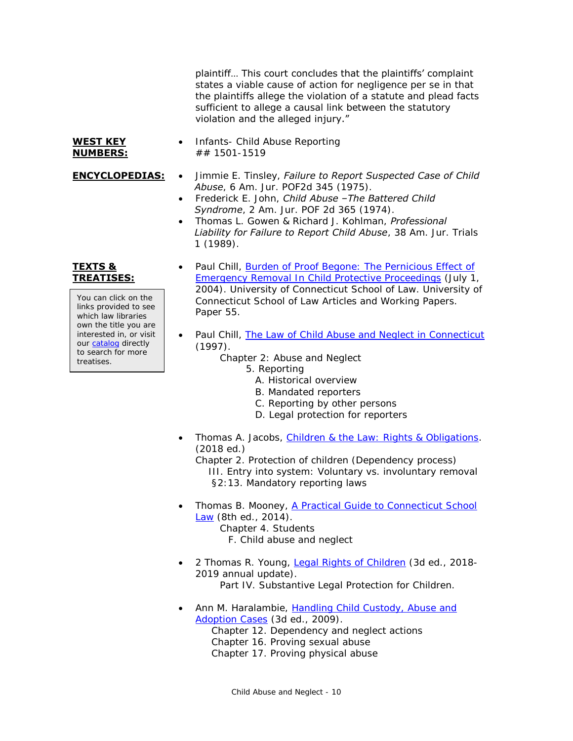plaintiff… This court concludes that the plaintiffs' complaint states a viable cause of action for negligence per se in that the plaintiffs allege the violation of a statute and plead facts sufficient to allege a causal link between the statutory violation and the alleged injury."

### **WEST KEY NUMBERS:**

- Infants- Child Abuse Reporting ## 1501-1519
- 
- **ENCYCLOPEDIAS:** . Jimmie E. Tinsley, *Failure to Report Suspected Case of Child Abuse*, 6 Am. Jur. POF2d 345 (1975).
	- Frederick E. John, *Child Abuse –The Battered Child Syndrome*, 2 Am. Jur. POF 2d 365 (1974).
	- Thomas L. Gowen & Richard J. Kohlman, *Professional Liability for Failure to Report Child Abuse*, 38 Am. Jur. Trials 1 (1989).

# **TEXTS & TREATISES:**

You can click on the links provided to see which law libraries own the title you are interested in, or visit our [catalog](http://csjd-agent.auto-graphics.com/MVC/) directly to search for more treatises.

- Paul Chill, Burden of Proof Begone: The Pernicious Effect of [Emergency Removal In Child Protective Proceedings](http://lsr.nellco.org/uconn/ucwps/papers/55/) (July 1, 2004). University of Connecticut School of Law. University of Connecticut School of Law Articles and Working Papers. Paper 55.
- Paul Chill, [The Law of Child Abuse and Neglect in Connecticut](http://lsr.nellco.org/uconn_wps/51/) (1997).
	- Chapter 2: Abuse and Neglect
		- 5. Reporting
			- A. Historical overview
			- B. Mandated reporters
			- C. Reporting by other persons
			- D. Legal protection for reporters
- Thomas A. Jacobs, [Children & the Law: Rights & Obligations.](http://csjd-agent.auto-graphics.com/mvc/PersistentLink?key=if5kb%2f7Dy08ER6IKGq6e9ApV2RhsRBqSiK3Pe5Y4BZU%3d) (2018 ed.)
	- Chapter 2. Protection of children (Dependency process) III. Entry into system: Voluntary vs. involuntary removal §2:13. Mandatory reporting laws
- Thomas B. Mooney, [A Practical Guide to Connecticut School](http://csjd-agent.auto-graphics.com/mvc/PersistentLink?key=XDGgrG8siqwa0FkGdGffqXnk6xyIVbxeYlhn4aoS4Dc%3d)  [Law](http://csjd-agent.auto-graphics.com/mvc/PersistentLink?key=XDGgrG8siqwa0FkGdGffqXnk6xyIVbxeYlhn4aoS4Dc%3d) (8th ed., 2014). Chapter 4. Students F. Child abuse and neglect
- 2 Thomas R. Young, [Legal Rights of Children](https://csjd-agent.auto-graphics.com/mvc/PersistentLink?key=2b0EAbCpvbU%2frVLMWO7v2u9SPNgxeCw5Lo7SWjIJpVE%3d) (3d ed., 2018- 2019 annual update). Part IV. Substantive Legal Protection for Children.
- Ann M. Haralambie, [Handling Child Custody, Abuse and](http://csjd-agent.auto-graphics.com/mvc/PersistentLink?key=IIo3p906pSMEv9xah4xxZ%2bMxPDY5x0%2fLwkpsPNwh5ns%3d)  [Adoption Cases](http://csjd-agent.auto-graphics.com/mvc/PersistentLink?key=IIo3p906pSMEv9xah4xxZ%2bMxPDY5x0%2fLwkpsPNwh5ns%3d) (3d ed., 2009).
	- Chapter 12. Dependency and neglect actions Chapter 16. Proving sexual abuse Chapter 17. Proving physical abuse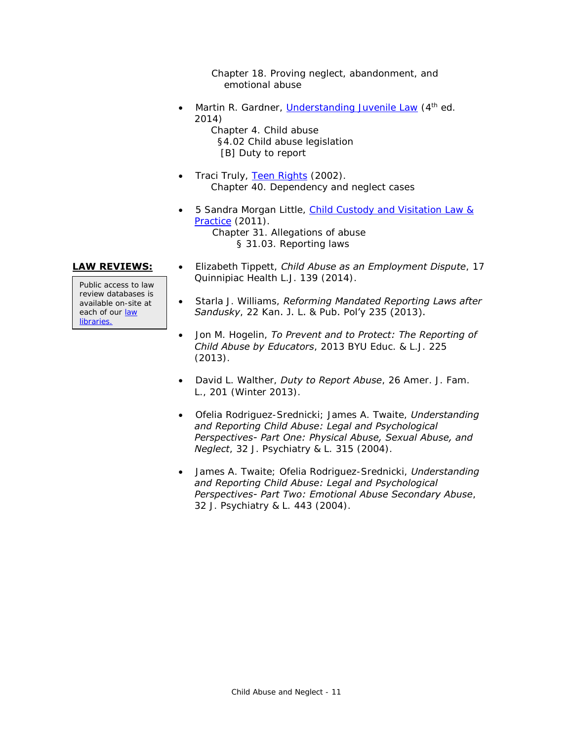Chapter 18. Proving neglect, abandonment, and emotional abuse

• Martin R. Gardner, [Understanding Juvenile Law](http://csjd-agent.auto-graphics.com/mvc/PersistentLink?key=ppSve93mXJAg%2bvlYBre2r%2bHqyJ2q%2bk8VOoDXxW%2bqrHs%3d) (4<sup>th</sup> ed. 2014) Chapter 4. Child abuse

 §4.02 Child abuse legislation [B] Duty to report

- Traci Truly, [Teen Rights](http://csjd-agent.auto-graphics.com/mvc/PersistentLink?key=FYqlkDqfLRMVlxBgh9IUow%3d%3d) (2002). Chapter 40. Dependency and neglect cases
- 5 Sandra Morgan Little, [Child Custody and Visitation Law &](http://csjd-agent.auto-graphics.com/mvc/PersistentLink?key=oqkKCY3ofYkSLrOKa82r8g%3d%3d)  [Practice](http://csjd-agent.auto-graphics.com/mvc/PersistentLink?key=oqkKCY3ofYkSLrOKa82r8g%3d%3d) (2011). Chapter 31. Allegations of abuse § 31.03. Reporting laws

Public access to law review databases is available on-site at each of our law [libraries.](https://www.jud.ct.gov/lawlib/staff.htm)

- **LAW REVIEWS:** Elizabeth Tippett, *Child Abuse as an Employment Dispute*, 17 Quinnipiac Health L.J. 139 (2014).
	- Starla J. Williams, *Reforming Mandated Reporting Laws after Sandusky*, 22 Kan. J. L. & Pub. Pol'y 235 (2013).
	- Jon M. Hogelin, *To Prevent and to Protect: The Reporting of Child Abuse by Educators*, 2013 BYU Educ. & L.J. 225 (2013).
	- David L. Walther, *Duty to Report Abuse*, 26 Amer. J. Fam. L., 201 (Winter 2013).
	- Ofelia Rodriguez-Srednicki; James A. Twaite, *Understanding and Reporting Child Abuse: Legal and Psychological Perspectives- Part One: Physical Abuse, Sexual Abuse, and Neglect*, 32 J. Psychiatry & L. 315 (2004).
	- James A. Twaite; Ofelia Rodriguez-Srednicki, *Understanding and Reporting Child Abuse: Legal and Psychological Perspectives- Part Two: Emotional Abuse Secondary Abuse*, 32 J. Psychiatry & L. 443 (2004).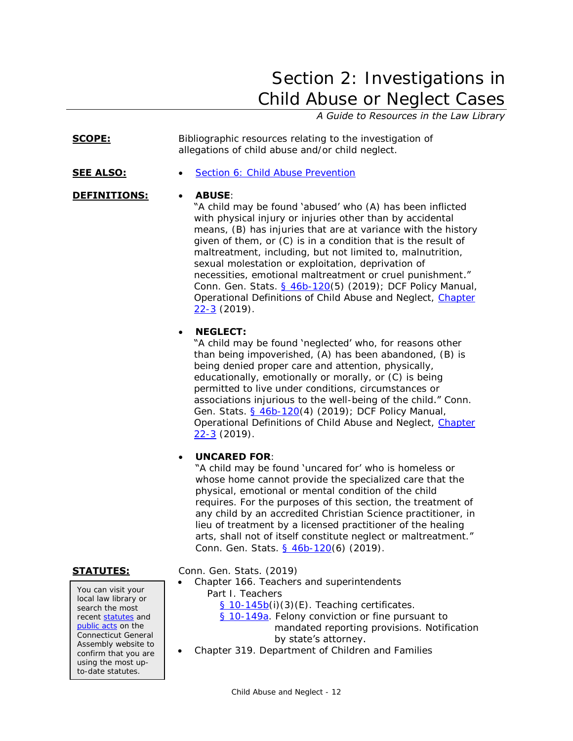# <span id="page-11-0"></span>Section 2: Investigations in Child Abuse or Neglect Cases

# *A Guide to Resources in the Law Library*

**SCOPE:** Bibliographic resources relating to the investigation of allegations of child abuse and/or child neglect.

## **SEE ALSO:** • [Section 6: Child Abuse Prevention](#page-47-0)

# **DEFINITIONS: ABUSE**:

"A child may be found 'abused' who (A) has been inflicted with physical injury or injuries other than by accidental means, (B) has injuries that are at variance with the history given of them, or (C) is in a condition that is the result of maltreatment, including, but not limited to, malnutrition, sexual molestation or exploitation, deprivation of necessities, emotional maltreatment or cruel punishment." Conn. Gen. Stats. [§ 46b-120\(](http://www.cga.ct.gov/current/pub/chap_815t.htm#sec_46b-120)5) (2019); DCF Policy Manual, Operational Definitions of Child Abuse and Neglect, [Chapter](https://portal.ct.gov/-/media/DCF/Policy/Chapters/22-3.pdf?la=en)   $22-3$  (2019).

# **NEGLECT:**

"A child may be found 'neglected' who, for reasons other than being impoverished, (A) has been abandoned, (B) is being denied proper care and attention, physically, educationally, emotionally or morally, or (C) is being permitted to live under conditions, circumstances or associations injurious to the well-being of the child." Conn. Gen. Stats. [§ 46b-120\(](http://www.cga.ct.gov/current/pub/chap_815t.htm#sec_46b-120)4) (2019); DCF Policy Manual, [Operational Definitions of Child Abuse and Neglect,](https://portal.ct.gov/-/media/DCF/Policy/Chapters/22-3.pdf?la=enhttps://portal.ct.gov/-/media/DCF/Policy/Chapters/22-3.pdf?la=en) [Chapter](https://portal.ct.gov/-/media/DCF/Policy/Chapters/22-3.pdf?la=en)   $22-3$  (2019).

# **UNCARED FOR**:

"A child may be found 'uncared for' who is homeless or whose home cannot provide the specialized care that the physical, emotional or mental condition of the child requires. For the purposes of this section, the treatment of any child by an accredited Christian Science practitioner, in lieu of treatment by a licensed practitioner of the healing arts, shall not of itself constitute neglect or maltreatment." Conn. Gen. Stats. [§ 46b-120\(](http://www.cga.ct.gov/current/pub/chap_815t.htm#sec_46b-120)6) (2019).

You can visit your local law library or search the most recent [statutes](http://search.cga.state.ct.us/r/statute/dtsearch_form.asp) and [public acts](http://search.cga.state.ct.us/r/adv/dtsearch_form.asp) on the Connecticut General Assembly website to confirm that you are using the most upto-date statutes.

**STATUTES:** Conn. Gen. Stats. (2019)

- Chapter 166. Teachers and superintendents Part I. Teachers  $§ 10-145b(1)(3)(E)$  $§ 10-145b(1)(3)(E)$ . Teaching certificates. [§ 10-149a.](http://www.cga.ct.gov/current/pub/chap_166.htm#sec_10-149a) Felony conviction or fine pursuant to mandated reporting provisions. Notification by state's attorney.
- Chapter 319. Department of Children and Families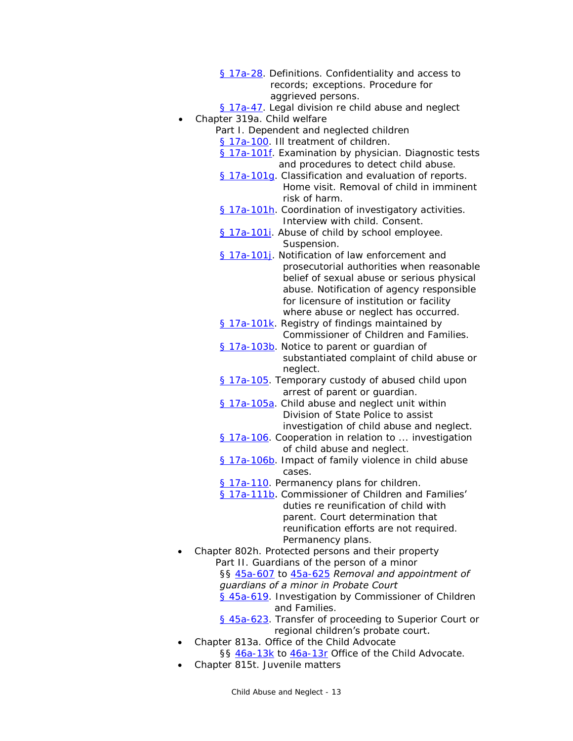- [§ 17a-28.](https://www.cga.ct.gov/current/pub/chap_319.htm#sec_17a-28) Definitions. Confidentiality and access to records; exceptions. Procedure for aggrieved persons.
- [§ 17a-47.](http://www.cga.ct.gov/current/pub/chap_319.htm#sec_17a-47) Legal division re child abuse and neglect Chapter 319a. Child welfare
	- Part I. Dependent and neglected children
		- [§ 17a-100.](http://www.cga.ct.gov/current/pub/chap_319a.htm#sec_17a-100) III treatment of children.
		- [§ 17a-101f.](http://www.cga.ct.gov/current/pub/chap_319a.htm#sec_17a-101f) Examination by physician. Diagnostic tests and procedures to detect child abuse.
		- [§ 17a-101g.](https://www.cga.ct.gov/current/pub/chap_319a.htm#sec_17a-101g) Classification and evaluation of reports. Home visit. Removal of child in imminent risk of harm.
		- [§ 17a-101h.](https://www.cga.ct.gov/current/pub/chap_319a.htm#sec_17a-101h) Coordination of investigatory activities. Interview with child. Consent.
		- [§ 17a-101i.](http://www.cga.ct.gov/current/pub/chap_319a.htm#sec_17a-101i) Abuse of child by school employee. Suspension.
		- § 17a-1011. Notification of law enforcement and prosecutorial authorities when reasonable belief of sexual abuse or serious physical abuse. Notification of agency responsible for licensure of institution or facility where abuse or neglect has occurred.
		- [§ 17a-101k.](https://www.cga.ct.gov/current/pub/chap_319a.htm#sec_17a-101k) Registry of findings maintained by Commissioner of Children and Families.
		- [§ 17a-103b.](https://www.cga.ct.gov/current/pub/chap_319a.htm#sec_17a-103b) Notice to parent or guardian of substantiated complaint of child abuse or neglect.
		- [§ 17a-105.](http://www.cga.ct.gov/current/pub/chap_319a.htm#sec_17a-105) Temporary custody of abused child upon arrest of parent or guardian.
		- [§ 17a-105a.](http://www.cga.ct.gov/current/pub/chap_319a.htm#sec_17a-105a) Child abuse and neglect unit within Division of State Police to assist investigation of child abuse and neglect.
		- [§ 17a-106.](http://www.cga.ct.gov/current/pub/chap_319a.htm#sec_17a-106) Cooperation in relation to ... investigation of child abuse and neglect.
		- [§ 17a-106b.](http://www.cga.ct.gov/current/pub/chap_319a.htm#sec_17a-106b) Impact of family violence in child abuse cases.
		- [§ 17a-110.](http://www.cga.ct.gov/current/pub/chap_319a.htm#sec_17a-110) Permanency plans for children.
		- [§ 17a-111b](http://www.cga.ct.gov/current/pub/chap_319a.htm#sec_17a-111b). Commissioner of Children and Families' duties re reunification of child with parent. Court determination that reunification efforts are not required. Permanency plans.
- Chapter 802h. Protected persons and their property Part II. Guardians of the person of a minor §§ [45a-607](http://www.cga.ct.gov/current/pub/chap_802h.htm#sec_45a-607) to [45a-625](http://www.cga.ct.gov/current/pub/chap_802h.htm#sec_45a-625) *Removal and appointment of guardians of a minor in Probate Court* [§ 45a-619.](http://www.cga.ct.gov/current/pub/chap_802h.htm#Sec_45a-619) Investigation by Commissioner of Children and Families. [§ 45a-623.](http://www.cga.ct.gov/current/pub/chap_802h.htm#sec_45a-623) Transfer of proceeding to Superior Court or regional children's probate court.
	- Chapter 813a. Office of the Child Advocate
		- §§ [46a-13k](http://www.cga.ct.gov/2014/sup/chap_813a.htm) to [46a-13r](http://www.cga.ct.gov/current/pub/chap_813a.htm#sec_46a-13r) Office of the Child Advocate.
- Chapter 815t. Juvenile matters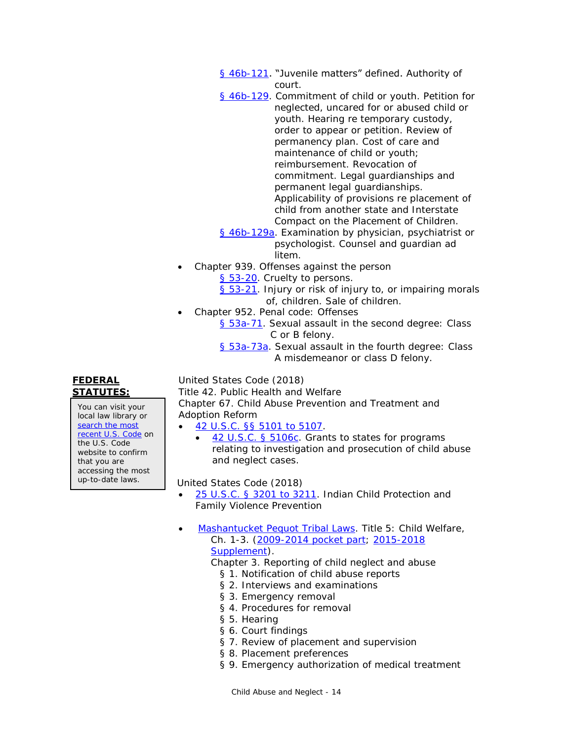- [§ 46b-121](http://www.cga.ct.gov/current/pub/chap_815t.htm#sec_46b-121). "Juvenile matters" defined. Authority of court.
- [§ 46b-129.](https://www.cga.ct.gov/current/pub/chap_815t.htm#sec_46b-129) Commitment of child or youth. Petition for neglected, uncared for or abused child or youth. Hearing re temporary custody, order to appear or petition. Review of permanency plan. Cost of care and maintenance of child or youth; reimbursement. Revocation of commitment. Legal guardianships and permanent legal guardianships. Applicability of provisions re placement of child from another state and Interstate Compact on the Placement of Children.
- [§ 46b-129a.](http://www.cga.ct.gov/current/pub/chap_815t.htm#sec_46b-129a) Examination by physician, psychiatrist or psychologist. Counsel and guardian ad litem.
- Chapter 939. Offenses against the person [§ 53-20.](http://www.cga.ct.gov/2014/sup/chap_939.htm#sec_53-20) Cruelty to persons.
	- [§ 53-21.](http://www.cga.ct.gov/2014/sup/chap_939.htm#sec_53-21) Injury or risk of injury to, or impairing morals of, children. Sale of children.
- Chapter 952. Penal code: Offenses
	- [§ 53a-71.](https://www.cga.ct.gov/current/pub/chap_952.htm#sec_53a-71) Sexual assault in the second degree: Class C or B felony.
		- [§ 53a-73a.](https://www.cga.ct.gov/current/pub/chap_952.htm#sec_53a-73a) Sexual assault in the fourth degree: Class A misdemeanor or class D felony.

# **FEDERAL STATUTES:**

You can visit your local law library or [search the most](http://uscode.house.gov/)  [recent U.S. Code](http://uscode.house.gov/) on the U.S. Code website to confirm that you are accessing the most up-to-date laws.

United States Code (2018)

Title 42. Public Health and Welfare Chapter 67. Child Abuse Prevention and Treatment and Adoption Reform

- [42 U.S.C. §§ 5101 to 5107.](http://www.law.cornell.edu/uscode/text/42/chapter-67/subchapter-I)
	- [42 U.S.C. § 5106c.](http://www.law.cornell.edu/uscode/text/42/5106c) Grants to states for programs relating to investigation and prosecution of child abuse and neglect cases.

**United States Code (2018)** 

- [25 U.S.C. § 3201 to 3211.](http://www.law.cornell.edu/uscode/text/25/chapter-34) Indian Child Protection and Family Violence Prevention
- [Mashantucket Pequot Tribal Laws.](http://www.mptnlaw.com/TribalLaws.htm) Title 5: Child Welfare, Ch. 1-3. [\(2009-2014 pocket part;](http://www.mptnlaw.com/laws/2009-2014%20Pocket%20Part%20to%202008%20Tribal%20Laws%20(Vol%20%201).pdf) [2015-2018](http://www.mptnlaw.com/laws/MPTL%20ONLINE%20SUPPLEMENT%202015-2018%20(09%2024%202018).pdf)  [Supplement\)](http://www.mptnlaw.com/laws/MPTL%20ONLINE%20SUPPLEMENT%202015-2018%20(09%2024%202018).pdf).
	- Chapter 3. Reporting of child neglect and abuse
		- § 1. Notification of child abuse reports
		- § 2. Interviews and examinations
		- § 3. Emergency removal
		- § 4. Procedures for removal
		- § 5. Hearing
		- § 6. Court findings
		- § 7. Review of placement and supervision
		- § 8. Placement preferences
		- § 9. Emergency authorization of medical treatment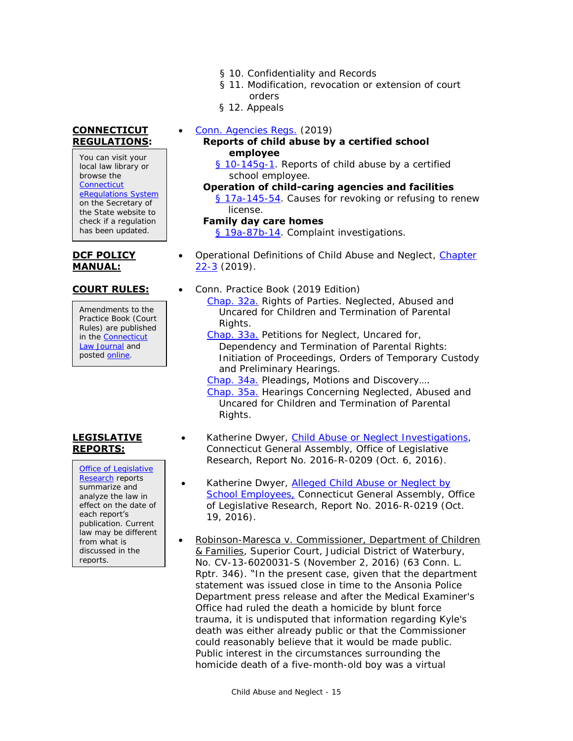- § 10. Confidentiality and Records
- § 11. Modification, revocation or extension of court orders
- § 12. Appeals
- [Conn. Agencies Regs.](https://eregulations.ct.gov/eRegsPortal/) (2019)
	- **Reports of child abuse by a certified school employee**
		- [§ 10-145g-1.](https://eregulations.ct.gov/eRegsPortal/Browse/RCSA?id=Title%2010|10-145g|10-145g-1|10-145g-1) Reports of child abuse by a certified school employee.
	- **Operation of child-caring agencies and facilities** [§ 17a-145-54.](https://eregulations.ct.gov/eRegsPortal/Browse/RCSA?id=Title%2017a|17a-145|17a-145-54|17a-145-54) Causes for revoking or refusing to renew license.

### **Family day care homes**

[§ 19a-87b-14.](https://eregulations.ct.gov/eRegsPortal/Browse/RCSA?id=Title%2019a|19a-87b|19a-87b-14|19a-87b-14) Complaint investigations.

- Operational Definitions of Child Abuse and Neglect, [Chapter](https://portal.ct.gov/-/media/DCF/Policy/Chapters/22-3.pdf?la=enhttps://portal.ct.gov/-/media/DCF/Policy/Chapters/22-3.pdf?la=en)  [22-3](https://portal.ct.gov/-/media/DCF/Policy/Chapters/22-3.pdf?la=enhttps://portal.ct.gov/-/media/DCF/Policy/Chapters/22-3.pdf?la=en) (2019).
- **COURT RULES:** Conn. Practice Book (2019 Edition) [Chap. 32a.](https://www.jud.ct.gov/Publications/PracticeBook/PB.pdf#page=351) Rights of Parties. Neglected, Abused and Uncared for Children and Termination of Parental Rights.
	- [Chap. 33a.](https://www.jud.ct.gov/Publications/PracticeBook/PB.pdf#page=355) Petitions for Neglect, Uncared for, Dependency and Termination of Parental Rights: Initiation of Proceedings, Orders of Temporary Custody and Preliminary Hearings.
	- [Chap. 34a.](https://www.jud.ct.gov/Publications/PracticeBook/PB.pdf#page=360) Pleadings, Motions and Discovery…. [Chap. 35a.](https://www.jud.ct.gov/Publications/PracticeBook/PB.pdf#page=366) Hearings Concerning Neglected, Abused and Uncared for Children and Termination of Parental Rights.
	- Katherine Dwyer, [Child Abuse or Neglect Investigations,](https://www.cga.ct.gov/2016/rpt/pdf/2016-R-0209.pdf) Connecticut General Assembly, Office of Legislative Research, Report No. 2016-R-0209 (Oct. 6, 2016).
	- Katherine Dwyer, **Alleged Child Abuse or Neglect by** [School Employees,](https://www.cga.ct.gov/2016/rpt/pdf/2016-R-0219.pdf) Connecticut General Assembly, Office of Legislative Research, Report No. 2016-R-0219 (Oct. 19, 2016).
	- **•** Robinson-Maresca v. Commissioner, Department of Children & Families, Superior Court, Judicial District of Waterbury, No. CV-13-6020031-S (November 2, 2016) (63 Conn. L. Rptr. 346). "In the present case, given that the department statement was issued close in time to the Ansonia Police Department press release and after the Medical Examiner's Office had ruled the death a homicide by blunt force trauma, it is undisputed that information regarding Kyle's death was either already public or that the Commissioner could reasonably believe that it would be made public. Public interest in the circumstances surrounding the homicide death of a five-month-old boy was a virtual

# **CONNECTICUT REGULATIONS:**

You can visit your local law library or browse the **Connecticut** [eRegulations System](https://eregulations.ct.gov/eRegsPortal/) on the Secretary of the State website to check if a regulation has been updated.

# **DCF POLICY MANUAL:**

Amendments to the Practice Book (Court Rules) are published in the [Connecticut](https://jud.ct.gov/lawjournal/)  [Law Journal](https://jud.ct.gov/lawjournal/) and posted [online.](https://www.jud.ct.gov/pb.htm)

# **LEGISLATIVE REPORTS:**

[Office of Legislative](http://www.cga.ct.gov/olr/default.asp)  [Research](http://www.cga.ct.gov/olr/default.asp) reports summarize and analyze the law in effect on the date of each report's publication. Current law may be different from what is discussed in the reports.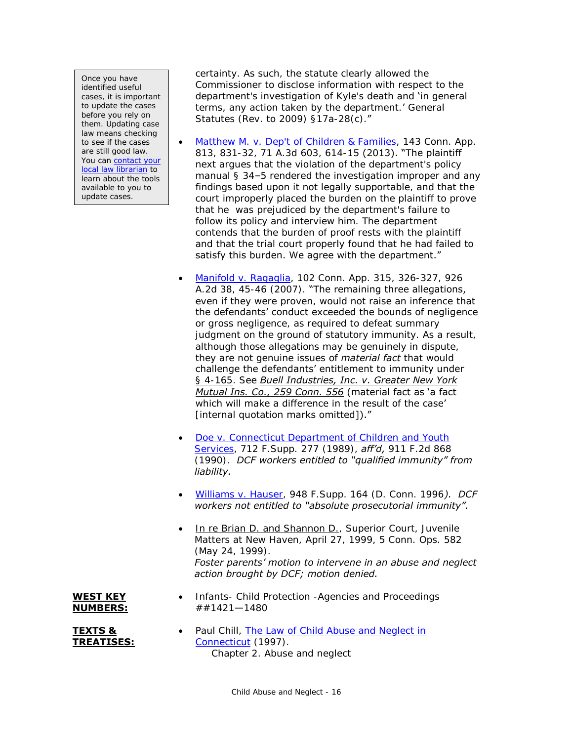Once you have identified useful cases, it is important to update the cases before you rely on them. Updating case law means checking to see if the cases are still good law. You can contact your [local law librarian](http://www.jud.ct.gov/lawlib/staff.htm) to learn about the tools available to you to update cases.

certainty. As such, the statute clearly allowed the Commissioner to disclose information with respect to the department's investigation of Kyle's death and 'in general terms, any action taken by the department.' General Statutes (Rev. to 2009) §17a-28(c)."

- [Matthew M. v. Dep't of Children & Families,](https://scholar.google.com/scholar_case?case=2330695123545705712) 143 Conn. App. 813, 831-32, 71 A.3d 603, 614-15 (2013). "The plaintiff next argues that the violation of the department's policy manual § 34–5 rendered the investigation improper and any findings based upon it not legally supportable, and that the court improperly placed the burden on the plaintiff to prove that he was prejudiced by the department's failure to follow its policy and interview him. The department contends that the burden of proof rests with the plaintiff and that the trial court properly found that he had failed to satisfy this burden. We agree with the department."
- [Manifold v. Ragaglia,](https://scholar.google.com/scholar_case?case=12953266695534776274) 102 Conn. App. 315, 326-327, 926 A.2d 38, 45-46 (2007). "The remaining three allegations, even if they were proven, would not raise an inference that the defendants' conduct exceeded the bounds of negligence or gross negligence, as required to defeat summary judgment on the ground of statutory immunity. As a result, although those allegations may be genuinely in dispute, they are not genuine issues of *material fact* that would challenge the defendants' entitlement to immunity under § 4-165. See *Buell Industries, Inc. v. Greater New York Mutual Ins. Co., 259 Conn. 556* (material fact as 'a fact which will make a difference in the result of the case' [internal quotation marks omitted])."
- [Doe v. Connecticut Department of Children and Youth](http://scholar.google.com/scholar_case?case=1374819324220617798)  [Services,](http://scholar.google.com/scholar_case?case=1374819324220617798) 712 F.Supp. 277 (1989), *aff'd,* 911 F.2d 868 (1990). *DCF workers entitled to "qualified immunity" from liability.*
- [Williams v. Hauser,](http://scholar.google.com/scholar_case?case=10371256783657438205) 948 F.Supp. 164 (D. Conn. 1996*). DCF workers not entitled to "absolute prosecutorial immunity".*
- **In re Brian D. and Shannon D., Superior Court, Juvenile** Matters at New Haven, April 27, 1999, 5 Conn. Ops. 582 (May 24, 1999). *Foster parents' motion to intervene in an abuse and neglect action brought by DCF; motion denied.*

# **WEST KEY NUMBERS:**

**TEXTS & TREATISES:** • Paul Chill, The Law of Child Abuse and Neglect in [Connecticut](http://lsr.nellco.org/uconn_wps/51/) (1997). Chapter 2. Abuse and neglect

• Infants- Child Protection -Agencies and Proceedings

##1421—1480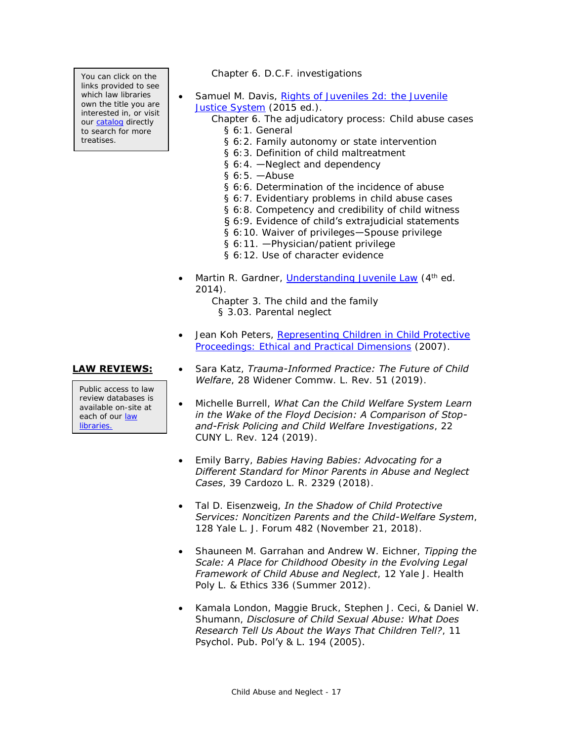You can click on the links provided to see which law libraries own the title you are interested in, or visit our [catalog](http://csjd-agent.auto-graphics.com/MVC/) directly to search for more treatises.

Public access to law review databases is available on-site at each of our law [libraries.](https://www.jud.ct.gov/lawlib/staff.htm)

- Chapter 6. D.C.F. investigations
- Samuel M. Davis, [Rights of Juveniles 2d: the Juvenile](http://csjd-agent.auto-graphics.com/mvc/PersistentLink?key=bPR5akxJpJTxOPah4t2Wqw%3d%3d)  [Justice System](http://csjd-agent.auto-graphics.com/mvc/PersistentLink?key=bPR5akxJpJTxOPah4t2Wqw%3d%3d) (2015 ed.).
	- Chapter 6. The adjudicatory process: Child abuse cases § 6:1. General
		- § 6:2. Family autonomy or state intervention
		- § 6:3. Definition of child maltreatment
		- § 6:4. —Neglect and dependency
		- § 6:5. —Abuse
		- § 6:6. Determination of the incidence of abuse
		- § 6:7. Evidentiary problems in child abuse cases
		- § 6:8. Competency and credibility of child witness
		- § 6:9. Evidence of child's extrajudicial statements
		- § 6:10. Waiver of privileges—Spouse privilege
		- § 6:11. —Physician/patient privilege
		- § 6:12. Use of character evidence
- Martin R. Gardner, *Understanding Juvenile Law* (4<sup>th</sup> ed. 2014). Chapter 3. The child and the family
	- § 3.03. Parental neglect
- Jean Koh Peters, [Representing Children in Child Protective](http://csjd-agent.auto-graphics.com/mvc/PersistentLink?key=dsanOE8iPRhfNwUUw2acEg%3d%3d)  [Proceedings: Ethical and Practical Dimensions](http://csjd-agent.auto-graphics.com/mvc/PersistentLink?key=dsanOE8iPRhfNwUUw2acEg%3d%3d) (2007).
- **LAW REVIEWS:** . Sara Katz, *Trauma-Informed Practice: The Future of Child Welfare*, 28 Widener Commw. L. Rev. 51 (2019).
	- Michelle Burrell, *What Can the Child Welfare System Learn in the Wake of the Floyd Decision: A Comparison of Stopand-Frisk Policing and Child Welfare Investigations*, 22 CUNY L. Rev. 124 (2019).
	- Emily Barry, *Babies Having Babies: Advocating for a Different Standard for Minor Parents in Abuse and Neglect Cases*, 39 Cardozo L. R. 2329 (2018).
	- Tal D. Eisenzweig, *In the Shadow of Child Protective Services: Noncitizen Parents and the Child-Welfare System*, 128 Yale L. J. Forum 482 (November 21, 2018).
	- Shauneen M. Garrahan and Andrew W. Eichner, *Tipping the Scale: A Place for Childhood Obesity in the Evolving Legal Framework of Child Abuse and Neglect*, 12 Yale J. Health Poly L. & Ethics 336 (Summer 2012).
	- Kamala London, Maggie Bruck, Stephen J. Ceci, & Daniel W. Shumann, *Disclosure of Child Sexual Abuse: What Does Research Tell Us About the Ways That Children Tell?*, 11 Psychol. Pub. Pol'y & L. 194 (2005).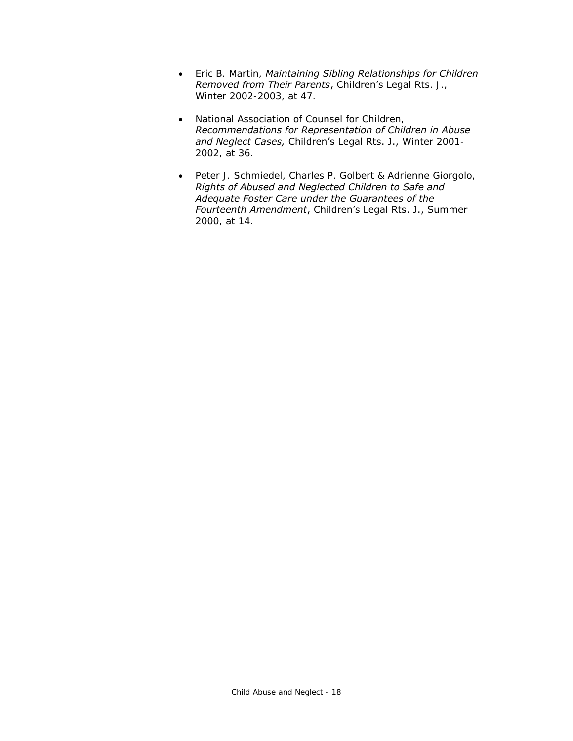- Eric B. Martin, *Maintaining Sibling Relationships for Children Removed from Their Parents*, Children's Legal Rts. J., Winter 2002-2003, at 47.
- National Association of Counsel for Children, *Recommendations for Representation of Children in Abuse and Neglect Cases,* Children's Legal Rts. J., Winter 2001- 2002, at 36.
- Peter J. Schmiedel, Charles P. Golbert & Adrienne Giorgolo, *Rights of Abused and Neglected Children to Safe and Adequate Foster Care under the Guarantees of the Fourteenth Amendment*, Children's Legal Rts. J., Summer 2000, at 14.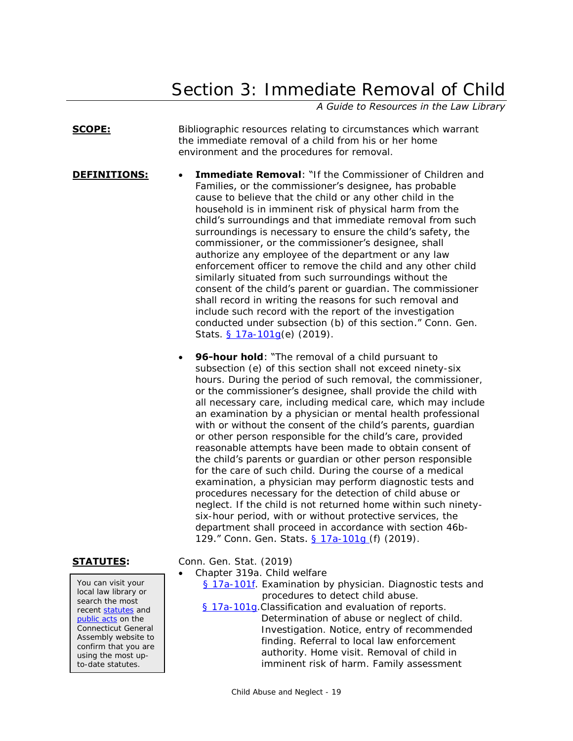# Section 3: Immediate Removal of Child

*A Guide to Resources in the Law Library*

## <span id="page-18-0"></span>**SCOPE:** Bibliographic resources relating to circumstances which warrant the immediate removal of a child from his or her home environment and the procedures for removal.

- **DEFINITIONS:** Immediate Removal: "If the Commissioner of Children and Families, or the commissioner's designee, has probable cause to believe that the child or any other child in the household is in imminent risk of physical harm from the child's surroundings and that immediate removal from such surroundings is necessary to ensure the child's safety, the commissioner, or the commissioner's designee, shall authorize any employee of the department or any law enforcement officer to remove the child and any other child similarly situated from such surroundings without the consent of the child's parent or guardian. The commissioner shall record in writing the reasons for such removal and include such record with the report of the investigation conducted under subsection (b) of this section." Conn. Gen. Stats. § 17a-101q(e) (2019).
	- **96-hour hold:** "The removal of a child pursuant to subsection (e) of this section shall not exceed ninety-six hours. During the period of such removal, the commissioner, or the commissioner's designee, shall provide the child with all necessary care, including medical care, which may include an examination by a physician or mental health professional with or without the consent of the child's parents, guardian or other person responsible for the child's care, provided reasonable attempts have been made to obtain consent of the child's parents or guardian or other person responsible for the care of such child. During the course of a medical examination, a physician may perform diagnostic tests and procedures necessary for the detection of child abuse or neglect. If the child is not returned home within such ninetysix-hour period, with or without protective services, the department shall proceed in accordance with section 46b-129." Conn. Gen. Stats. [§ 17a-101g](https://www.cga.ct.gov/current/pub/chap_319a.htm#sec_17a-101g) (f) (2019).

**STATUTES:** Conn. Gen. Stat. (2019)

- Chapter 319a. Child welfare
	- [§ 17a-101f.](http://www.cga.ct.gov/current/pub/chap_319a.htm#sec_17a-101f) Examination by physician. Diagnostic tests and procedures to detect child abuse.
	- [§ 17a-101g.](https://www.cga.ct.gov/current/pub/chap_319a.htm#sec_17a-101g) Classification and evaluation of reports. Determination of abuse or neglect of child. Investigation. Notice, entry of recommended finding. Referral to local law enforcement authority. Home visit. Removal of child in imminent risk of harm. Family assessment

You can visit your local law library or search the most recent [statutes](http://search.cga.state.ct.us/r/statute/dtsearch_form.asp) and [public acts](http://search.cga.state.ct.us/r/adv/dtsearch_form.asp) on the Connecticut General Assembly website to confirm that you are using the most upto-date statutes.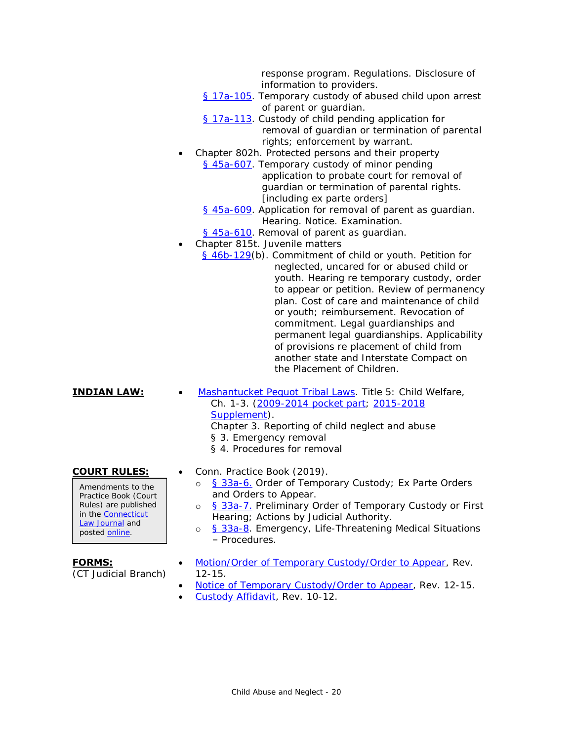response program. Regulations. Disclosure of information to providers.

- [§ 17a-105.](http://www.cga.ct.gov/current/pub/chap_319a.htm#sec_17a-105) Temporary custody of abused child upon arrest of parent or guardian.
- [§ 17a-113.](http://www.cga.ct.gov/current/pub/chap_319a.htm#sec_17a-113) Custody of child pending application for removal of guardian or termination of parental rights; enforcement by warrant.
- Chapter 802h. Protected persons and their property [§ 45a-607.](http://www.cga.ct.gov/current/pub/chap_802h.htm#sec_45a-607) Temporary custody of minor pending application to probate court for removal of guardian or termination of parental rights. [including ex parte orders]
	- [§ 45a-609.](http://www.cga.ct.gov/current/pub/chap_802h.htm#Sec_45a-609) Application for removal of parent as guardian. Hearing. Notice. Examination.
	- [§ 45a-610.](http://www.cga.ct.gov/current/pub/chap_802h.htm#Sec_45a-610) Removal of parent as guardian.
- Chapter 815t. Juvenile matters
	- [§ 46b-129\(](http://www.cga.ct.gov/current/pub/chap_815t.htm#Sec_46b-129)b). Commitment of child or youth. Petition for neglected, uncared for or abused child or youth. Hearing re temporary custody, order to appear or petition. Review of permanency plan. Cost of care and maintenance of child or youth; reimbursement. Revocation of commitment. Legal guardianships and permanent legal guardianships. Applicability of provisions re placement of child from another state and Interstate Compact on the Placement of Children.

- **INDIAN LAW:** [Mashantucket Pequot Tribal Laws.](http://www.mptnlaw.com/TribalLaws.htm) Title 5: Child Welfare, Ch. 1-3. [\(2009-2014 pocket part;](http://www.mptnlaw.com/laws/2009-2014%20Pocket%20Part%20to%202008%20Tribal%20Laws%20(Vol%20%201).pdf) [2015-2018](http://www.mptnlaw.com/laws/MPTL%20ONLINE%20SUPPLEMENT%202015-2018%20(09%2024%202018).pdf)  [Supplement\)](http://www.mptnlaw.com/laws/MPTL%20ONLINE%20SUPPLEMENT%202015-2018%20(09%2024%202018).pdf).
	- Chapter 3. Reporting of child neglect and abuse
	- § 3. Emergency removal
	- § 4. Procedures for removal

Amendments to the Practice Book (Court Rules) are published in the [Connecticut](https://jud.ct.gov/lawjournal/)  [Law Journal](https://jud.ct.gov/lawjournal/) and posted **online**.

- **COURT RULES:** Conn. Practice Book (2019).
	- o [§ 33a-6.](https://www.jud.ct.gov/Publications/PracticeBook/PB.pdf#page=356) Order of Temporary Custody; Ex Parte Orders and Orders to Appear.
	- o [§ 33a-7.](https://www.jud.ct.gov/Publications/PracticeBook/PB.pdf#page=357) Preliminary Order of Temporary Custody or First Hearing; Actions by Judicial Authority.
	- o [§ 33a-8.](https://www.jud.ct.gov/Publications/PracticeBook/PB.pdf#page=358) Emergency, Life-Threatening Medical Situations – Procedures.

# **FORMS:**

(CT Judicial Branch)

- [Motion/Order of Temporary Custody/Order to Appear,](http://www.jud.ct.gov/webforms/forms/jm058.pdf) Rev. 12-15*.*
- [Notice of Temporary Custody/Order to Appear,](http://www.jud.ct.gov/webforms/forms/jm058A.pdf) Rev. 12-15.
- [Custody Affidavit,](http://www.jud.ct.gov/webforms/forms/jm030.pdf) Rev. 10-12.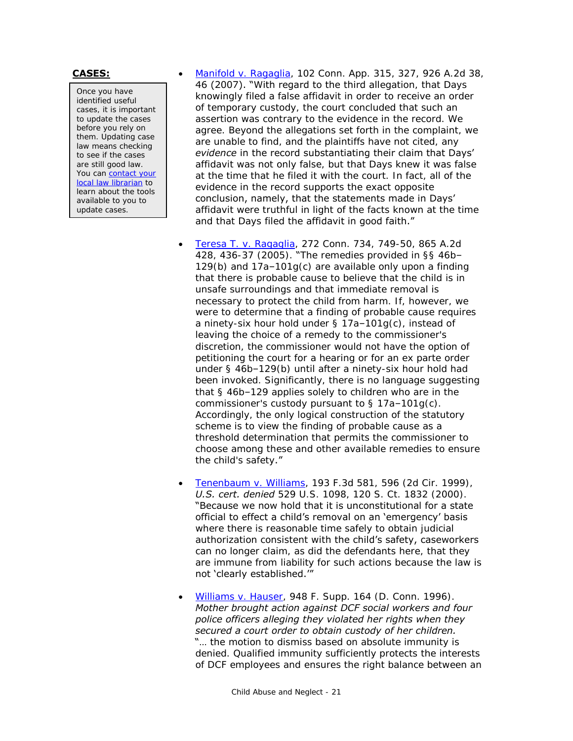Once you have identified useful cases, it is important to update the cases before you rely on them. Updating case law means checking to see if the cases are still good law. You can [contact your](http://www.jud.ct.gov/lawlib/staff.htm)  [local law librarian](http://www.jud.ct.gov/lawlib/staff.htm) to learn about the tools available to you to update cases.

**CASES:** [Manifold v. Ragaglia,](https://scholar.google.com/scholar_case?case=12953266695534776274) 102 Conn. App. 315, 327, 926 A.2d 38, 46 (2007). "With regard to the third allegation, that Days knowingly filed a false affidavit in order to receive an order of temporary custody, the court concluded that such an assertion was contrary to the evidence in the record. We agree. Beyond the allegations set forth in the complaint, we are unable to find, and the plaintiffs have not cited, any *evidence* in the record substantiating their claim that Days' affidavit was not only false, but that Days knew it was false at the time that he filed it with the court. In fact, all of the evidence in the record supports the exact opposite conclusion, namely, that the statements made in Days' affidavit were truthful in light of the facts known at the time and that Days filed the affidavit in good faith."

- Teresa T. [v. Ragaglia,](https://scholar.google.com/scholar_case?case=8574100980701828322) 272 Conn. 734, 749-50, 865 A.2d 428, 436-37 (2005). "The remedies provided in §§ 46b– 129(b) and 17a–101g(c) are available only upon a finding that there is probable cause to believe that the child is in unsafe surroundings and that immediate removal is necessary to protect the child from harm. If, however, we were to determine that a finding of probable cause requires a ninety-six hour hold under § 17a–101g(c), instead of leaving the choice of a remedy to the commissioner's discretion, the commissioner would not have the option of petitioning the court for a hearing or for an ex parte order under § 46b–129(b) until after a ninety-six hour hold had been invoked. Significantly, there is no language suggesting that § 46b–129 applies solely to children who are in the commissioner's custody pursuant to § 17a–101g(c). Accordingly, the only logical construction of the statutory scheme is to view the finding of probable cause as a threshold determination that permits the commissioner to choose among these and other available remedies to ensure the child's safety."
- [Tenenbaum v. Williams,](http://scholar.google.com/scholar_case?case=14040520039533119123) 193 F.3d 581, 596 (2d Cir. 1999), *U.S. cert. denied* 529 U.S. 1098, 120 S. Ct. 1832 (2000). "Because we now hold that it is unconstitutional for a state official to effect a child's removal on an 'emergency' basis where there is reasonable time safely to obtain judicial authorization consistent with the child's safety, caseworkers can no longer claim, as did the defendants here, that they are immune from liability for such actions because the law is not 'clearly established.'"
- [Williams v. Hauser,](http://scholar.google.com/scholar_case?case=10371256783657438205) 948 F. Supp. 164 (D. Conn. 1996). *Mother brought action against DCF social workers and four police officers alleging they violated her rights when they secured a court order to obtain custody of her children.* "... the motion to dismiss based on absolute immunity is denied. Qualified immunity sufficiently protects the interests of DCF employees and ensures the right balance between an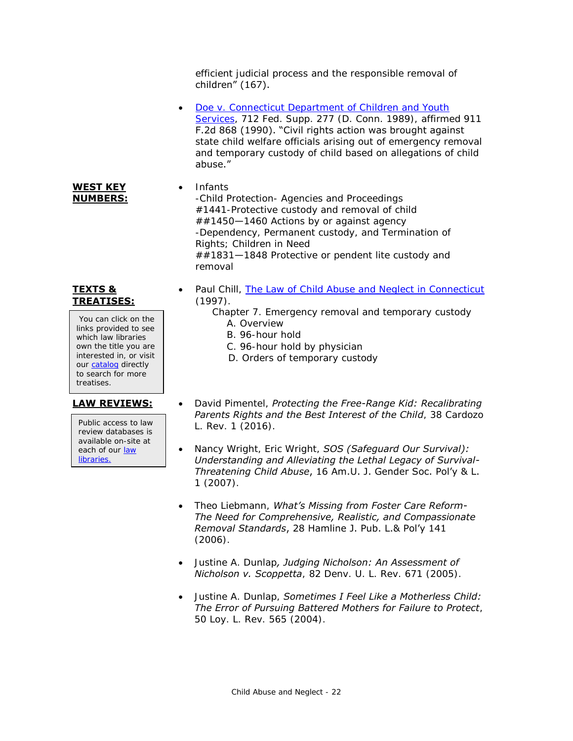efficient judicial process and the responsible removal of children" (167).

- Doe v. Connecticut Department of Children and Youth [Services,](http://scholar.google.com/scholar_case?case=1374819324220617798) 712 Fed. Supp. 277 (D. Conn. 1989), affirmed 911 F.2d 868 (1990). "Civil rights action was brought against state child welfare officials arising out of emergency removal and temporary custody of child based on allegations of child abuse."
- Infants -Child Protection- Agencies and Proceedings #1441-Protective custody and removal of child ##1450—1460 Actions by or against agency -Dependency, Permanent custody, and Termination of Rights; Children in Need ##1831—1848 Protective or pendent lite custody and removal

# **TEXTS & TREATISES:**

**WEST KEY NUMBERS:**

You can click on the links provided to see which law libraries own the title you are interested in, or visit ou[r catalog](http://csjd-agent.auto-graphics.com/MVC/) directly to search for more treatises.

<span id="page-21-0"></span>Public access to law review databases is available on-site at each of our [law](https://www.jud.ct.gov/lawlib/staff.htm)  [libraries.](https://www.jud.ct.gov/lawlib/staff.htm)

- Paul Chill, The [Law of Child Abuse and Neglect in Connecticut](http://lsr.nellco.org/uconn_wps/51/) (1997).
	- Chapter 7. Emergency removal and temporary custody A. Overview
		- B. 96-hour hold
		- C. 96-hour hold by physician
		- D. Orders of temporary custody
- **LAW REVIEWS:** . David Pimentel, *Protecting the Free-Range Kid: Recalibrating Parents Rights and the Best Interest of the Child*, 38 Cardozo L. Rev. 1 (2016).
	- Nancy Wright, Eric Wright, *SOS (Safeguard Our Survival): Understanding and Alleviating the Lethal Legacy of Survival-Threatening Child Abuse*, 16 Am.U. J. Gender Soc. Pol'y & L. 1 (2007).
	- Theo Liebmann, *What's Missing from Foster Care Reform-The Need for Comprehensive, Realistic, and Compassionate Removal Standards*, 28 Hamline J. Pub. L.& Pol'y 141 (2006).
	- Justine A. Dunlap*, Judging Nicholson: An Assessment of Nicholson v. Scoppetta*, 82 Denv. U. L. Rev. 671 (2005).
	- Justine A. Dunlap, *Sometimes I Feel Like a Motherless Child: The Error of Pursuing Battered Mothers for Failure to Protect*, 50 Loy. L. Rev. 565 (2004).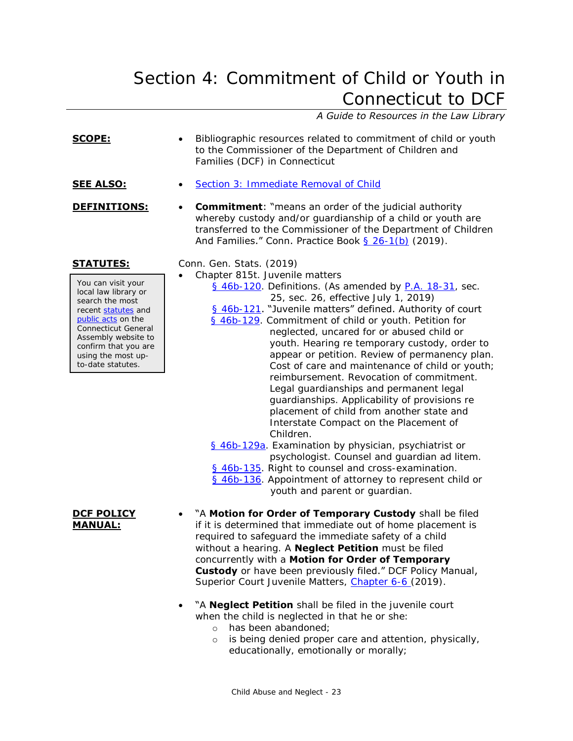# Section 4: Commitment of Child or Youth in Connecticut to DCF

# *A Guide to Resources in the Law Library*

| <u>SCOPE:</u>                                                                                                                                                                                                                                   | Bibliographic resources related to commitment of child or youth<br>to the Commissioner of the Department of Children and<br>Families (DCF) in Connecticut                                                                                                                                                                                                                                                                                                                                                                                                                                                                                                                                                                                                                                                                                                                                                                                                                                      |
|-------------------------------------------------------------------------------------------------------------------------------------------------------------------------------------------------------------------------------------------------|------------------------------------------------------------------------------------------------------------------------------------------------------------------------------------------------------------------------------------------------------------------------------------------------------------------------------------------------------------------------------------------------------------------------------------------------------------------------------------------------------------------------------------------------------------------------------------------------------------------------------------------------------------------------------------------------------------------------------------------------------------------------------------------------------------------------------------------------------------------------------------------------------------------------------------------------------------------------------------------------|
| <b>SEE ALSO:</b>                                                                                                                                                                                                                                | Section 3: Immediate Removal of Child                                                                                                                                                                                                                                                                                                                                                                                                                                                                                                                                                                                                                                                                                                                                                                                                                                                                                                                                                          |
| DEFINITIONS:                                                                                                                                                                                                                                    | <b>Commitment:</b> "means an order of the judicial authority<br>$\bullet$<br>whereby custody and/or guardianship of a child or youth are<br>transferred to the Commissioner of the Department of Children<br>And Families." Conn. Practice Book § 26-1(b) (2019).                                                                                                                                                                                                                                                                                                                                                                                                                                                                                                                                                                                                                                                                                                                              |
| <b>STATUTES:</b><br>You can visit your<br>local law library or<br>search the most<br>recent statutes and<br>public acts on the<br>Connecticut General<br>Assembly website to<br>confirm that you are<br>using the most up-<br>to-date statutes. | Conn. Gen. Stats. (2019)<br>Chapter 815t. Juvenile matters<br>§ 46b-120. Definitions. (As amended by P.A. 18-31, sec.<br>25, sec. 26, effective July 1, 2019)<br>§ 46b-121. "Juvenile matters" defined. Authority of court<br>§ 46b-129. Commitment of child or youth. Petition for<br>neglected, uncared for or abused child or<br>youth. Hearing re temporary custody, order to<br>appear or petition. Review of permanency plan.<br>Cost of care and maintenance of child or youth;<br>reimbursement. Revocation of commitment.<br>Legal guardianships and permanent legal<br>guardianships. Applicability of provisions re<br>placement of child from another state and<br>Interstate Compact on the Placement of<br>Children.<br>§ 46b-129a. Examination by physician, psychiatrist or<br>psychologist. Counsel and guardian ad litem.<br>§ 46b-135. Right to counsel and cross-examination.<br>§ 46b-136. Appointment of attorney to represent child or<br>youth and parent or guardian. |
| <b>DCF POLICY</b><br><b>MANUAL:</b>                                                                                                                                                                                                             | "A Motion for Order of Temporary Custody shall be filed<br>if it is determined that immediate out of home placement is<br>required to safeguard the immediate safety of a child<br>without a hearing. A <b>Neglect Petition</b> must be filed<br>concurrently with a Motion for Order of Temporary<br><b>Custody</b> or have been previously filed." DCF Policy Manual,<br>Superior Court Juvenile Matters, Chapter 6-6 (2019).<br>"^ <b>Neglect Petition</b> shall be filed in the invenile court                                                                                                                                                                                                                                                                                                                                                                                                                                                                                             |

### "A **Neglect Petition** shall be filed in the juvenile court when the child is neglected in that he or she:

- o has been abandoned;
- o is being denied proper care and attention, physically, educationally, emotionally or morally;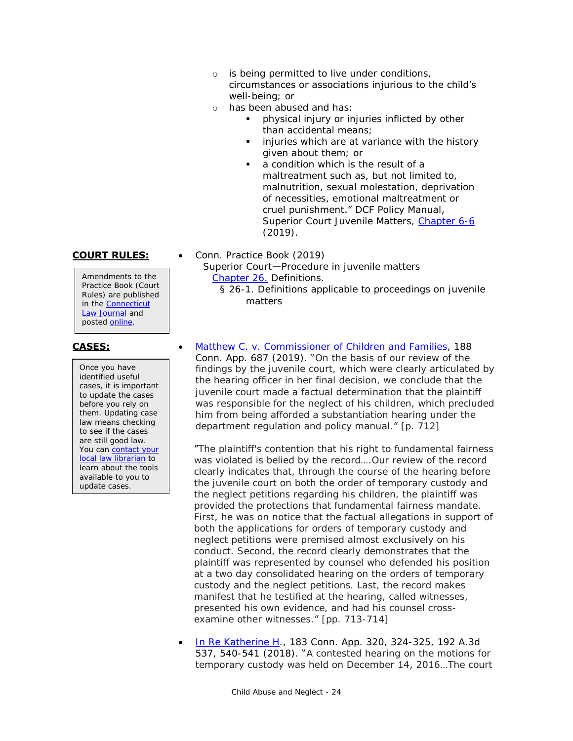- o is being permitted to live under conditions, circumstances or associations injurious to the child's well-being; or
- o has been abused and has:
	- physical injury or injuries inflicted by other than accidental means;
	- injuries which are at variance with the history given about them; or
	- a condition which is the result of a maltreatment such as, but not limited to, malnutrition, sexual molestation, deprivation of necessities, emotional maltreatment or cruel punishment." DCF Policy Manual, Superior Court Juvenile Matters, [Chapter 6-6](https://portal.ct.gov/-/media/DCF/Policy/Chapters/6-6.pdf?la=en.) (2019).

Amendments to the Practice Book (Court Rules) are published in the [Connecticut](https://jud.ct.gov/lawjournal/)  [Law Journal](https://jud.ct.gov/lawjournal/) and posted [online.](https://www.jud.ct.gov/pb.htm)

Once you have identified useful cases, it is important to update the cases before you rely on them. Updating case law means checking to see if the cases are still good law. You can [contact your](http://www.jud.ct.gov/lawlib/staff.htm)  [local law librarian](http://www.jud.ct.gov/lawlib/staff.htm) to learn about the tools available to you to update cases.

- **COURT RULES:** Conn. Practice Book (2019) Superior Court—Procedure in juvenile matters [Chapter 26.](https://www.jud.ct.gov/Publications/PracticeBook/PB.pdf#page=329) Definitions. § 26-1. Definitions applicable to proceedings on juvenile matters
- **CASES:** [Matthew C. v. Commissioner of Children and Families,](https://scholar.google.com/scholar_case?case=12840570110307984920&q=Matthew+C.+v.+Commissioner+of+Children+and+Families&hl=en&as_sdt=8006) 188 Conn. App. 687 (2019). "On the basis of our review of the findings by the juvenile court, which were clearly articulated by the hearing officer in her final decision, we conclude that the juvenile court made a factual determination that the plaintiff was responsible for the neglect of his children, which precluded him from being afforded a substantiation hearing under the department regulation and policy manual." [p. 712]

"The plaintiff's contention that his right to fundamental fairness was violated is belied by the record….Our review of the record clearly indicates that, through the course of the hearing before the juvenile court on both the order of temporary custody and the neglect petitions regarding his children, the plaintiff was provided the protections that fundamental fairness mandate. First, he was on notice that the factual allegations in support of both the applications for orders of temporary custody and neglect petitions were premised almost exclusively on his conduct. Second, the record clearly demonstrates that the plaintiff was represented by counsel who defended his position at a two day consolidated hearing on the orders of temporary custody and the neglect petitions. Last, the record makes manifest that he testified at the hearing, called witnesses, presented his own evidence, and had his counsel crossexamine other witnesses." [pp. 713-714]

1 [In Re Katherine H.](https://scholar.google.com/scholar_case?case=2394106948583892344), 183 Conn. App. 320, 324-325, 192 A.3d 537, 540-541 (2018). "A contested hearing on the motions for temporary custody was held on December 14, 2016…The court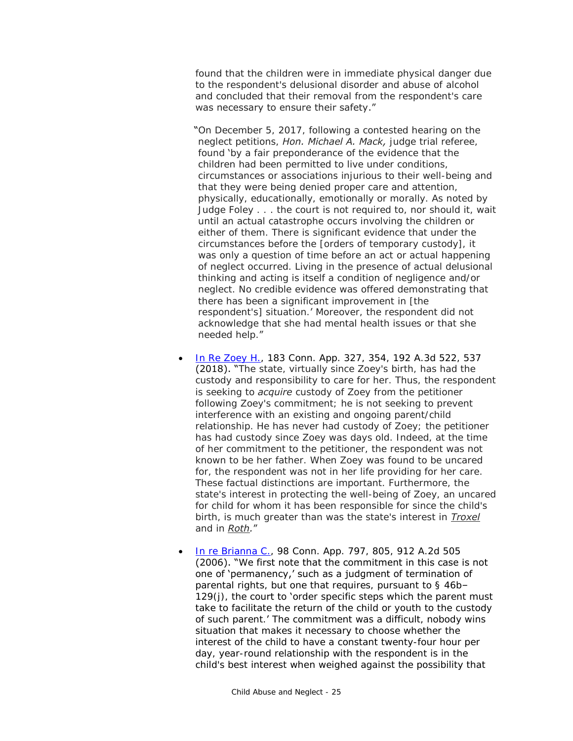found that the children were in immediate physical danger due to the respondent's delusional disorder and abuse of alcohol and concluded that their removal from the respondent's care was necessary to ensure their safety."

- "On December 5, 2017, following a contested hearing on the neglect petitions, *Hon. Michael A. Mack,* judge trial referee, found 'by a fair preponderance of the evidence that the children had been permitted to live under conditions, circumstances or associations injurious to their well-being and that they were being denied proper care and attention, physically, educationally, emotionally or morally. As noted by Judge Foley . . . the court is not required to, nor should it, wait until an actual catastrophe occurs involving the children or either of them. There is significant evidence that under the circumstances before the [orders of temporary custody], it was only a question of time before an act or actual happening of neglect occurred. Living in the presence of actual delusional thinking and acting is itself a condition of negligence and/or neglect. No credible evidence was offered demonstrating that there has been a significant improvement in [the respondent's] situation.' Moreover, the respondent did not acknowledge that she had mental health issues or that she needed help."
- [In Re Zoey H.,](https://scholar.google.com/scholar_case?case=8850455756311789100) 183 Conn. App. 327, 354, 192 A.3d 522, 537 (2018). "The state, virtually since Zoey's birth, has had the custody and responsibility to care for her. Thus, the respondent is seeking to *acquire* custody of Zoey from the petitioner following Zoey's commitment; he is not seeking to prevent interference with an existing and ongoing parent/child relationship. He has never had custody of Zoey; the petitioner has had custody since Zoey was days old. Indeed, at the time of her commitment to the petitioner, the respondent was not known to be her father. When Zoey was found to be uncared for, the respondent was not in her life providing for her care. These factual distinctions are important. Furthermore, the state's interest in protecting the well-being of Zoey, an uncared for child for whom it has been responsible for since the child's birth, is much greater than was the state's interest in *Troxel* and in *Roth.*"
- [In re Brianna C.,](http://scholar.google.com/scholar_case?case=16476428333599965548) 98 Conn. App. 797, 805, 912 A.2d 505 (2006). "We first note that the commitment in this case is not one of 'permanency,' such as a judgment of termination of parental rights, but one that requires, pursuant to § 46b–  $129(j)$ , the court to 'order specific steps which the parent must take to facilitate the return of the child or youth to the custody of such parent.' The commitment was a difficult, nobody wins situation that makes it necessary to choose whether the interest of the child to have a constant twenty-four hour per day, year-round relationship with the respondent is in the child's best interest when weighed against the possibility that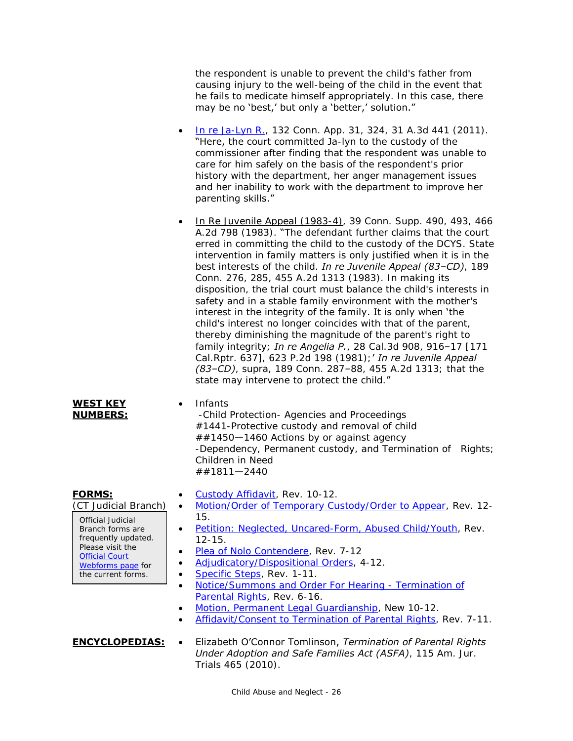the respondent is unable to prevent the child's father from causing injury to the well-being of the child in the event that he fails to medicate himself appropriately. In this case, there may be no 'best,' but only a 'better,' solution."

- [In re Ja-Lyn R.,](http://scholar.google.com/scholar_case?case=14286864534784403049) 132 Conn. App. 31, 324, 31 A.3d 441 (2011). "Here, the court committed Ja-lyn to the custody of the commissioner after finding that the respondent was unable to care for him safely on the basis of the respondent's prior history with the department, her anger management issues and her inability to work with the department to improve her parenting skills."
- $\cdot$  In Re Juvenile Appeal (1983-4), 39 Conn. Supp. 490, 493, 466 A.2d 798 (1983). "The defendant further claims that the court erred in committing the child to the custody of the DCYS. State intervention in family matters is only justified when it is in the best interests of the child. *In re Juvenile Appeal (83–CD)*, 189 Conn. 276, 285, 455 A.2d 1313 (1983). In making its disposition, the trial court must balance the child's interests in safety and in a stable family environment with the mother's interest in the integrity of the family. It is only when 'the child's interest no longer coincides with that of the parent, thereby diminishing the magnitude of the parent's right to family integrity; *In re Angelia P.*, 28 Cal.3d 908, 916–17 [171 Cal.Rptr. 637], 623 P.2d 198 (1981);' *In re Juvenile Appeal (83–CD)*, supra, 189 Conn. 287–88, 455 A.2d 1313; that the state may intervene to protect the child."

### **WEST KEY NUMBERS:**

### • Infants

-Child Protection- Agencies and Proceedings #1441-Protective custody and removal of child ##1450—1460 Actions by or against agency -Dependency, Permanent custody, and Termination of Rights; Children in Need ##1811—2440

# **FORMS:**

(CT Judicial Branch)

Official Judicial Branch forms are frequently updated. Please visit the **Official Court** [Webforms page](https://www.jud.ct.gov/webforms/) for the current forms.

- [Custody Affidavit,](http://www.jud.ct.gov/webforms/forms/jm030.pdf) Rev. 10-12.
- [Motion/Order of Temporary Custody/Order to Appear,](http://www.jud.ct.gov/webforms/forms/jm058.pdf) Rev. 12- 15.
- [Petition: Neglected, Uncared-Form, Abused Child/Youth,](http://www.jud.ct.gov/webforms/forms/jm098.pdf) Rev. 12-15.
- [Plea of Nolo Contendere,](http://www.jud.ct.gov/webforms/forms/JM102.pdf) Rev. 7-12
- [Adjudicatory/Dispositional Orders,](http://www.jud.ct.gov/webforms/forms/jm065.pdf) 4-12.
- [Specific Steps,](http://www.jud.ct.gov/webforms/forms/JM106.pdf) Rev. 1-11.
- [Notice/Summons and Order For](http://www.jud.ct.gov/webforms/forms/jm040.pdf) Hearing Termination of [Parental Rights,](http://www.jud.ct.gov/webforms/forms/jm040.pdf) Rev. 6-16.
- [Motion, Permanent Legal Guardianship,](http://www.jud.ct.gov/webforms/forms/JM203.pdf) New 10-12.
- [Affidavit/Consent to Termination of Parental Rights,](http://www.jud.ct.gov/webforms/forms/jm060.pdf) Rev. 7-11.
- **ENCYCLOPEDIAS:** Elizabeth O'Connor Tomlinson, *Termination of Parental Rights Under Adoption and Safe Families Act (ASFA)*, 115 Am. Jur. Trials 465 (2010).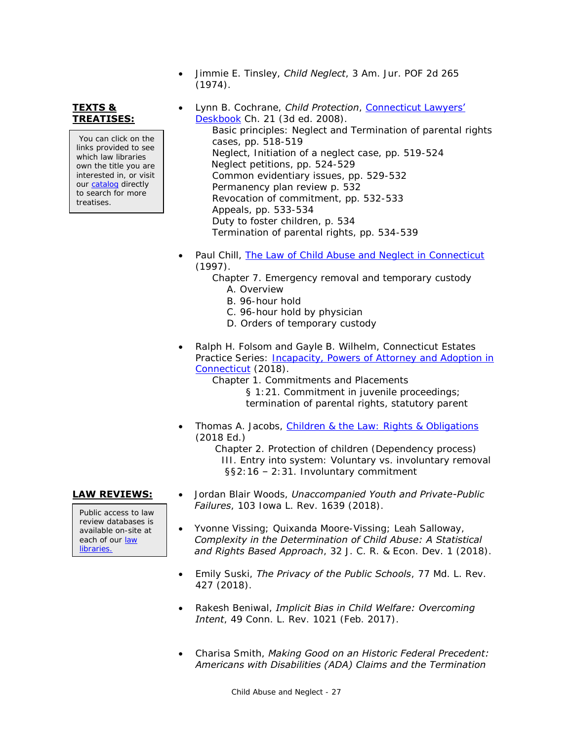**TEXTS & TREATISES:**

You can click on the links provided to see which law libraries own the title you are interested in, or visit ou[r catalog](http://csjd-agent.auto-graphics.com/MVC/) directly to search for more treatises.

(1974). Lynn B. Cochrane, *Child Protection*, [Connecticut Lawyers'](http://csjd-agent.auto-graphics.com/mvc/PersistentLink?key=MZK0SfxEsyomUhOPVq3FRmxG2sri%2b4qkQrwltlUxusg%3d)  [Deskbook](http://csjd-agent.auto-graphics.com/mvc/PersistentLink?key=MZK0SfxEsyomUhOPVq3FRmxG2sri%2b4qkQrwltlUxusg%3d) Ch. 21 (3d ed. 2008). Basic principles: Neglect and Termination of parental rights cases, pp. 518-519 Neglect, Initiation of a neglect case, pp. 519-524 Neglect petitions, pp. 524-529

Jimmie E. Tinsley, *Child Neglect*, 3 Am. Jur. POF 2d 265

Common evidentiary issues, pp. 529-532 Permanency plan review p. 532

Revocation of commitment, pp. 532-533 Appeals, pp. 533-534 Duty to foster children, p. 534

Termination of parental rights, pp. 534-539

- Paul Chill, [The Law of Child Abuse and Neglect in Connecticut](http://lsr.nellco.org/uconn_wps/51/) (1997).
	- Chapter 7. Emergency removal and temporary custody A. Overview
		- B. 96-hour hold
		- C. 96-hour hold by physician
		- D. Orders of temporary custody
- Ralph H. Folsom and Gayle B. Wilhelm, Connecticut Estates Practice Series: *Incapacity, Powers of Attorney and Adoption in* [Connecticut](http://csjd-agent.auto-graphics.com/mvc/PersistentLink?key=ysR6mMF%2fVCHPXYoxl%2b2B8w%3d%3d) (2018).

Chapter 1. Commitments and Placements

§ 1:21. Commitment in juvenile proceedings; termination of parental rights, statutory parent

 Thomas A. Jacobs, [Children & the Law: Rights & Obligations](http://csjd-agent.auto-graphics.com/mvc/PersistentLink?key=if5kb%2f7Dy08ER6IKGq6e9ApV2RhsRBqSiK3Pe5Y4BZU%3d) (2018 Ed.)

 Chapter 2. Protection of children (Dependency process) III. Entry into system: Voluntary vs. involuntary removal §§2:16 – 2:31. Involuntary commitment

Public access to law review databases is available on-site at each of our [law](https://www.jud.ct.gov/lawlib/staff.htm)  [libraries.](https://www.jud.ct.gov/lawlib/staff.htm)

- **LAW REVIEWS:** . Jordan Blair Woods, *Unaccompanied Youth and Private-Public Failures*, 103 Iowa L. Rev. 1639 (2018).
	- Yvonne Vissing; Quixanda Moore-Vissing; Leah Salloway, *Complexity in the Determination of Child Abuse: A Statistical and Rights Based Approach*, 32 J. C. R. & Econ. Dev. 1 (2018).
	- Emily Suski, *The Privacy of the Public Schools*, 77 Md. L. Rev. 427 (2018).
	- Rakesh Beniwal, *Implicit Bias in Child Welfare: Overcoming Intent*, 49 Conn. L. Rev. 1021 (Feb. 2017).
	- Charisa Smith, *Making Good on an Historic Federal Precedent: Americans with Disabilities (ADA) Claims and the Termination*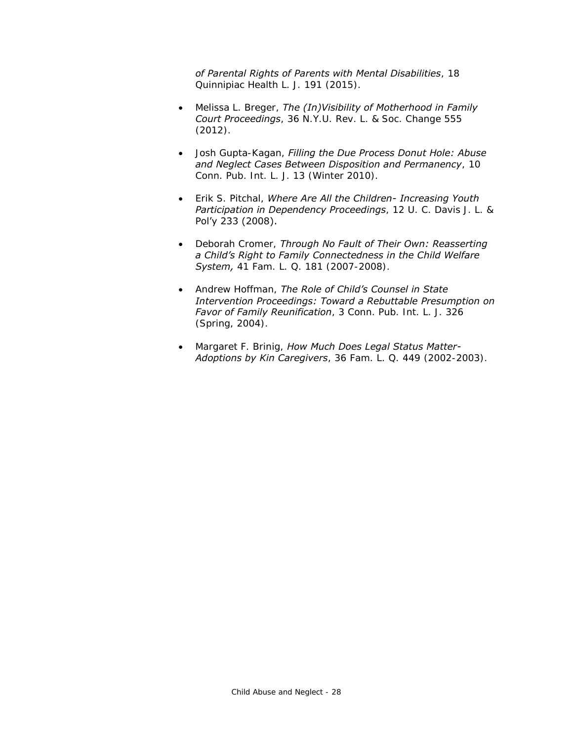*of Parental Rights of Parents with Mental Disabilities*, 18 Quinnipiac Health L. J. 191 (2015).

- Melissa L. Breger, *The (In)Visibility of Motherhood in Family Court Proceedings*, 36 N.Y.U. Rev. L. & Soc. Change 555 (2012).
- Josh Gupta-Kagan, *Filling the Due Process Donut Hole: Abuse and Neglect Cases Between Disposition and Permanency*, 10 Conn. Pub. Int. L. J. 13 (Winter 2010).
- Erik S. Pitchal, *Where Are All the Children- Increasing Youth Participation in Dependency Proceedings*, 12 U. C. Davis J. L. & Pol'y 233 (2008).
- Deborah Cromer, *Through No Fault of Their Own: Reasserting a Child's Right to Family Connectedness in the Child Welfare System,* 41 Fam. L. Q. 181 (2007-2008).
- Andrew Hoffman, *The Role of Child's Counsel in State Intervention Proceedings: Toward a Rebuttable Presumption on Favor of Family Reunification*, 3 Conn. Pub. Int. L. J. 326 (Spring, 2004).
- Margaret F. Brinig, *How Much Does Legal Status Matter-Adoptions by Kin Caregivers*, 36 Fam. L. Q. 449 (2002-2003).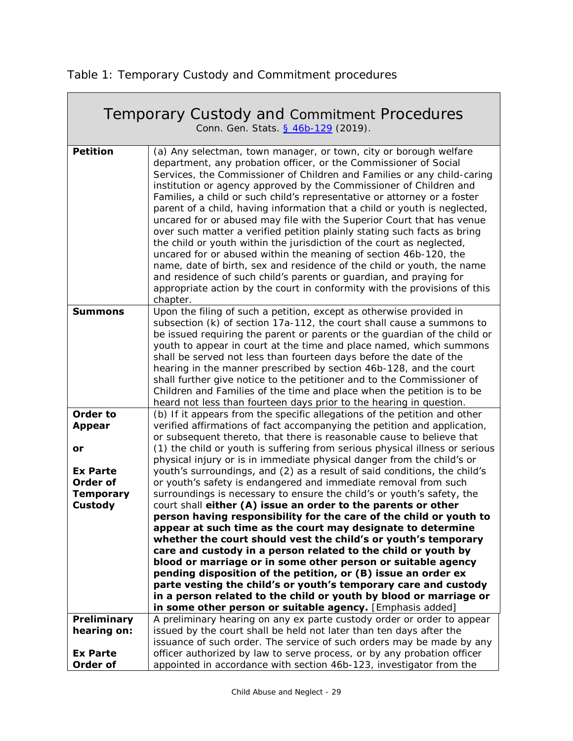<span id="page-28-0"></span>Table 1: Temporary Custody and Commitment procedures

٦

 $\sqrt{2\pi}$ 

| Temporary Custody and Commitment Procedures<br>Conn. Gen. Stats. § 46b-129 (2019).        |                                                                                                                                                                                                                                                                                                                                                                                                                                                                                                                                                                                                                                                                                                                                                                                                                                                                                                                                                                                            |
|-------------------------------------------------------------------------------------------|--------------------------------------------------------------------------------------------------------------------------------------------------------------------------------------------------------------------------------------------------------------------------------------------------------------------------------------------------------------------------------------------------------------------------------------------------------------------------------------------------------------------------------------------------------------------------------------------------------------------------------------------------------------------------------------------------------------------------------------------------------------------------------------------------------------------------------------------------------------------------------------------------------------------------------------------------------------------------------------------|
| <b>Petition</b>                                                                           | (a) Any selectman, town manager, or town, city or borough welfare<br>department, any probation officer, or the Commissioner of Social<br>Services, the Commissioner of Children and Families or any child-caring<br>institution or agency approved by the Commissioner of Children and<br>Families, a child or such child's representative or attorney or a foster<br>parent of a child, having information that a child or youth is neglected,<br>uncared for or abused may file with the Superior Court that has venue<br>over such matter a verified petition plainly stating such facts as bring<br>the child or youth within the jurisdiction of the court as neglected,<br>uncared for or abused within the meaning of section 46b-120, the<br>name, date of birth, sex and residence of the child or youth, the name<br>and residence of such child's parents or guardian, and praying for<br>appropriate action by the court in conformity with the provisions of this<br>chapter. |
| <b>Summons</b>                                                                            | Upon the filing of such a petition, except as otherwise provided in<br>subsection (k) of section 17a-112, the court shall cause a summons to<br>be issued requiring the parent or parents or the guardian of the child or<br>youth to appear in court at the time and place named, which summons<br>shall be served not less than fourteen days before the date of the<br>hearing in the manner prescribed by section 46b-128, and the court<br>shall further give notice to the petitioner and to the Commissioner of<br>Children and Families of the time and place when the petition is to be<br>heard not less than fourteen days prior to the hearing in question.                                                                                                                                                                                                                                                                                                                    |
| <b>Order to</b><br><b>Appear</b><br>or<br><b>Ex Parte</b><br>Order of<br><b>Temporary</b> | (b) If it appears from the specific allegations of the petition and other<br>verified affirmations of fact accompanying the petition and application,<br>or subsequent thereto, that there is reasonable cause to believe that<br>(1) the child or youth is suffering from serious physical illness or serious<br>physical injury or is in immediate physical danger from the child's or<br>youth's surroundings, and (2) as a result of said conditions, the child's<br>or youth's safety is endangered and immediate removal from such<br>surroundings is necessary to ensure the child's or youth's safety, the                                                                                                                                                                                                                                                                                                                                                                         |
| <b>Custody</b>                                                                            | court shall either (A) issue an order to the parents or other<br>person having responsibility for the care of the child or youth to<br>appear at such time as the court may designate to determine<br>whether the court should vest the child's or youth's temporary<br>care and custody in a person related to the child or youth by<br>blood or marriage or in some other person or suitable agency<br>pending disposition of the petition, or (B) issue an order ex<br>parte vesting the child's or youth's temporary care and custody<br>in a person related to the child or youth by blood or marriage or<br>in some other person or suitable agency. [Emphasis added]                                                                                                                                                                                                                                                                                                                |
| Preliminary<br>hearing on:<br><b>Ex Parte</b><br>Order of                                 | A preliminary hearing on any ex parte custody order or order to appear<br>issued by the court shall be held not later than ten days after the<br>issuance of such order. The service of such orders may be made by any<br>officer authorized by law to serve process, or by any probation officer<br>appointed in accordance with section 46b-123, investigator from the                                                                                                                                                                                                                                                                                                                                                                                                                                                                                                                                                                                                                   |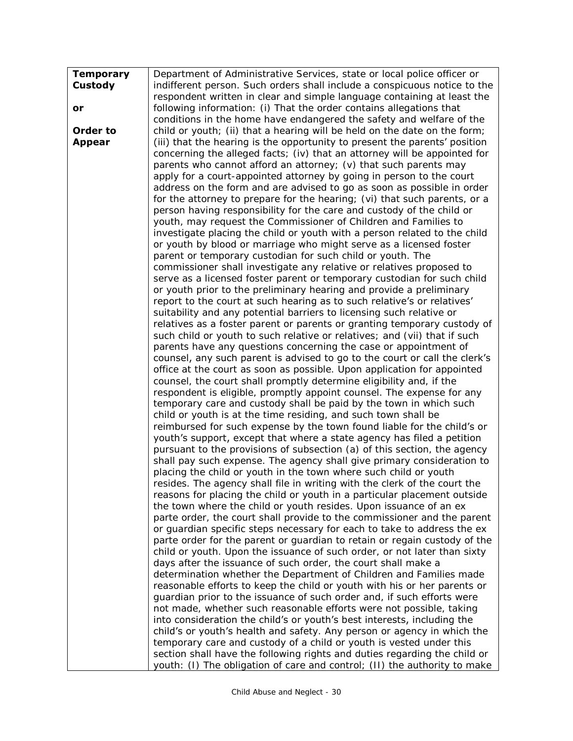| <b>Temporary</b> | Department of Administrative Services, state or local police officer or                                                                               |
|------------------|-------------------------------------------------------------------------------------------------------------------------------------------------------|
| Custody          | indifferent person. Such orders shall include a conspicuous notice to the                                                                             |
|                  | respondent written in clear and simple language containing at least the                                                                               |
| or               | following information: (i) That the order contains allegations that                                                                                   |
|                  | conditions in the home have endangered the safety and welfare of the                                                                                  |
| Order to         | child or youth; (ii) that a hearing will be held on the date on the form;                                                                             |
| <b>Appear</b>    | (iii) that the hearing is the opportunity to present the parents' position                                                                            |
|                  | concerning the alleged facts; (iv) that an attorney will be appointed for                                                                             |
|                  | parents who cannot afford an attorney; $(v)$ that such parents may                                                                                    |
|                  | apply for a court-appointed attorney by going in person to the court                                                                                  |
|                  | address on the form and are advised to go as soon as possible in order                                                                                |
|                  | for the attorney to prepare for the hearing; (vi) that such parents, or a                                                                             |
|                  | person having responsibility for the care and custody of the child or                                                                                 |
|                  | youth, may request the Commissioner of Children and Families to                                                                                       |
|                  | investigate placing the child or youth with a person related to the child                                                                             |
|                  | or youth by blood or marriage who might serve as a licensed foster                                                                                    |
|                  | parent or temporary custodian for such child or youth. The                                                                                            |
|                  | commissioner shall investigate any relative or relatives proposed to                                                                                  |
|                  | serve as a licensed foster parent or temporary custodian for such child                                                                               |
|                  | or youth prior to the preliminary hearing and provide a preliminary                                                                                   |
|                  | report to the court at such hearing as to such relative's or relatives'                                                                               |
|                  | suitability and any potential barriers to licensing such relative or                                                                                  |
|                  | relatives as a foster parent or parents or granting temporary custody of<br>such child or youth to such relative or relatives; and (vii) that if such |
|                  | parents have any questions concerning the case or appointment of                                                                                      |
|                  | counsel, any such parent is advised to go to the court or call the clerk's                                                                            |
|                  | office at the court as soon as possible. Upon application for appointed                                                                               |
|                  | counsel, the court shall promptly determine eligibility and, if the                                                                                   |
|                  | respondent is eligible, promptly appoint counsel. The expense for any                                                                                 |
|                  | temporary care and custody shall be paid by the town in which such                                                                                    |
|                  | child or youth is at the time residing, and such town shall be                                                                                        |
|                  | reimbursed for such expense by the town found liable for the child's or                                                                               |
|                  | youth's support, except that where a state agency has filed a petition                                                                                |
|                  | pursuant to the provisions of subsection (a) of this section, the agency                                                                              |
|                  | shall pay such expense. The agency shall give primary consideration to                                                                                |
|                  | placing the child or youth in the town where such child or youth                                                                                      |
|                  | resides. The agency shall file in writing with the clerk of the court the                                                                             |
|                  | reasons for placing the child or youth in a particular placement outside                                                                              |
|                  | the town where the child or youth resides. Upon issuance of an ex                                                                                     |
|                  | parte order, the court shall provide to the commissioner and the parent                                                                               |
|                  | or guardian specific steps necessary for each to take to address the ex-                                                                              |
|                  | parte order for the parent or quardian to retain or regain custody of the<br>child or youth. Upon the issuance of such order, or not later than sixty |
|                  | days after the issuance of such order, the court shall make a                                                                                         |
|                  | determination whether the Department of Children and Families made                                                                                    |
|                  | reasonable efforts to keep the child or youth with his or her parents or                                                                              |
|                  | guardian prior to the issuance of such order and, if such efforts were                                                                                |
|                  | not made, whether such reasonable efforts were not possible, taking                                                                                   |
|                  | into consideration the child's or youth's best interests, including the                                                                               |
|                  | child's or youth's health and safety. Any person or agency in which the                                                                               |
|                  | temporary care and custody of a child or youth is vested under this                                                                                   |
|                  | section shall have the following rights and duties regarding the child or                                                                             |
|                  | youth: (I) The obligation of care and control; (II) the authority to make                                                                             |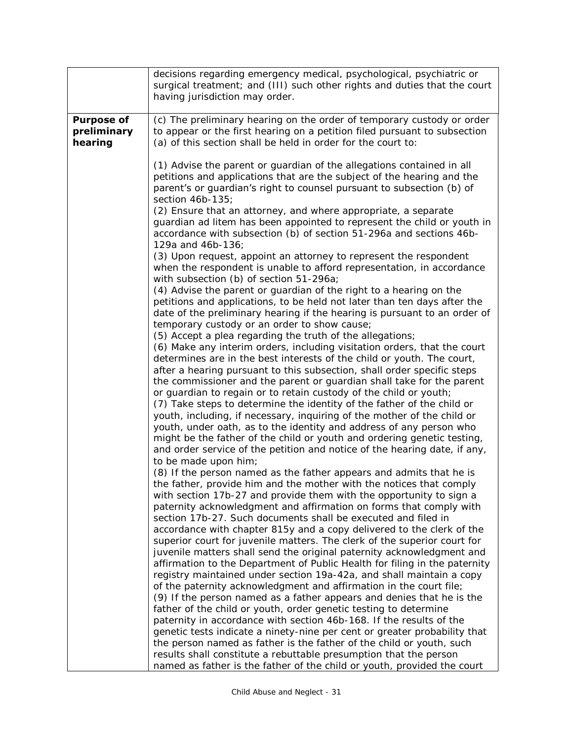|                                             | decisions regarding emergency medical, psychological, psychiatric or<br>surgical treatment; and (III) such other rights and duties that the court<br>having jurisdiction may order.                                                                                                                                                                                                                                                                                                   |
|---------------------------------------------|---------------------------------------------------------------------------------------------------------------------------------------------------------------------------------------------------------------------------------------------------------------------------------------------------------------------------------------------------------------------------------------------------------------------------------------------------------------------------------------|
|                                             |                                                                                                                                                                                                                                                                                                                                                                                                                                                                                       |
| <b>Purpose of</b><br>preliminary<br>hearing | (c) The preliminary hearing on the order of temporary custody or order<br>to appear or the first hearing on a petition filed pursuant to subsection<br>(a) of this section shall be held in order for the court to:                                                                                                                                                                                                                                                                   |
|                                             | (1) Advise the parent or guardian of the allegations contained in all<br>petitions and applications that are the subject of the hearing and the<br>parent's or guardian's right to counsel pursuant to subsection (b) of<br>section 46b-135;<br>(2) Ensure that an attorney, and where appropriate, a separate<br>guardian ad litem has been appointed to represent the child or youth in<br>accordance with subsection (b) of section 51-296a and sections 46b-<br>129a and 46b-136; |
|                                             | (3) Upon request, appoint an attorney to represent the respondent<br>when the respondent is unable to afford representation, in accordance<br>with subsection (b) of section 51-296a;                                                                                                                                                                                                                                                                                                 |
|                                             | (4) Advise the parent or guardian of the right to a hearing on the<br>petitions and applications, to be held not later than ten days after the<br>date of the preliminary hearing if the hearing is pursuant to an order of<br>temporary custody or an order to show cause;                                                                                                                                                                                                           |
|                                             | (5) Accept a plea regarding the truth of the allegations;<br>(6) Make any interim orders, including visitation orders, that the court<br>determines are in the best interests of the child or youth. The court,<br>after a hearing pursuant to this subsection, shall order specific steps<br>the commissioner and the parent or guardian shall take for the parent<br>or guardian to regain or to retain custody of the child or youth;                                              |
|                                             | (7) Take steps to determine the identity of the father of the child or<br>youth, including, if necessary, inquiring of the mother of the child or<br>youth, under oath, as to the identity and address of any person who<br>might be the father of the child or youth and ordering genetic testing,<br>and order service of the petition and notice of the hearing date, if any,<br>to be made upon him;                                                                              |
|                                             | (8) If the person named as the father appears and admits that he is<br>the father, provide him and the mother with the notices that comply<br>with section 17b-27 and provide them with the opportunity to sign a<br>paternity acknowledgment and affirmation on forms that comply with<br>section 17b-27. Such documents shall be executed and filed in                                                                                                                              |
|                                             | accordance with chapter 815y and a copy delivered to the clerk of the<br>superior court for juvenile matters. The clerk of the superior court for<br>juvenile matters shall send the original paternity acknowledgment and<br>affirmation to the Department of Public Health for filing in the paternity<br>registry maintained under section 19a-42a, and shall maintain a copy<br>of the paternity acknowledgment and affirmation in the court file;                                |
|                                             | (9) If the person named as a father appears and denies that he is the<br>father of the child or youth, order genetic testing to determine<br>paternity in accordance with section 46b-168. If the results of the<br>genetic tests indicate a ninety-nine per cent or greater probability that<br>the person named as father is the father of the child or youth, such                                                                                                                 |
|                                             | results shall constitute a rebuttable presumption that the person<br>named as father is the father of the child or youth, provided the court                                                                                                                                                                                                                                                                                                                                          |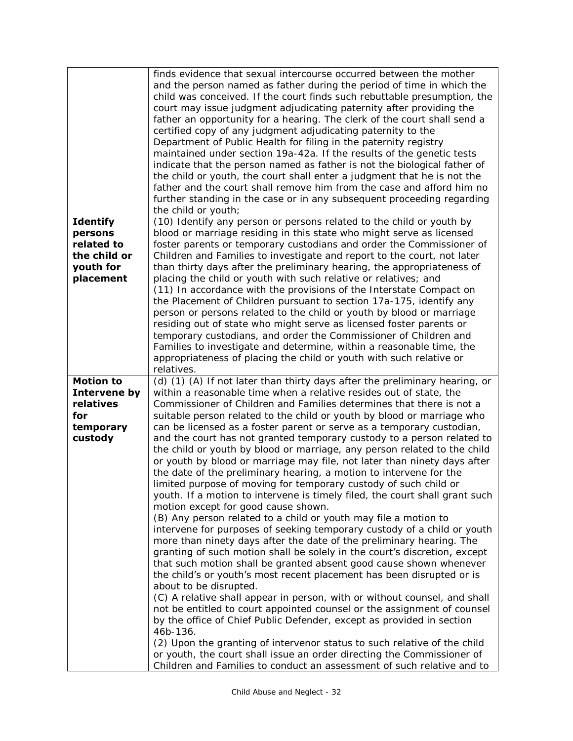| <b>Identify</b><br>persons<br>related to<br>the child or<br>youth for<br>placement | finds evidence that sexual intercourse occurred between the mother<br>and the person named as father during the period of time in which the<br>child was conceived. If the court finds such rebuttable presumption, the<br>court may issue judgment adjudicating paternity after providing the<br>father an opportunity for a hearing. The clerk of the court shall send a<br>certified copy of any judgment adjudicating paternity to the<br>Department of Public Health for filing in the paternity registry<br>maintained under section 19a-42a. If the results of the genetic tests<br>indicate that the person named as father is not the biological father of<br>the child or youth, the court shall enter a judgment that he is not the<br>father and the court shall remove him from the case and afford him no<br>further standing in the case or in any subsequent proceeding regarding<br>the child or youth;<br>(10) Identify any person or persons related to the child or youth by<br>blood or marriage residing in this state who might serve as licensed<br>foster parents or temporary custodians and order the Commissioner of<br>Children and Families to investigate and report to the court, not later<br>than thirty days after the preliminary hearing, the appropriateness of<br>placing the child or youth with such relative or relatives; and<br>(11) In accordance with the provisions of the Interstate Compact on<br>the Placement of Children pursuant to section 17a-175, identify any<br>person or persons related to the child or youth by blood or marriage<br>residing out of state who might serve as licensed foster parents or<br>temporary custodians, and order the Commissioner of Children and<br>Families to investigate and determine, within a reasonable time, the<br>appropriateness of placing the child or youth with such relative or<br>relatives. |
|------------------------------------------------------------------------------------|--------------------------------------------------------------------------------------------------------------------------------------------------------------------------------------------------------------------------------------------------------------------------------------------------------------------------------------------------------------------------------------------------------------------------------------------------------------------------------------------------------------------------------------------------------------------------------------------------------------------------------------------------------------------------------------------------------------------------------------------------------------------------------------------------------------------------------------------------------------------------------------------------------------------------------------------------------------------------------------------------------------------------------------------------------------------------------------------------------------------------------------------------------------------------------------------------------------------------------------------------------------------------------------------------------------------------------------------------------------------------------------------------------------------------------------------------------------------------------------------------------------------------------------------------------------------------------------------------------------------------------------------------------------------------------------------------------------------------------------------------------------------------------------------------------------------------------------------------------------------------------------------------------|
| <b>Motion to</b><br>Intervene by<br>relatives<br>for                               | (d) (1) (A) If not later than thirty days after the preliminary hearing, or<br>within a reasonable time when a relative resides out of state, the<br>Commissioner of Children and Families determines that there is not a<br>suitable person related to the child or youth by blood or marriage who                                                                                                                                                                                                                                                                                                                                                                                                                                                                                                                                                                                                                                                                                                                                                                                                                                                                                                                                                                                                                                                                                                                                                                                                                                                                                                                                                                                                                                                                                                                                                                                                    |
| temporary<br>custody                                                               | can be licensed as a foster parent or serve as a temporary custodian,<br>and the court has not granted temporary custody to a person related to<br>the child or youth by blood or marriage, any person related to the child<br>or youth by blood or marriage may file, not later than ninety days after<br>the date of the preliminary hearing, a motion to intervene for the<br>limited purpose of moving for temporary custody of such child or<br>youth. If a motion to intervene is timely filed, the court shall grant such<br>motion except for good cause shown.                                                                                                                                                                                                                                                                                                                                                                                                                                                                                                                                                                                                                                                                                                                                                                                                                                                                                                                                                                                                                                                                                                                                                                                                                                                                                                                                |
|                                                                                    | (B) Any person related to a child or youth may file a motion to<br>intervene for purposes of seeking temporary custody of a child or youth<br>more than ninety days after the date of the preliminary hearing. The<br>granting of such motion shall be solely in the court's discretion, except<br>that such motion shall be granted absent good cause shown whenever<br>the child's or youth's most recent placement has been disrupted or is                                                                                                                                                                                                                                                                                                                                                                                                                                                                                                                                                                                                                                                                                                                                                                                                                                                                                                                                                                                                                                                                                                                                                                                                                                                                                                                                                                                                                                                         |
|                                                                                    | about to be disrupted.<br>(C) A relative shall appear in person, with or without counsel, and shall<br>not be entitled to court appointed counsel or the assignment of counsel<br>by the office of Chief Public Defender, except as provided in section<br>46b-136.<br>(2) Upon the granting of intervenor status to such relative of the child<br>or youth, the court shall issue an order directing the Commissioner of<br>Children and Families to conduct an assessment of such relative and to                                                                                                                                                                                                                                                                                                                                                                                                                                                                                                                                                                                                                                                                                                                                                                                                                                                                                                                                                                                                                                                                                                                                                                                                                                                                                                                                                                                                    |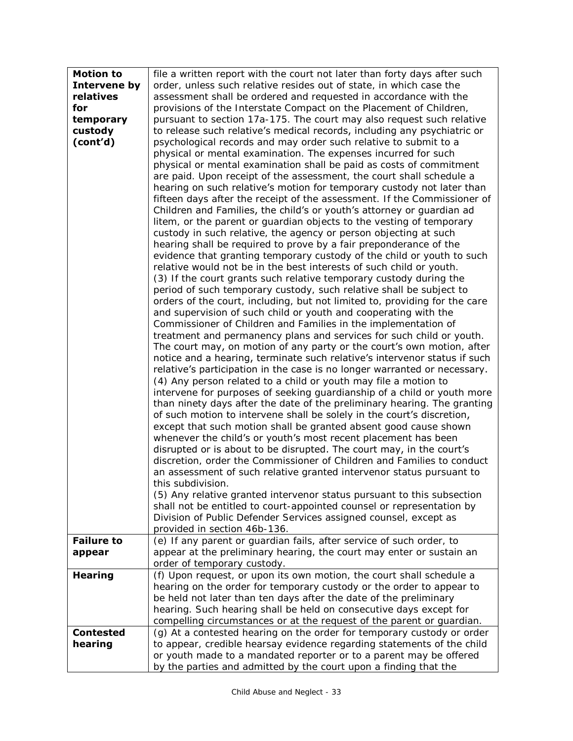| <b>Motion to</b>  | file a written report with the court not later than forty days after such                                                          |
|-------------------|------------------------------------------------------------------------------------------------------------------------------------|
| Intervene by      | order, unless such relative resides out of state, in which case the                                                                |
| relatives         | assessment shall be ordered and requested in accordance with the                                                                   |
| for               | provisions of the Interstate Compact on the Placement of Children,                                                                 |
| temporary         | pursuant to section 17a-175. The court may also request such relative                                                              |
| custody           | to release such relative's medical records, including any psychiatric or                                                           |
| (cont'd)          | psychological records and may order such relative to submit to a                                                                   |
|                   | physical or mental examination. The expenses incurred for such                                                                     |
|                   | physical or mental examination shall be paid as costs of commitment                                                                |
|                   | are paid. Upon receipt of the assessment, the court shall schedule a                                                               |
|                   | hearing on such relative's motion for temporary custody not later than                                                             |
|                   | fifteen days after the receipt of the assessment. If the Commissioner of                                                           |
|                   | Children and Families, the child's or youth's attorney or guardian ad                                                              |
|                   | litem, or the parent or guardian objects to the vesting of temporary                                                               |
|                   | custody in such relative, the agency or person objecting at such                                                                   |
|                   | hearing shall be required to prove by a fair preponderance of the                                                                  |
|                   | evidence that granting temporary custody of the child or youth to such                                                             |
|                   | relative would not be in the best interests of such child or youth.                                                                |
|                   | (3) If the court grants such relative temporary custody during the                                                                 |
|                   | period of such temporary custody, such relative shall be subject to                                                                |
|                   | orders of the court, including, but not limited to, providing for the care                                                         |
|                   | and supervision of such child or youth and cooperating with the                                                                    |
|                   | Commissioner of Children and Families in the implementation of                                                                     |
|                   | treatment and permanency plans and services for such child or youth.                                                               |
|                   | The court may, on motion of any party or the court's own motion, after                                                             |
|                   | notice and a hearing, terminate such relative's intervenor status if such                                                          |
|                   | relative's participation in the case is no longer warranted or necessary.                                                          |
|                   | (4) Any person related to a child or youth may file a motion to                                                                    |
|                   | intervene for purposes of seeking guardianship of a child or youth more                                                            |
|                   | than ninety days after the date of the preliminary hearing. The granting                                                           |
|                   | of such motion to intervene shall be solely in the court's discretion,                                                             |
|                   | except that such motion shall be granted absent good cause shown<br>whenever the child's or youth's most recent placement has been |
|                   | disrupted or is about to be disrupted. The court may, in the court's                                                               |
|                   | discretion, order the Commissioner of Children and Families to conduct                                                             |
|                   | an assessment of such relative granted intervenor status pursuant to                                                               |
|                   | this subdivision.                                                                                                                  |
|                   | (5) Any relative granted intervenor status pursuant to this subsection                                                             |
|                   | shall not be entitled to court-appointed counsel or representation by                                                              |
|                   | Division of Public Defender Services assigned counsel, except as                                                                   |
|                   | provided in section 46b-136.                                                                                                       |
| <b>Failure to</b> | (e) If any parent or guardian fails, after service of such order, to                                                               |
| appear            | appear at the preliminary hearing, the court may enter or sustain an                                                               |
|                   | order of temporary custody.                                                                                                        |
| <b>Hearing</b>    | (f) Upon request, or upon its own motion, the court shall schedule a                                                               |
|                   | hearing on the order for temporary custody or the order to appear to                                                               |
|                   | be held not later than ten days after the date of the preliminary                                                                  |
|                   | hearing. Such hearing shall be held on consecutive days except for                                                                 |
|                   | compelling circumstances or at the request of the parent or guardian.                                                              |
| <b>Contested</b>  | (g) At a contested hearing on the order for temporary custody or order                                                             |
| hearing           | to appear, credible hearsay evidence regarding statements of the child                                                             |
|                   | or youth made to a mandated reporter or to a parent may be offered                                                                 |
|                   | by the parties and admitted by the court upon a finding that the                                                                   |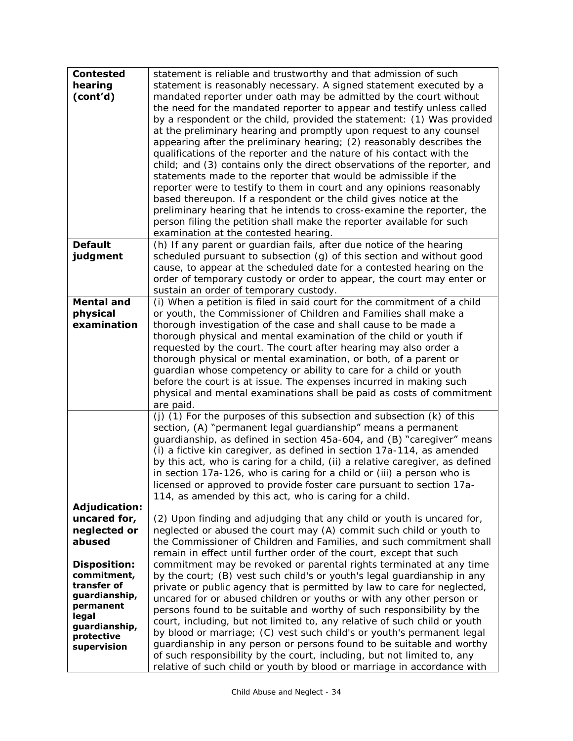| <b>Contested</b><br>hearing<br>(cont'd)                                                                                                | statement is reliable and trustworthy and that admission of such<br>statement is reasonably necessary. A signed statement executed by a<br>mandated reporter under oath may be admitted by the court without<br>the need for the mandated reporter to appear and testify unless called<br>by a respondent or the child, provided the statement: (1) Was provided<br>at the preliminary hearing and promptly upon request to any counsel<br>appearing after the preliminary hearing; (2) reasonably describes the<br>qualifications of the reporter and the nature of his contact with the<br>child; and (3) contains only the direct observations of the reporter, and<br>statements made to the reporter that would be admissible if the<br>reporter were to testify to them in court and any opinions reasonably<br>based thereupon. If a respondent or the child gives notice at the<br>preliminary hearing that he intends to cross-examine the reporter, the<br>person filing the petition shall make the reporter available for such<br>examination at the contested hearing. |
|----------------------------------------------------------------------------------------------------------------------------------------|-------------------------------------------------------------------------------------------------------------------------------------------------------------------------------------------------------------------------------------------------------------------------------------------------------------------------------------------------------------------------------------------------------------------------------------------------------------------------------------------------------------------------------------------------------------------------------------------------------------------------------------------------------------------------------------------------------------------------------------------------------------------------------------------------------------------------------------------------------------------------------------------------------------------------------------------------------------------------------------------------------------------------------------------------------------------------------------|
| <b>Default</b><br>judgment                                                                                                             | (h) If any parent or guardian fails, after due notice of the hearing<br>scheduled pursuant to subsection (g) of this section and without good<br>cause, to appear at the scheduled date for a contested hearing on the<br>order of temporary custody or order to appear, the court may enter or<br>sustain an order of temporary custody.                                                                                                                                                                                                                                                                                                                                                                                                                                                                                                                                                                                                                                                                                                                                           |
| <b>Mental and</b><br>physical<br>examination                                                                                           | (i) When a petition is filed in said court for the commitment of a child<br>or youth, the Commissioner of Children and Families shall make a<br>thorough investigation of the case and shall cause to be made a<br>thorough physical and mental examination of the child or youth if<br>requested by the court. The court after hearing may also order a<br>thorough physical or mental examination, or both, of a parent or<br>guardian whose competency or ability to care for a child or youth<br>before the court is at issue. The expenses incurred in making such<br>physical and mental examinations shall be paid as costs of commitment<br>are paid.                                                                                                                                                                                                                                                                                                                                                                                                                       |
| <b>Adjudication:</b>                                                                                                                   | (j) (1) For the purposes of this subsection and subsection (k) of this<br>section, (A) "permanent legal guardianship" means a permanent<br>quardianship, as defined in section 45a-604, and (B) "caregiver" means<br>(i) a fictive kin caregiver, as defined in section 17a-114, as amended<br>by this act, who is caring for a child, (ii) a relative caregiver, as defined<br>in section 17a-126, who is caring for a child or (iii) a person who is<br>licensed or approved to provide foster care pursuant to section 17a-<br>114, as amended by this act, who is caring for a child.                                                                                                                                                                                                                                                                                                                                                                                                                                                                                           |
| uncared for,<br>neglected or<br>abused                                                                                                 | (2) Upon finding and adjudging that any child or youth is uncared for,<br>neglected or abused the court may (A) commit such child or youth to<br>the Commissioner of Children and Families, and such commitment shall<br>remain in effect until further order of the court, except that such                                                                                                                                                                                                                                                                                                                                                                                                                                                                                                                                                                                                                                                                                                                                                                                        |
| <b>Disposition:</b><br>commitment,<br>transfer of<br>guardianship,<br>permanent<br>legal<br>guardianship,<br>protective<br>supervision | commitment may be revoked or parental rights terminated at any time<br>by the court; (B) vest such child's or youth's legal guardianship in any<br>private or public agency that is permitted by law to care for neglected,<br>uncared for or abused children or youths or with any other person or<br>persons found to be suitable and worthy of such responsibility by the<br>court, including, but not limited to, any relative of such child or youth<br>by blood or marriage; (C) vest such child's or youth's permanent legal<br>guardianship in any person or persons found to be suitable and worthy<br>of such responsibility by the court, including, but not limited to, any<br>relative of such child or youth by blood or marriage in accordance with                                                                                                                                                                                                                                                                                                                  |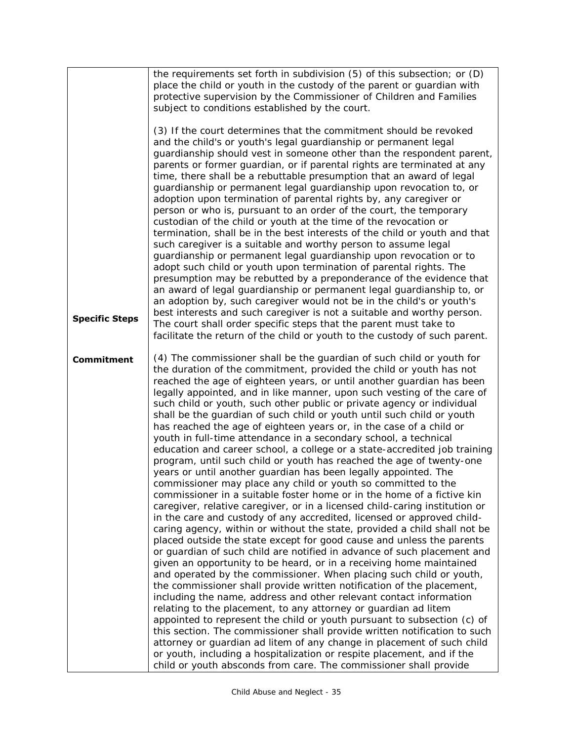|                       | the requirements set forth in subdivision (5) of this subsection; or (D)<br>place the child or youth in the custody of the parent or guardian with<br>protective supervision by the Commissioner of Children and Families<br>subject to conditions established by the court.                                                                                                                                                                                                                                                                                                                                                                                                                                                                                                                                                                                                                                                                                                                                                                                                                                                                                                                                                                                                                                                                                                                                                                                                                                                                                                                                                                                                                                                                                                                                                                                                                                                                                                                                                                                                                                  |
|-----------------------|---------------------------------------------------------------------------------------------------------------------------------------------------------------------------------------------------------------------------------------------------------------------------------------------------------------------------------------------------------------------------------------------------------------------------------------------------------------------------------------------------------------------------------------------------------------------------------------------------------------------------------------------------------------------------------------------------------------------------------------------------------------------------------------------------------------------------------------------------------------------------------------------------------------------------------------------------------------------------------------------------------------------------------------------------------------------------------------------------------------------------------------------------------------------------------------------------------------------------------------------------------------------------------------------------------------------------------------------------------------------------------------------------------------------------------------------------------------------------------------------------------------------------------------------------------------------------------------------------------------------------------------------------------------------------------------------------------------------------------------------------------------------------------------------------------------------------------------------------------------------------------------------------------------------------------------------------------------------------------------------------------------------------------------------------------------------------------------------------------------|
| <b>Specific Steps</b> | (3) If the court determines that the commitment should be revoked<br>and the child's or youth's legal guardianship or permanent legal<br>guardianship should vest in someone other than the respondent parent,<br>parents or former guardian, or if parental rights are terminated at any<br>time, there shall be a rebuttable presumption that an award of legal<br>guardianship or permanent legal guardianship upon revocation to, or<br>adoption upon termination of parental rights by, any caregiver or<br>person or who is, pursuant to an order of the court, the temporary<br>custodian of the child or youth at the time of the revocation or<br>termination, shall be in the best interests of the child or youth and that<br>such caregiver is a suitable and worthy person to assume legal<br>guardianship or permanent legal guardianship upon revocation or to<br>adopt such child or youth upon termination of parental rights. The<br>presumption may be rebutted by a preponderance of the evidence that<br>an award of legal guardianship or permanent legal guardianship to, or<br>an adoption by, such caregiver would not be in the child's or youth's<br>best interests and such caregiver is not a suitable and worthy person.<br>The court shall order specific steps that the parent must take to<br>facilitate the return of the child or youth to the custody of such parent.                                                                                                                                                                                                                                                                                                                                                                                                                                                                                                                                                                                                                                                                                                     |
| <b>Commitment</b>     | (4) The commissioner shall be the guardian of such child or youth for<br>the duration of the commitment, provided the child or youth has not<br>reached the age of eighteen years, or until another guardian has been<br>legally appointed, and in like manner, upon such vesting of the care of<br>such child or youth, such other public or private agency or individual<br>shall be the guardian of such child or youth until such child or youth<br>has reached the age of eighteen years or, in the case of a child or<br>youth in full-time attendance in a secondary school, a technical<br>education and career school, a college or a state-accredited job training<br>program, until such child or youth has reached the age of twenty-one<br>years or until another guardian has been legally appointed. The<br>commissioner may place any child or youth so committed to the<br>commissioner in a suitable foster home or in the home of a fictive kin<br>caregiver, relative caregiver, or in a licensed child-caring institution or<br>in the care and custody of any accredited, licensed or approved child-<br>caring agency, within or without the state, provided a child shall not be<br>placed outside the state except for good cause and unless the parents<br>or guardian of such child are notified in advance of such placement and<br>given an opportunity to be heard, or in a receiving home maintained<br>and operated by the commissioner. When placing such child or youth,<br>the commissioner shall provide written notification of the placement,<br>including the name, address and other relevant contact information<br>relating to the placement, to any attorney or guardian ad litem<br>appointed to represent the child or youth pursuant to subsection (c) of<br>this section. The commissioner shall provide written notification to such<br>attorney or guardian ad litem of any change in placement of such child<br>or youth, including a hospitalization or respite placement, and if the<br>child or youth absconds from care. The commissioner shall provide |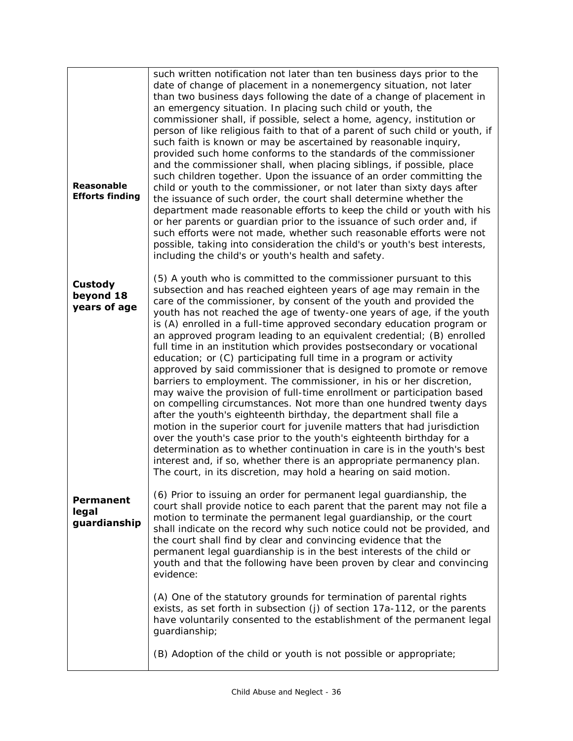| <b>Reasonable</b><br><b>Efforts finding</b> | such written notification not later than ten business days prior to the<br>date of change of placement in a nonemergency situation, not later<br>than two business days following the date of a change of placement in<br>an emergency situation. In placing such child or youth, the<br>commissioner shall, if possible, select a home, agency, institution or<br>person of like religious faith to that of a parent of such child or youth, if<br>such faith is known or may be ascertained by reasonable inquiry,<br>provided such home conforms to the standards of the commissioner<br>and the commissioner shall, when placing siblings, if possible, place<br>such children together. Upon the issuance of an order committing the<br>child or youth to the commissioner, or not later than sixty days after<br>the issuance of such order, the court shall determine whether the<br>department made reasonable efforts to keep the child or youth with his<br>or her parents or guardian prior to the issuance of such order and, if<br>such efforts were not made, whether such reasonable efforts were not<br>possible, taking into consideration the child's or youth's best interests,<br>including the child's or youth's health and safety.                                                                                 |
|---------------------------------------------|-------------------------------------------------------------------------------------------------------------------------------------------------------------------------------------------------------------------------------------------------------------------------------------------------------------------------------------------------------------------------------------------------------------------------------------------------------------------------------------------------------------------------------------------------------------------------------------------------------------------------------------------------------------------------------------------------------------------------------------------------------------------------------------------------------------------------------------------------------------------------------------------------------------------------------------------------------------------------------------------------------------------------------------------------------------------------------------------------------------------------------------------------------------------------------------------------------------------------------------------------------------------------------------------------------------------------------------------|
| <b>Custody</b><br>beyond 18<br>years of age | (5) A youth who is committed to the commissioner pursuant to this<br>subsection and has reached eighteen years of age may remain in the<br>care of the commissioner, by consent of the youth and provided the<br>youth has not reached the age of twenty-one years of age, if the youth<br>is (A) enrolled in a full-time approved secondary education program or<br>an approved program leading to an equivalent credential; (B) enrolled<br>full time in an institution which provides postsecondary or vocational<br>education; or (C) participating full time in a program or activity<br>approved by said commissioner that is designed to promote or remove<br>barriers to employment. The commissioner, in his or her discretion,<br>may waive the provision of full-time enrollment or participation based<br>on compelling circumstances. Not more than one hundred twenty days<br>after the youth's eighteenth birthday, the department shall file a<br>motion in the superior court for juvenile matters that had jurisdiction<br>over the youth's case prior to the youth's eighteenth birthday for a<br>determination as to whether continuation in care is in the youth's best<br>interest and, if so, whether there is an appropriate permanency plan.<br>The court, in its discretion, may hold a hearing on said motion. |
| <b>Permanent</b><br>legal<br>guardianship   | (6) Prior to issuing an order for permanent legal guardianship, the<br>court shall provide notice to each parent that the parent may not file a<br>motion to terminate the permanent legal guardianship, or the court<br>shall indicate on the record why such notice could not be provided, and<br>the court shall find by clear and convincing evidence that the<br>permanent legal guardianship is in the best interests of the child or<br>youth and that the following have been proven by clear and convincing<br>evidence:<br>(A) One of the statutory grounds for termination of parental rights<br>exists, as set forth in subsection (j) of section 17a-112, or the parents<br>have voluntarily consented to the establishment of the permanent legal<br>guardianship;                                                                                                                                                                                                                                                                                                                                                                                                                                                                                                                                                          |
|                                             | (B) Adoption of the child or youth is not possible or appropriate;                                                                                                                                                                                                                                                                                                                                                                                                                                                                                                                                                                                                                                                                                                                                                                                                                                                                                                                                                                                                                                                                                                                                                                                                                                                                        |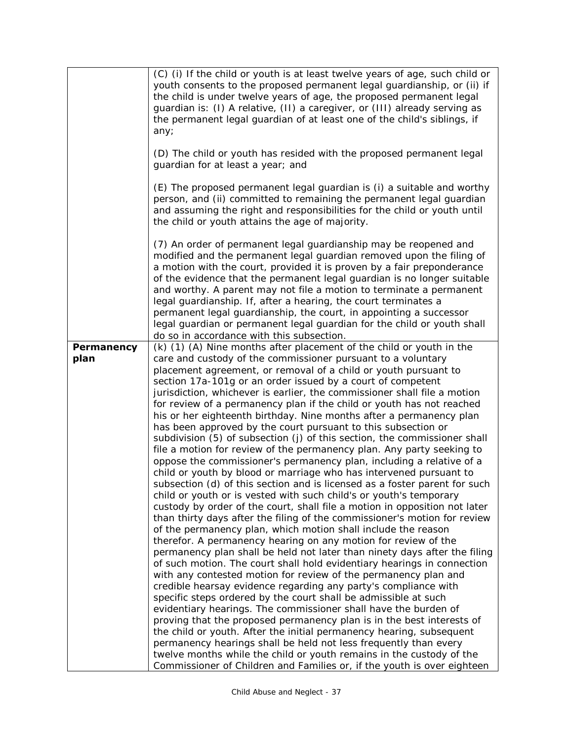|                           | (C) (i) If the child or youth is at least twelve years of age, such child or<br>youth consents to the proposed permanent legal guardianship, or (ii) if<br>the child is under twelve years of age, the proposed permanent legal<br>guardian is: (I) A relative, (II) a caregiver, or (III) already serving as<br>the permanent legal guardian of at least one of the child's siblings, if<br>any;                                                                                                                                                                                                                                                                                                                                                                                                                                                                                                                                                                                                                                                                                                                                                                                                                                                                                                                                                                                                                                                                                                                                                                                                                                                                                                                                                                                                                                                                                                                                                                                                                                                                                                                                     |
|---------------------------|---------------------------------------------------------------------------------------------------------------------------------------------------------------------------------------------------------------------------------------------------------------------------------------------------------------------------------------------------------------------------------------------------------------------------------------------------------------------------------------------------------------------------------------------------------------------------------------------------------------------------------------------------------------------------------------------------------------------------------------------------------------------------------------------------------------------------------------------------------------------------------------------------------------------------------------------------------------------------------------------------------------------------------------------------------------------------------------------------------------------------------------------------------------------------------------------------------------------------------------------------------------------------------------------------------------------------------------------------------------------------------------------------------------------------------------------------------------------------------------------------------------------------------------------------------------------------------------------------------------------------------------------------------------------------------------------------------------------------------------------------------------------------------------------------------------------------------------------------------------------------------------------------------------------------------------------------------------------------------------------------------------------------------------------------------------------------------------------------------------------------------------|
|                           | (D) The child or youth has resided with the proposed permanent legal<br>guardian for at least a year; and                                                                                                                                                                                                                                                                                                                                                                                                                                                                                                                                                                                                                                                                                                                                                                                                                                                                                                                                                                                                                                                                                                                                                                                                                                                                                                                                                                                                                                                                                                                                                                                                                                                                                                                                                                                                                                                                                                                                                                                                                             |
|                           | (E) The proposed permanent legal guardian is (i) a suitable and worthy<br>person, and (ii) committed to remaining the permanent legal guardian<br>and assuming the right and responsibilities for the child or youth until<br>the child or youth attains the age of majority.                                                                                                                                                                                                                                                                                                                                                                                                                                                                                                                                                                                                                                                                                                                                                                                                                                                                                                                                                                                                                                                                                                                                                                                                                                                                                                                                                                                                                                                                                                                                                                                                                                                                                                                                                                                                                                                         |
|                           | (7) An order of permanent legal guardianship may be reopened and<br>modified and the permanent legal guardian removed upon the filing of<br>a motion with the court, provided it is proven by a fair preponderance<br>of the evidence that the permanent legal guardian is no longer suitable<br>and worthy. A parent may not file a motion to terminate a permanent<br>legal guardianship. If, after a hearing, the court terminates a<br>permanent legal guardianship, the court, in appointing a successor<br>legal guardian or permanent legal guardian for the child or youth shall<br>do so in accordance with this subsection.                                                                                                                                                                                                                                                                                                                                                                                                                                                                                                                                                                                                                                                                                                                                                                                                                                                                                                                                                                                                                                                                                                                                                                                                                                                                                                                                                                                                                                                                                                 |
| <b>Permanency</b><br>plan | (k) (1) (A) Nine months after placement of the child or youth in the<br>care and custody of the commissioner pursuant to a voluntary<br>placement agreement, or removal of a child or youth pursuant to<br>section 17a-101g or an order issued by a court of competent<br>jurisdiction, whichever is earlier, the commissioner shall file a motion<br>for review of a permanency plan if the child or youth has not reached<br>his or her eighteenth birthday. Nine months after a permanency plan<br>has been approved by the court pursuant to this subsection or<br>subdivision (5) of subsection (j) of this section, the commissioner shall<br>file a motion for review of the permanency plan. Any party seeking to<br>oppose the commissioner's permanency plan, including a relative of a<br>child or youth by blood or marriage who has intervened pursuant to<br>subsection (d) of this section and is licensed as a foster parent for such<br>child or youth or is vested with such child's or youth's temporary<br>custody by order of the court, shall file a motion in opposition not later<br>than thirty days after the filing of the commissioner's motion for review<br>of the permanency plan, which motion shall include the reason<br>therefor. A permanency hearing on any motion for review of the<br>permanency plan shall be held not later than ninety days after the filing<br>of such motion. The court shall hold evidentiary hearings in connection<br>with any contested motion for review of the permanency plan and<br>credible hearsay evidence regarding any party's compliance with<br>specific steps ordered by the court shall be admissible at such<br>evidentiary hearings. The commissioner shall have the burden of<br>proving that the proposed permanency plan is in the best interests of<br>the child or youth. After the initial permanency hearing, subsequent<br>permanency hearings shall be held not less frequently than every<br>twelve months while the child or youth remains in the custody of the<br>Commissioner of Children and Families or, if the youth is over eighteen |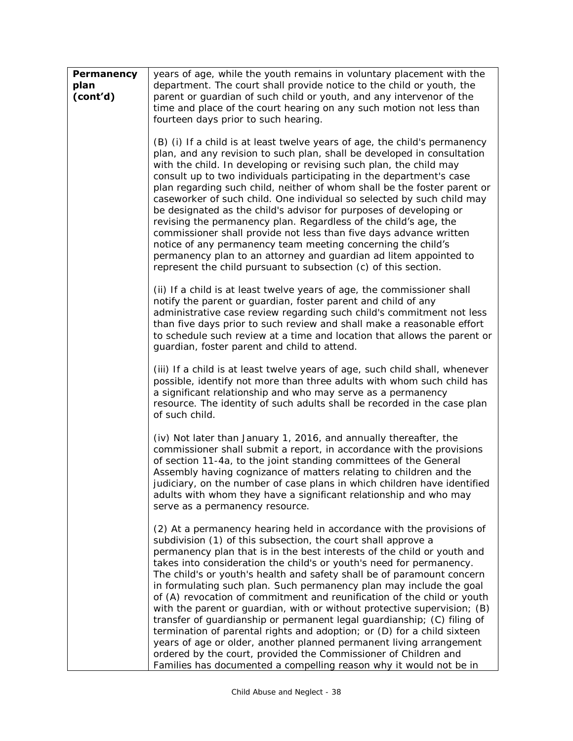| <b>Permanency</b><br>plan<br>(cont'd) | years of age, while the youth remains in voluntary placement with the<br>department. The court shall provide notice to the child or youth, the<br>parent or guardian of such child or youth, and any intervenor of the<br>time and place of the court hearing on any such motion not less than<br>fourteen days prior to such hearing.                                                                                                                                                                                                                                                                                                                                                                                                                                                                                                                                                                                                                                  |
|---------------------------------------|-------------------------------------------------------------------------------------------------------------------------------------------------------------------------------------------------------------------------------------------------------------------------------------------------------------------------------------------------------------------------------------------------------------------------------------------------------------------------------------------------------------------------------------------------------------------------------------------------------------------------------------------------------------------------------------------------------------------------------------------------------------------------------------------------------------------------------------------------------------------------------------------------------------------------------------------------------------------------|
|                                       | (B) (i) If a child is at least twelve years of age, the child's permanency<br>plan, and any revision to such plan, shall be developed in consultation<br>with the child. In developing or revising such plan, the child may<br>consult up to two individuals participating in the department's case<br>plan regarding such child, neither of whom shall be the foster parent or<br>caseworker of such child. One individual so selected by such child may<br>be designated as the child's advisor for purposes of developing or<br>revising the permanency plan. Regardless of the child's age, the<br>commissioner shall provide not less than five days advance written<br>notice of any permanency team meeting concerning the child's<br>permanency plan to an attorney and guardian ad litem appointed to<br>represent the child pursuant to subsection (c) of this section.                                                                                       |
|                                       | (ii) If a child is at least twelve years of age, the commissioner shall<br>notify the parent or guardian, foster parent and child of any<br>administrative case review regarding such child's commitment not less<br>than five days prior to such review and shall make a reasonable effort<br>to schedule such review at a time and location that allows the parent or<br>guardian, foster parent and child to attend.                                                                                                                                                                                                                                                                                                                                                                                                                                                                                                                                                 |
|                                       | (iii) If a child is at least twelve years of age, such child shall, whenever<br>possible, identify not more than three adults with whom such child has<br>a significant relationship and who may serve as a permanency<br>resource. The identity of such adults shall be recorded in the case plan<br>of such child.                                                                                                                                                                                                                                                                                                                                                                                                                                                                                                                                                                                                                                                    |
|                                       | (iv) Not later than January 1, 2016, and annually thereafter, the<br>commissioner shall submit a report, in accordance with the provisions<br>of section 11-4a, to the joint standing committees of the General<br>Assembly having cognizance of matters relating to children and the<br>judiciary, on the number of case plans in which children have identified<br>adults with whom they have a significant relationship and who may<br>serve as a permanency resource.                                                                                                                                                                                                                                                                                                                                                                                                                                                                                               |
|                                       | (2) At a permanency hearing held in accordance with the provisions of<br>subdivision (1) of this subsection, the court shall approve a<br>permanency plan that is in the best interests of the child or youth and<br>takes into consideration the child's or youth's need for permanency.<br>The child's or youth's health and safety shall be of paramount concern<br>in formulating such plan. Such permanency plan may include the goal<br>of (A) revocation of commitment and reunification of the child or youth<br>with the parent or guardian, with or without protective supervision; (B)<br>transfer of guardianship or permanent legal guardianship; (C) filing of<br>termination of parental rights and adoption; or (D) for a child sixteen<br>years of age or older, another planned permanent living arrangement<br>ordered by the court, provided the Commissioner of Children and<br>Families has documented a compelling reason why it would not be in |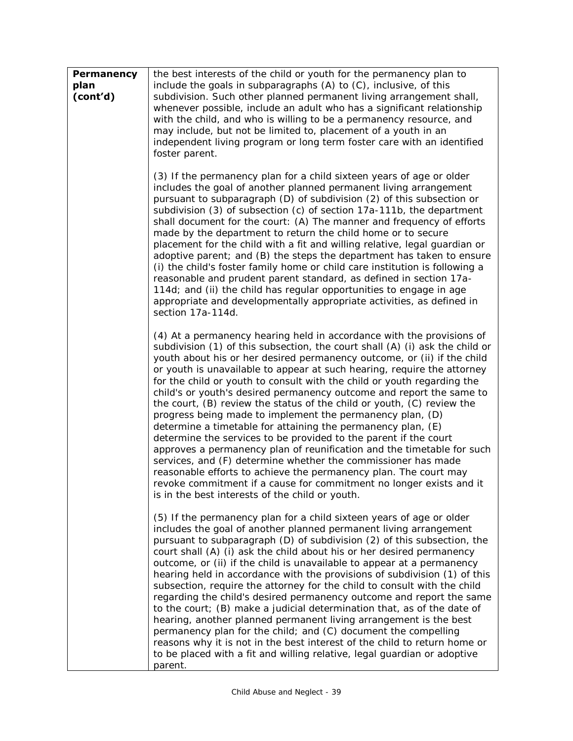| <b>Permanency</b><br>plan<br>(cont'd) | the best interests of the child or youth for the permanency plan to<br>include the goals in subparagraphs (A) to (C), inclusive, of this<br>subdivision. Such other planned permanent living arrangement shall,<br>whenever possible, include an adult who has a significant relationship<br>with the child, and who is willing to be a permanency resource, and<br>may include, but not be limited to, placement of a youth in an<br>independent living program or long term foster care with an identified<br>foster parent.                                                                                                                                                                                                                                                                                                                                                                                                                                                                                                                                                     |
|---------------------------------------|------------------------------------------------------------------------------------------------------------------------------------------------------------------------------------------------------------------------------------------------------------------------------------------------------------------------------------------------------------------------------------------------------------------------------------------------------------------------------------------------------------------------------------------------------------------------------------------------------------------------------------------------------------------------------------------------------------------------------------------------------------------------------------------------------------------------------------------------------------------------------------------------------------------------------------------------------------------------------------------------------------------------------------------------------------------------------------|
|                                       | (3) If the permanency plan for a child sixteen years of age or older<br>includes the goal of another planned permanent living arrangement<br>pursuant to subparagraph (D) of subdivision (2) of this subsection or<br>subdivision (3) of subsection (c) of section 17a-111b, the department<br>shall document for the court: (A) The manner and frequency of efforts<br>made by the department to return the child home or to secure<br>placement for the child with a fit and willing relative, legal guardian or<br>adoptive parent; and (B) the steps the department has taken to ensure<br>(i) the child's foster family home or child care institution is following a<br>reasonable and prudent parent standard, as defined in section 17a-<br>114d; and (ii) the child has regular opportunities to engage in age<br>appropriate and developmentally appropriate activities, as defined in<br>section 17a-114d.                                                                                                                                                              |
|                                       | (4) At a permanency hearing held in accordance with the provisions of<br>subdivision (1) of this subsection, the court shall (A) (i) ask the child or<br>youth about his or her desired permanency outcome, or (ii) if the child<br>or youth is unavailable to appear at such hearing, require the attorney<br>for the child or youth to consult with the child or youth regarding the<br>child's or youth's desired permanency outcome and report the same to<br>the court, (B) review the status of the child or youth, (C) review the<br>progress being made to implement the permanency plan, (D)<br>determine a timetable for attaining the permanency plan, (E)<br>determine the services to be provided to the parent if the court<br>approves a permanency plan of reunification and the timetable for such<br>services, and (F) determine whether the commissioner has made<br>reasonable efforts to achieve the permanency plan. The court may<br>revoke commitment if a cause for commitment no longer exists and it<br>is in the best interests of the child or youth. |
|                                       | (5) If the permanency plan for a child sixteen years of age or older<br>includes the goal of another planned permanent living arrangement<br>pursuant to subparagraph (D) of subdivision (2) of this subsection, the<br>court shall (A) (i) ask the child about his or her desired permanency<br>outcome, or (ii) if the child is unavailable to appear at a permanency<br>hearing held in accordance with the provisions of subdivision (1) of this<br>subsection, require the attorney for the child to consult with the child<br>regarding the child's desired permanency outcome and report the same<br>to the court; (B) make a judicial determination that, as of the date of<br>hearing, another planned permanent living arrangement is the best<br>permanency plan for the child; and (C) document the compelling<br>reasons why it is not in the best interest of the child to return home or<br>to be placed with a fit and willing relative, legal guardian or adoptive<br>parent.                                                                                     |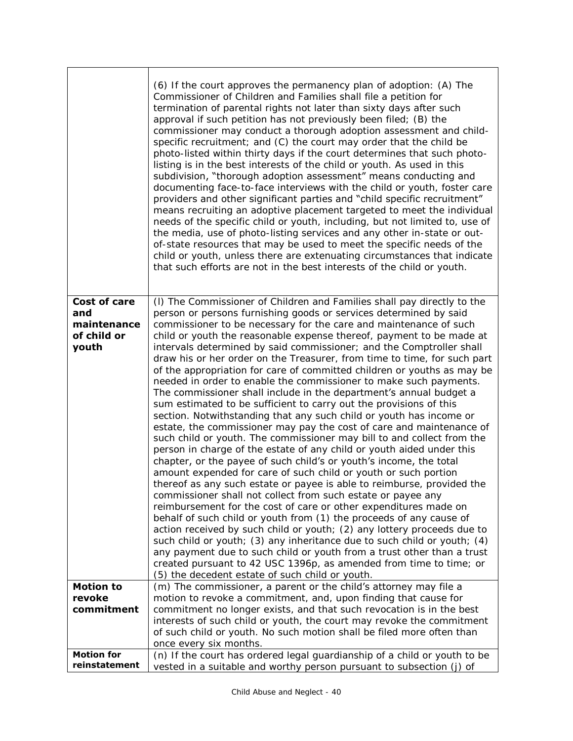|                                                                                       | (6) If the court approves the permanency plan of adoption: (A) The<br>Commissioner of Children and Families shall file a petition for<br>termination of parental rights not later than sixty days after such<br>approval if such petition has not previously been filed; (B) the<br>commissioner may conduct a thorough adoption assessment and child-<br>specific recruitment; and (C) the court may order that the child be<br>photo-listed within thirty days if the court determines that such photo-<br>listing is in the best interests of the child or youth. As used in this<br>subdivision, "thorough adoption assessment" means conducting and<br>documenting face-to-face interviews with the child or youth, foster care<br>providers and other significant parties and "child specific recruitment"<br>means recruiting an adoptive placement targeted to meet the individual<br>needs of the specific child or youth, including, but not limited to, use of<br>the media, use of photo-listing services and any other in-state or out-<br>of-state resources that may be used to meet the specific needs of the<br>child or youth, unless there are extenuating circumstances that indicate<br>that such efforts are not in the best interests of the child or youth.                                                                                                                                                                                                                                                                                                                                                                                                                                                                                                                                                                                                                      |
|---------------------------------------------------------------------------------------|----------------------------------------------------------------------------------------------------------------------------------------------------------------------------------------------------------------------------------------------------------------------------------------------------------------------------------------------------------------------------------------------------------------------------------------------------------------------------------------------------------------------------------------------------------------------------------------------------------------------------------------------------------------------------------------------------------------------------------------------------------------------------------------------------------------------------------------------------------------------------------------------------------------------------------------------------------------------------------------------------------------------------------------------------------------------------------------------------------------------------------------------------------------------------------------------------------------------------------------------------------------------------------------------------------------------------------------------------------------------------------------------------------------------------------------------------------------------------------------------------------------------------------------------------------------------------------------------------------------------------------------------------------------------------------------------------------------------------------------------------------------------------------------------------------------------------------------------------------------------------------------------------------|
| <b>Cost of care</b><br>and<br>maintenance<br>of child or<br>youth<br><b>Motion to</b> | (I) The Commissioner of Children and Families shall pay directly to the<br>person or persons furnishing goods or services determined by said<br>commissioner to be necessary for the care and maintenance of such<br>child or youth the reasonable expense thereof, payment to be made at<br>intervals determined by said commissioner; and the Comptroller shall<br>draw his or her order on the Treasurer, from time to time, for such part<br>of the appropriation for care of committed children or youths as may be<br>needed in order to enable the commissioner to make such payments.<br>The commissioner shall include in the department's annual budget a<br>sum estimated to be sufficient to carry out the provisions of this<br>section. Notwithstanding that any such child or youth has income or<br>estate, the commissioner may pay the cost of care and maintenance of<br>such child or youth. The commissioner may bill to and collect from the<br>person in charge of the estate of any child or youth aided under this<br>chapter, or the payee of such child's or youth's income, the total<br>amount expended for care of such child or youth or such portion<br>thereof as any such estate or payee is able to reimburse, provided the<br>commissioner shall not collect from such estate or payee any<br>reimbursement for the cost of care or other expenditures made on<br>behalf of such child or youth from (1) the proceeds of any cause of<br>action received by such child or youth; (2) any lottery proceeds due to<br>such child or youth; (3) any inheritance due to such child or youth; (4)<br>any payment due to such child or youth from a trust other than a trust<br>created pursuant to 42 USC 1396p, as amended from time to time; or<br>(5) the decedent estate of such child or youth.<br>(m) The commissioner, a parent or the child's attorney may file a |
| revoke<br>commitment                                                                  | motion to revoke a commitment, and, upon finding that cause for<br>commitment no longer exists, and that such revocation is in the best<br>interests of such child or youth, the court may revoke the commitment<br>of such child or youth. No such motion shall be filed more often than<br>once every six months.                                                                                                                                                                                                                                                                                                                                                                                                                                                                                                                                                                                                                                                                                                                                                                                                                                                                                                                                                                                                                                                                                                                                                                                                                                                                                                                                                                                                                                                                                                                                                                                      |
| <b>Motion for</b><br>reinstatement                                                    | (n) If the court has ordered legal guardianship of a child or youth to be<br>vested in a suitable and worthy person pursuant to subsection (j) of                                                                                                                                                                                                                                                                                                                                                                                                                                                                                                                                                                                                                                                                                                                                                                                                                                                                                                                                                                                                                                                                                                                                                                                                                                                                                                                                                                                                                                                                                                                                                                                                                                                                                                                                                        |

٦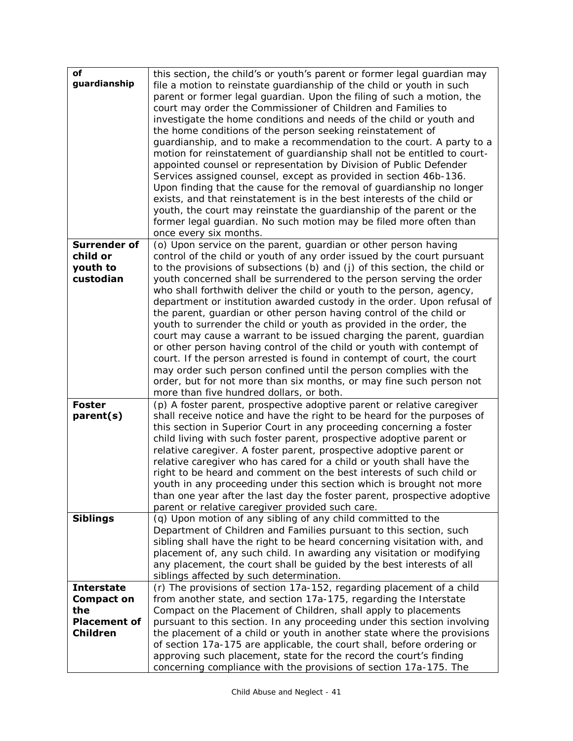| of                  | this section, the child's or youth's parent or former legal guardian may   |
|---------------------|----------------------------------------------------------------------------|
| guardianship        | file a motion to reinstate guardianship of the child or youth in such      |
|                     | parent or former legal guardian. Upon the filing of such a motion, the     |
|                     | court may order the Commissioner of Children and Families to               |
|                     | investigate the home conditions and needs of the child or youth and        |
|                     | the home conditions of the person seeking reinstatement of                 |
|                     | guardianship, and to make a recommendation to the court. A party to a      |
|                     | motion for reinstatement of guardianship shall not be entitled to court-   |
|                     | appointed counsel or representation by Division of Public Defender         |
|                     | Services assigned counsel, except as provided in section 46b-136.          |
|                     | Upon finding that the cause for the removal of guardianship no longer      |
|                     | exists, and that reinstatement is in the best interests of the child or    |
|                     | youth, the court may reinstate the guardianship of the parent or the       |
|                     | former legal guardian. No such motion may be filed more often than         |
|                     | once every six months.                                                     |
| <b>Surrender of</b> | (o) Upon service on the parent, guardian or other person having            |
| child or            | control of the child or youth of any order issued by the court pursuant    |
| youth to            | to the provisions of subsections (b) and (j) of this section, the child or |
| custodian           | youth concerned shall be surrendered to the person serving the order       |
|                     | who shall forthwith deliver the child or youth to the person, agency,      |
|                     | department or institution awarded custody in the order. Upon refusal of    |
|                     | the parent, guardian or other person having control of the child or        |
|                     | youth to surrender the child or youth as provided in the order, the        |
|                     | court may cause a warrant to be issued charging the parent, guardian       |
|                     | or other person having control of the child or youth with contempt of      |
|                     | court. If the person arrested is found in contempt of court, the court     |
|                     | may order such person confined until the person complies with the          |
|                     | order, but for not more than six months, or may fine such person not       |
|                     | more than five hundred dollars, or both.                                   |
| <b>Foster</b>       | (p) A foster parent, prospective adoptive parent or relative caregiver     |
| parent(s)           | shall receive notice and have the right to be heard for the purposes of    |
|                     | this section in Superior Court in any proceeding concerning a foster       |
|                     | child living with such foster parent, prospective adoptive parent or       |
|                     | relative caregiver. A foster parent, prospective adoptive parent or        |
|                     | relative caregiver who has cared for a child or youth shall have the       |
|                     | right to be heard and comment on the best interests of such child or       |
|                     | youth in any proceeding under this section which is brought not more       |
|                     | than one year after the last day the foster parent, prospective adoptive   |
|                     | parent or relative caregiver provided such care.                           |
| <b>Siblings</b>     | (q) Upon motion of any sibling of any child committed to the               |
|                     | Department of Children and Families pursuant to this section, such         |
|                     | sibling shall have the right to be heard concerning visitation with, and   |
|                     | placement of, any such child. In awarding any visitation or modifying      |
|                     | any placement, the court shall be guided by the best interests of all      |
|                     | siblings affected by such determination.                                   |
| <b>Interstate</b>   | (r) The provisions of section 17a-152, regarding placement of a child      |
| <b>Compact on</b>   | from another state, and section 17a-175, regarding the Interstate          |
| the                 | Compact on the Placement of Children, shall apply to placements            |
| <b>Placement of</b> | pursuant to this section. In any proceeding under this section involving   |
| <b>Children</b>     | the placement of a child or youth in another state where the provisions    |
|                     | of section 17a-175 are applicable, the court shall, before ordering or     |
|                     | approving such placement, state for the record the court's finding         |
|                     | concerning compliance with the provisions of section 17a-175. The          |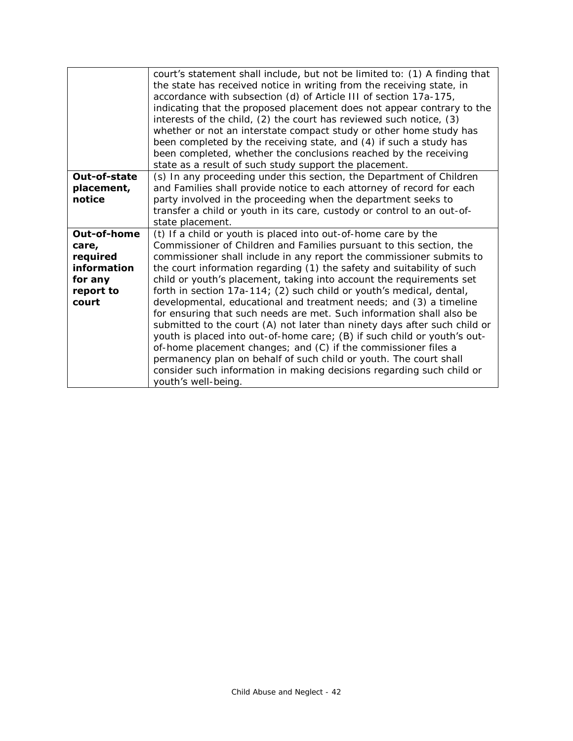|              | court's statement shall include, but not be limited to: (1) A finding that |
|--------------|----------------------------------------------------------------------------|
|              | the state has received notice in writing from the receiving state, in      |
|              | accordance with subsection (d) of Article III of section 17a-175,          |
|              | indicating that the proposed placement does not appear contrary to the     |
|              | interests of the child, (2) the court has reviewed such notice, (3)        |
|              | whether or not an interstate compact study or other home study has         |
|              | been completed by the receiving state, and (4) if such a study has         |
|              | been completed, whether the conclusions reached by the receiving           |
|              | state as a result of such study support the placement.                     |
| Out-of-state | (s) In any proceeding under this section, the Department of Children       |
|              |                                                                            |
| placement,   | and Families shall provide notice to each attorney of record for each      |
| notice       | party involved in the proceeding when the department seeks to              |
|              | transfer a child or youth in its care, custody or control to an out-of-    |
|              | state placement.                                                           |
| Out-of-home  | (t) If a child or youth is placed into out-of-home care by the             |
| care,        | Commissioner of Children and Families pursuant to this section, the        |
| required     | commissioner shall include in any report the commissioner submits to       |
| information  | the court information regarding (1) the safety and suitability of such     |
| for any      | child or youth's placement, taking into account the requirements set       |
| report to    | forth in section 17a-114; (2) such child or youth's medical, dental,       |
| court        | developmental, educational and treatment needs; and (3) a timeline         |
|              | for ensuring that such needs are met. Such information shall also be       |
|              | submitted to the court (A) not later than ninety days after such child or  |
|              | youth is placed into out-of-home care; (B) if such child or youth's out-   |
|              | of-home placement changes; and (C) if the commissioner files a             |
|              | permanency plan on behalf of such child or youth. The court shall          |
|              | consider such information in making decisions regarding such child or      |
|              | youth's well-being.                                                        |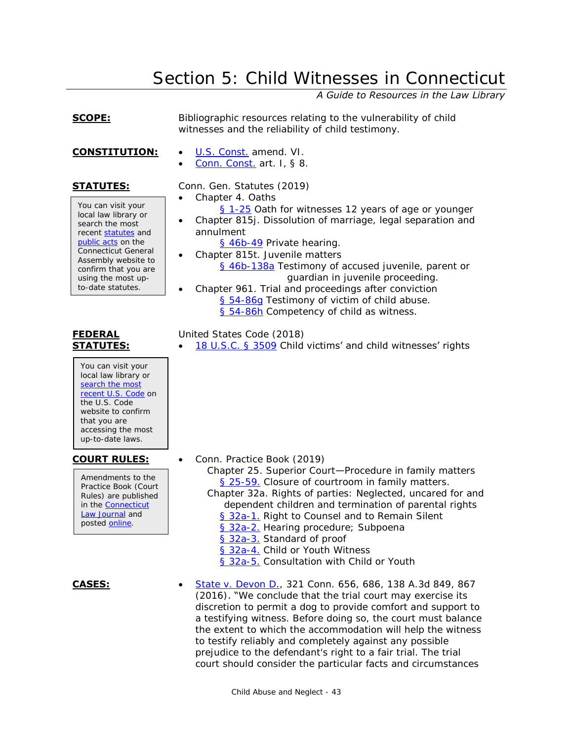# Section 5: Child Witnesses in Connecticut

*A Guide to Resources in the Law Library*

<span id="page-42-0"></span>**SCOPE:** Bibliographic resources relating to the vulnerability of child witnesses and the reliability of child testimony.

- **CONSTITUTION:** . [U.S. Const.](https://www.cga.ct.gov/asp/Content/constitutions/Declaration.htm#UNITED STATES) amend. VI.
	-

You can visit your local law library or search the most recent [statutes](http://search.cga.state.ct.us/r/statute/dtsearch_form.asp) and [public acts](http://search.cga.state.ct.us/r/adv/dtsearch_form.asp) on the Connecticut General Assembly website to confirm that you are using the most upto-date statutes.

## **FEDERAL STATUTES:**

You can visit your local law library or search the most [recent U.S. Code](http://uscode.house.gov/) on the U.S. Code website to confirm that you are accessing the most up-to-date laws.

Amendments to the Practice Book (Court Rules) are published in the [Connecticut](https://jud.ct.gov/lawjournal/)  [Law Journal](https://jud.ct.gov/lawjournal/) and posted [online.](https://www.jud.ct.gov/pb.htm)

[Conn. Const.](http://www.ct.gov/sots/cwp/view.asp?A=3188&Q=392288) art. I, § 8.

# **STATUTES:** Conn. Gen. Statutes (2019)

Chapter 4. Oaths

- [§ 1-25](http://www.cga.ct.gov/current/pub/chap_004.htm#sec_1-25) Oath for witnesses 12 years of age or younger
- Chapter 815j. Dissolution of marriage, legal separation and annulment
	- [§ 46b-49](http://www.cga.ct.gov/current/pub/chap_815j.htm#sec_46b-49) Private hearing.
- Chapter 815t. Juvenile matters [§ 46b-138a](http://www.cga.ct.gov/current/pub/chap_815t.htm#Sec_46b-138a) Testimony of accused juvenile, parent or guardian in juvenile proceeding.
- Chapter 961. Trial and proceedings after conviction [§ 54-86g](http://www.cga.ct.gov/current/pub/chap_961.htm#Sec_54-86g) Testimony of victim of child abuse. [§ 54-86h](http://www.cga.ct.gov/current/pub/chap_961.htm#Sec_54-86h) Competency of child as witness.

# United States Code (2018)

[18 U.S.C. § 3509](http://www.law.cornell.edu/uscode/text/18/3509) Child victims' and child witnesses' rights

- **COURT RULES:** Conn. Practice Book (2019)
	- Chapter 25. Superior Court—Procedure in family matters [§ 25-59.](https://www.jud.ct.gov/Publications/PracticeBook/PB.pdf#page=312) Closure of courtroom in family matters. Chapter 32a. Rights of parties: Neglected, uncared for and
	- dependent children and termination of parental rights [§ 32a-1.](https://www.jud.ct.gov/Publications/PracticeBook/PB.pdf#page=351) Right to Counsel and to Remain Silent
		- [§ 32a-2.](https://www.jud.ct.gov/Publications/PracticeBook/PB.pdf#page=352) Hearing procedure; Subpoena
		- [§ 32a-3.](https://www.jud.ct.gov/Publications/PracticeBook/PB.pdf#page=352) Standard of proof
		- [§ 32a-4.](https://www.jud.ct.gov/Publications/PracticeBook/PB.pdf#page=352) Child or Youth Witness
		- [§ 32a-5.](https://www.jud.ct.gov/Publications/PracticeBook/PB.pdf#page=352) Consultation with Child or Youth
- **CASES:** [State v. Devon D.,](https://scholar.google.com/scholar_case?case=12843620501390908767) 321 Conn. 656, 686, 138 A.3d 849, 867 (2016). "We conclude that the trial court may exercise its discretion to permit a dog to provide comfort and support to a testifying witness. Before doing so, the court must balance the extent to which the accommodation will help the witness to testify reliably and completely against any possible prejudice to the defendant's right to a fair trial. The trial court should consider the particular facts and circumstances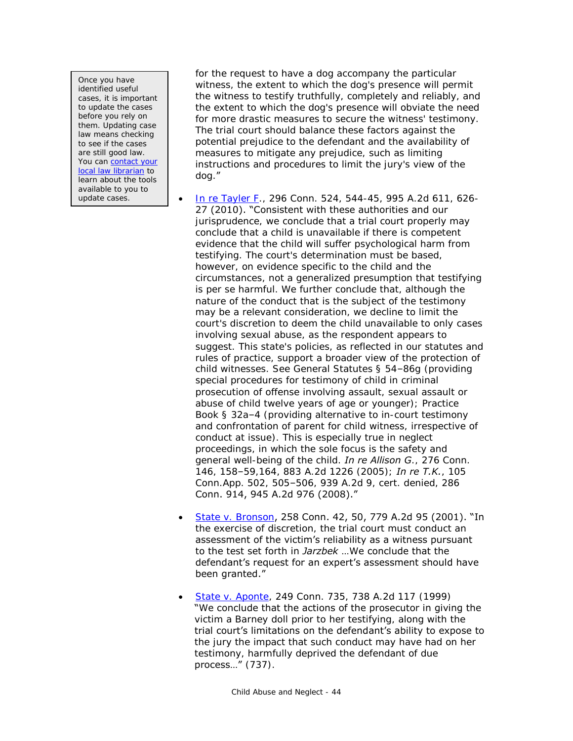Once you have identified useful cases, it is important to update the cases before you rely on them. Updating case law means checking to see if the cases are still good law. You can [contact your](http://www.jud.ct.gov/lawlib/staff.htm)  [local law librarian](http://www.jud.ct.gov/lawlib/staff.htm) to learn about the tools available to you to update cases.

for the request to have a dog accompany the particular witness, the extent to which the dog's presence will permit the witness to testify truthfully, completely and reliably, and the extent to which the dog's presence will obviate the need for more drastic measures to secure the witness' testimony. The trial court should balance these factors against the potential prejudice to the defendant and the availability of measures to mitigate any prejudice, such as limiting instructions and procedures to limit the jury's view of the dog."

- [In re Tayler F.](https://scholar.google.com/scholar_case?case=14821307975767795087), 296 Conn. 524, 544-45, 995 A.2d 611, 626- 27 (2010). "Consistent with these authorities and our jurisprudence, we conclude that a trial court properly may conclude that a child is unavailable if there is competent evidence that the child will suffer psychological harm from testifying. The court's determination must be based, however, on evidence specific to the child and the circumstances, not a generalized presumption that testifying is per se harmful. We further conclude that, although the nature of the conduct that is the subject of the testimony may be a relevant consideration, we decline to limit the court's discretion to deem the child unavailable to only cases involving sexual abuse, as the respondent appears to suggest. This state's policies, as reflected in our statutes and rules of practice, support a broader view of the protection of child witnesses. See General Statutes § 54–86g (providing special procedures for testimony of child in criminal prosecution of offense involving assault, sexual assault or abuse of child twelve years of age or younger); Practice Book § 32a–4 (providing alternative to in-court testimony and confrontation of parent for child witness, irrespective of conduct at issue). This is especially true in neglect proceedings, in which the sole focus is the safety and general well-being of the child. *In re Allison G*., 276 Conn. 146, 158–59,164, 883 A.2d 1226 (2005); *In re T.K.*, 105 Conn.App. 502, 505–506, 939 A.2d 9, cert. denied, 286 Conn. 914, 945 A.2d 976 (2008)."
- [State v. Bronson](http://scholar.google.com/scholar_case?case=3710684761384068481), 258 Conn. 42, 50, 779 A.2d 95 (2001). "In the exercise of discretion, the trial court must conduct an assessment of the victim's reliability as a witness pursuant to the test set forth in *Jarzbek* …We conclude that the defendant's request for an expert's assessment should have been granted."
- [State v. Aponte,](http://scholar.google.com/scholar_case?case=2489793755066358962) 249 Conn. 735, 738 A.2d 117 (1999) "We conclude that the actions of the prosecutor in giving the victim a Barney doll prior to her testifying, along with the trial court's limitations on the defendant's ability to expose to the jury the impact that such conduct may have had on her testimony, harmfully deprived the defendant of due process…" (737).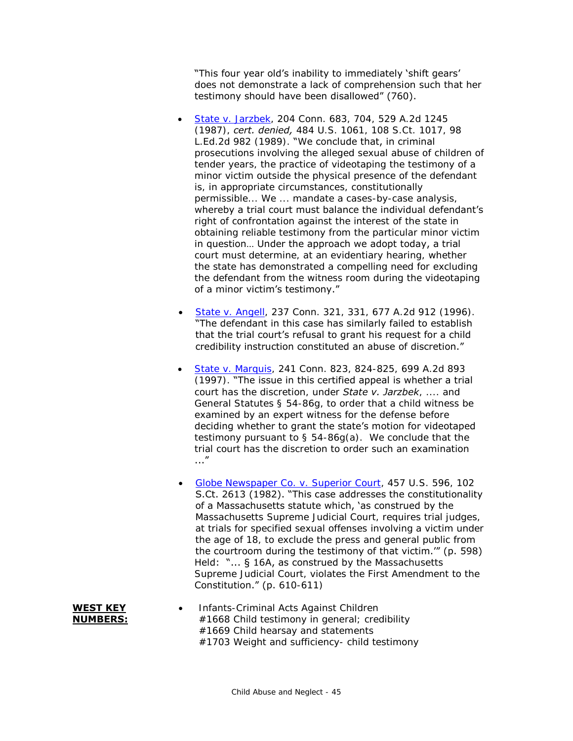"This four year old's inability to immediately 'shift gears' does not demonstrate a lack of comprehension such that her testimony should have been disallowed" (760).

- [State v. Jarzbek,](http://scholar.google.com/scholar_case?case=13880294429251452149) 204 Conn. 683, 704, 529 A.2d 1245 (1987), *cert. denied,* 484 U.S. 1061, 108 S.Ct. 1017, 98 L.Ed.2d 982 (1989). "We conclude that, in criminal prosecutions involving the alleged sexual abuse of children of tender years, the practice of videotaping the testimony of a minor victim outside the physical presence of the defendant is, in appropriate circumstances, constitutionally permissible... We ... mandate a cases-by-case analysis, whereby a trial court must balance the individual defendant's right of confrontation against the interest of the state in obtaining reliable testimony from the particular minor victim in question… Under the approach we adopt today, a trial court must determine, at an evidentiary hearing, whether the state has demonstrated a compelling need for excluding the defendant from the witness room during the videotaping of a minor victim's testimony."
- [State v. Angell,](http://scholar.google.com/scholar_case?case=12133046523987946698) 237 Conn. 321, 331, 677 A.2d 912 (1996). "The defendant in this case has similarly failed to establish that the trial court's refusal to grant his request for a child credibility instruction constituted an abuse of discretion."
- [State v. Marquis,](http://scholar.google.com/scholar_case?case=13693528430119297007) 241 Conn. 823, 824-825, 699 A.2d 893 (1997). "The issue in this certified appeal is whether a trial court has the discretion, under *State v. Jarzbek*, .... and General Statutes § 54-86g, to order that a child witness be examined by an expert witness for the defense before deciding whether to grant the state's motion for videotaped testimony pursuant to § 54-86g(a). We conclude that the trial court has the discretion to order such an examination ..."
- [Globe Newspaper Co. v. Superior Court,](http://scholar.google.com/scholar_case?case=9138451588502129368) 457 U.S. 596, 102 S.Ct. 2613 (1982). "This case addresses the constitutionality of a Massachusetts statute which, 'as construed by the Massachusetts Supreme Judicial Court, requires trial judges, at trials for specified sexual offenses involving a victim under the age of 18, to exclude the press and general public from the courtroom during the testimony of that victim.'" (p. 598) Held: "... § 16A, as construed by the Massachusetts Supreme Judicial Court, violates the First Amendment to the Constitution." (p. 610-611)
- Infants-Criminal Acts Against Children #1668 Child testimony in general; credibility #1669 Child hearsay and statements #1703 Weight and sufficiency- child testimony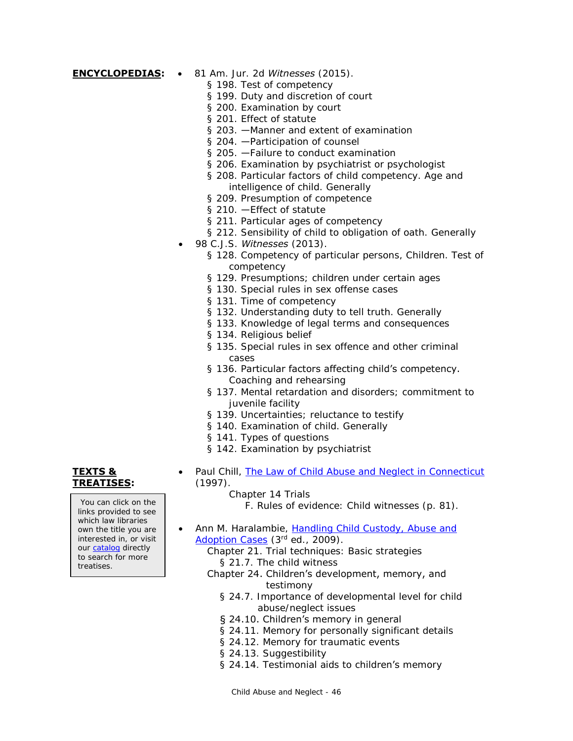- **ENCYCLOPEDIAS:** 81 Am. Jur. 2d *Witnesses* (2015).
	- § 198. Test of competency
	- § 199. Duty and discretion of court
	- § 200. Examination by court
	- § 201. Effect of statute
	- § 203. —Manner and extent of examination
	- § 204. Participation of counsel
	- § 205. Failure to conduct examination
	- § 206. Examination by psychiatrist or psychologist
	- § 208. Particular factors of child competency. Age and intelligence of child. Generally
	- § 209. Presumption of competence
	- § 210. Effect of statute
	- § 211. Particular ages of competency
	- § 212. Sensibility of child to obligation of oath. Generally
	- 98 C.J.S. *Witnesses* (2013).
		- § 128. Competency of particular persons, Children. Test of competency
		- § 129. Presumptions; children under certain ages
		- § 130. Special rules in sex offense cases
		- § 131. Time of competency
		- § 132. Understanding duty to tell truth. Generally
		- § 133. Knowledge of legal terms and consequences
		- § 134. Religious belief
		- § 135. Special rules in sex offence and other criminal cases
		- § 136. Particular factors affecting child's competency. Coaching and rehearsing
		- § 137. Mental retardation and disorders; commitment to juvenile facility
		- § 139. Uncertainties; reluctance to testify
		- § 140. Examination of child. Generally
		- § 141. Types of questions
		- § 142. Examination by psychiatrist

# **TEXTS & TREATISES:**

You can click on the links provided to see which law libraries own the title you are interested in, or visit our [catalog](http://csjd-agent.auto-graphics.com/MVC/) directly to search for more treatises.

- Paul Chill, [The Law of Child Abuse and Neglect in Connecticut](http://lsr.nellco.org/uconn_wps/51/) (1997).
	- Chapter 14 Trials

F. Rules of evidence: Child witnesses (p. 81).

- Ann M. Haralambie, Handling Child Custody, Abuse and [Adoption Cases](http://csjd-agent.auto-graphics.com/mvc/PersistentLink?key=IIo3p906pSMEv9xah4xxZ%2bMxPDY5x0%2fLwkpsPNwh5ns%3d) (3rd ed., 2009).
	- Chapter 21. Trial techniques: Basic strategies
		- § 21.7. The child witness
	- Chapter 24. Children's development, memory, and testimony
		- § 24.7. Importance of developmental level for child abuse/neglect issues
		- § 24.10. Children's memory in general
		- § 24.11. Memory for personally significant details
		- § 24.12. Memory for traumatic events
		- § 24.13. Suggestibility
		- § 24.14. Testimonial aids to children's memory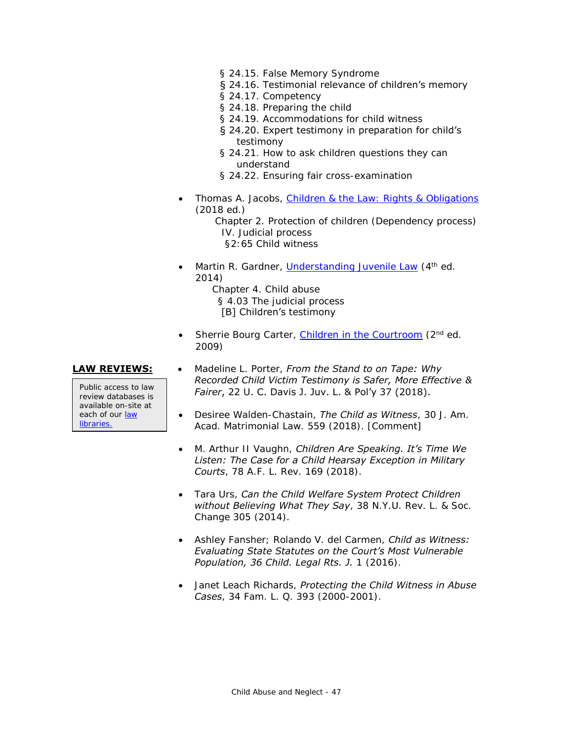- § 24.15. False Memory Syndrome
- § 24.16. Testimonial relevance of children's memory
- § 24.17. Competency
- § 24.18. Preparing the child
- § 24.19. Accommodations for child witness
- § 24.20. Expert testimony in preparation for child's testimony
- § 24.21. How to ask children questions they can understand
- § 24.22. Ensuring fair cross-examination
- Thomas A. Jacobs, [Children & the Law: Rights & Obligations](http://csjd-agent.auto-graphics.com/mvc/PersistentLink?key=if5kb%2f7Dy08ER6IKGq6e9ApV2RhsRBqSiK3Pe5Y4BZU%3d) (2018 ed.) Chapter 2. Protection of children (Dependency process) IV. Judicial process §2:65 Child witness
- Martin R. Gardner, *Understanding Juvenile Law* (4<sup>th</sup> ed. 2014)
	- Chapter 4. Child abuse § 4.03 The judicial process [B] Children's testimony
- Sherrie Bourg Carter, [Children in the Courtroom](http://csjd-agent.auto-graphics.com/mvc/PersistentLink?key=Roz1HMUkajW7HQAmtUUozDIVeTtLEllABwKgJD%2fmk6g%3d) (2<sup>nd</sup> ed. 2009)

Public access to law review databases is available on-site at each of our law [libraries.](https://www.jud.ct.gov/lawlib/staff.htm)

- **LAW REVIEWS:** . Madeline L. Porter, *From the Stand to on Tape: Why Recorded Child Victim Testimony is Safer, More Effective & Fairer*, 22 U. C. Davis J. Juv. L. & Pol'y 37 (2018).
	- Desiree Walden-Chastain, *The Child as Witness*, 30 J. Am. Acad. Matrimonial Law. 559 (2018). [Comment]
	- M. Arthur II Vaughn, *Children Are Speaking. It's Time We Listen: The Case for a Child Hearsay Exception in Military Courts*, 78 A.F. L. Rev. 169 (2018).
	- Tara Urs, *Can the Child Welfare System Protect Children without Believing What They Say*, 38 N.Y.U. Rev. L. & Soc. Change 305 (2014).
	- Ashley Fansher; Rolando V. del Carmen, *Child as Witness: Evaluating State Statutes on the Court's Most Vulnerable Population, 36 Child. Legal Rts. J.* 1 (2016).
	- Janet Leach Richards, *Protecting the Child Witness in Abuse Cases*, 34 Fam. L. Q. 393 (2000-2001).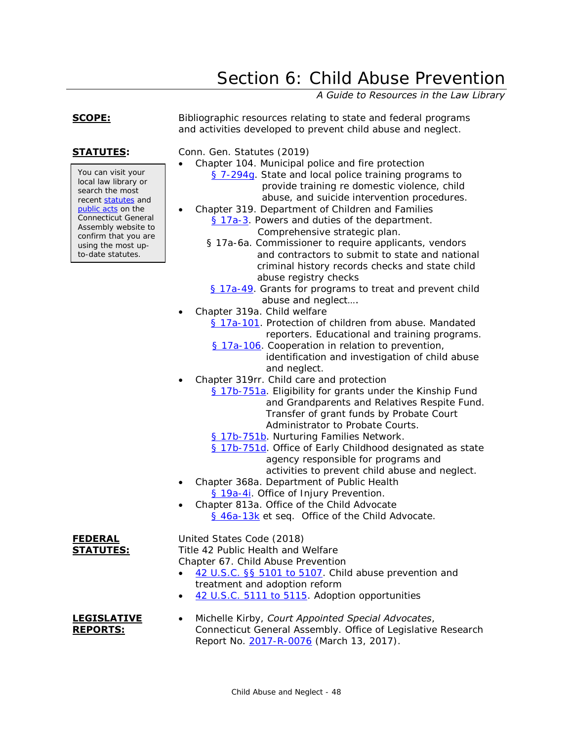# Section 6: Child Abuse Prevention

*A Guide to Resources in the Law Library*

to-date statutes.

<span id="page-47-0"></span>**SCOPE:** Bibliographic resources relating to state and federal programs and activities developed to prevent child abuse and neglect.

**STATUTES:** Conn. Gen. Statutes (2019)

- Chapter 104. Municipal police and fire protection [§ 7-294g.](http://www.cga.ct.gov/current/pub/chap_104.htm#Sec_7-294g) State and local police training programs to
	- provide training re domestic violence, child abuse, and suicide intervention procedures.
	- Chapter 319. Department of Children and Families [§ 17a-3.](http://www.cga.ct.gov/current/pub/chap_319.htm#sec_17a-3) Powers and duties of the department.

Comprehensive strategic plan.

- § 17a-6a. Commissioner to require applicants, vendors and contractors to submit to state and national criminal history records checks and state child abuse registry checks
- [§ 17a-49.](http://www.cga.ct.gov/current/pub/chap_319.htm#Sec_17a-49) Grants for programs to treat and prevent child abuse and neglect….
- Chapter 319a. Child welfare
	- [§ 17a-101.](https://www.cga.ct.gov/current/pub/chap_319a.htm#sec_17a-101) Protection of children from abuse. Mandated reporters. Educational and training programs.
	- [§ 17a-106.](http://www.cga.ct.gov/current/pub/chap_319a.htm#Sec_17a-106) Cooperation in relation to prevention, identification and investigation of child abuse and neglect.
- Chapter 319rr. Child care and protection
	- [§ 17b-751a.](https://www.cga.ct.gov/current/pub/chap_319rr.htm#sec_17b-751a) Eligibility for grants under the Kinship Fund and Grandparents and Relatives Respite Fund. Transfer of grant funds by Probate Court Administrator to Probate Courts.
	- [§ 17b-751b.](https://www.cga.ct.gov/current/pub/chap_319rr.htm#sec_17b-751b) Nurturing Families Network.
	- [§ 17b-751d.](https://www.cga.ct.gov/current/pub/chap_319rr.htm#sec_17b-751d) Office of Early Childhood designated as state agency responsible for programs and activities to prevent child abuse and neglect.
- Chapter 368a. Department of Public Health [§ 19a-4i.](http://www.cga.ct.gov/current/pub/chap_368a.htm#Sec_19a-4i) Office of Injury Prevention.
- Chapter 813a. Office of the Child Advocate [§ 46a-13k](https://www.cga.ct.gov/current/pub/chap_813a.htm#sec_46a-13k) et seq. Office of the Child Advocate.

**FEDERAL STATUTES:** United States Code (2018) Title 42 Public Health and Welfare Chapter 67. Child Abuse Prevention

- [42 U.S.C. §§ 5101 to 5107.](http://www.law.cornell.edu/uscode/text/42/chapter-67/subchapter-I) Child abuse prevention and treatment and adoption reform
- [42 U.S.C. 5111 to 5115.](https://www.law.cornell.edu/uscode/text/42/chapter-67/subchapter-II) Adoption opportunities

### **LEGISLATIVE REPORTS:**

 Michelle Kirby, *Court Appointed Special Advocates*, Connecticut General Assembly. Office of Legislative Research Report No. [2017-R-0076](https://www.cga.ct.gov/2017/rpt/pdf/2017-R-0076.pdf) (March 13, 2017).

You can visit your local law library or search the most recent [statutes](http://search.cga.state.ct.us/r/statute/dtsearch_form.asp) and [public acts](http://search.cga.state.ct.us/r/adv/dtsearch_form.asp) on the Connecticut General Assembly website to confirm that you are using the most up-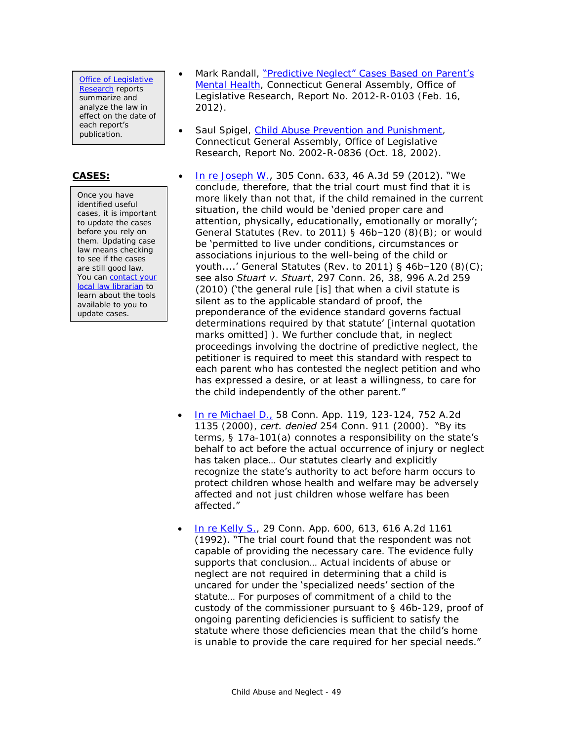[Office of Legislative](http://www.cga.ct.gov/olr/default.asp)  **[Research](http://www.cga.ct.gov/olr/default.asp)** reports summarize and analyze the law in effect on the date of each report's publication.

Once you have identified useful cases, it is important to update the cases before you rely on them. Updating case law means checking to see if the cases are still good law. You can **contact** your [local law librarian](http://www.jud.ct.gov/lawlib/staff.htm) to learn about the tools available to you to update cases.

- Mark Randall, ["Predictive Neglect" Cases Based on Parent's](http://www.cga.ct.gov/2012/rpt/2012-R-0103.htm)  [Mental Health,](http://www.cga.ct.gov/2012/rpt/2012-R-0103.htm) Connecticut General Assembly, Office of Legislative Research, Report No. 2012-R-0103 (Feb. 16, 2012).
- Saul Spigel, [Child Abuse Prevention and Punishment,](http://www.cga.ct.gov/2002/olrdata/kid/rpt/2002-r-0836.htm) Connecticut General Assembly, Office of Legislative Research, Report No. 2002-R-0836 (Oct. 18, 2002).
- **CASES:**  [In re Joseph W.](http://scholar.google.com/scholar_case?case=4378610577188579526), 305 Conn. 633, 46 A.3d 59 (2012). "We conclude, therefore, that the trial court must find that it is more likely than not that, if the child remained in the current situation, the child would be 'denied proper care and attention, physically, educationally, emotionally or morally'; General Statutes (Rev. to 2011) § 46b–120 (8)(B); or would be 'permitted to live under conditions, circumstances or associations injurious to the well-being of the child or youth....' General Statutes (Rev. to 2011) § 46b–120 (8)(C); see also *Stuart v. Stuart*, 297 Conn. 26, 38, 996 A.2d 259 (2010) ('the general rule [is] that when a civil statute is silent as to the applicable standard of proof, the preponderance of the evidence standard governs factual determinations required by that statute' [internal quotation marks omitted] ). We further conclude that, in neglect proceedings involving the doctrine of predictive neglect, the petitioner is required to meet this standard with respect to each parent who has contested the neglect petition and who has expressed a desire, or at least a willingness, to care for the child independently of the other parent."
	- [In re Michael D.,](http://scholar.google.com/scholar_case?case=4929505692668198347) 58 Conn. App. 119, 123-124, 752 A.2d 1135 (2000), *cert. denied* 254 Conn. 911 (2000). "By its terms, § 17a-101(a) connotes a responsibility on the state's behalf to act before the actual occurrence of injury or neglect has taken place… Our statutes clearly and explicitly recognize the state's authority to act before harm occurs to protect children whose health and welfare may be adversely affected and not just children whose welfare has been affected."
	- 1n re Kelly S., 29 Conn. App. 600, 613, 616 A.2d 1161 (1992). "The trial court found that the respondent was not capable of providing the necessary care. The evidence fully supports that conclusion… Actual incidents of abuse or neglect are not required in determining that a child is uncared for under the 'specialized needs' section of the statute… For purposes of commitment of a child to the custody of the commissioner pursuant to § 46b-129, proof of ongoing parenting deficiencies is sufficient to satisfy the statute where those deficiencies mean that the child's home is unable to provide the care required for her special needs."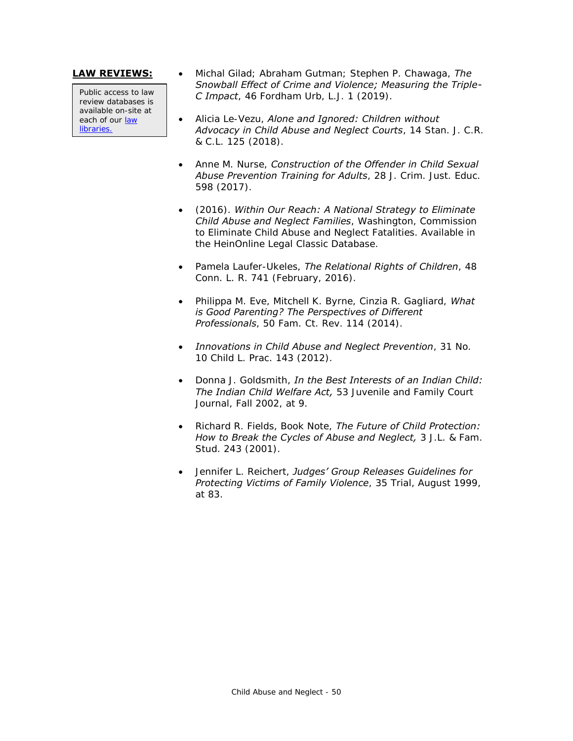Public access to law review databases is available on-site at each of our law [libraries.](https://www.jud.ct.gov/lawlib/staff.htm)

- **LAW REVIEWS:** Michal Gilad; Abraham Gutman; Stephen P. Chawaga, *The Snowball Effect of Crime and Violence; Measuring the Triple-C Impact*, 46 Fordham Urb, L.J. 1 (2019).
	- Alicia Le-Vezu, *Alone and Ignored: Children without Advocacy in Child Abuse and Neglect Courts*, 14 Stan. J. C.R. & C.L. 125 (2018).
	- Anne M. Nurse, *Construction of the Offender in Child Sexual Abuse Prevention Training for Adults*, 28 J. Crim. Just. Educ. 598 (2017).
	- (2016). *Within Our Reach: A National Strategy to Eliminate Child Abuse and Neglect Families*, Washington, Commission to Eliminate Child Abuse and Neglect Fatalities. Available in the HeinOnline Legal Classic Database.
	- Pamela Laufer-Ukeles, *The Relational Rights of Children*, 48 Conn. L. R. 741 (February, 2016).
	- Philippa M. Eve, Mitchell K. Byrne, Cinzia R. Gagliard, *What is Good Parenting? The Perspectives of Different Professionals*, 50 Fam. Ct. Rev. 114 (2014).
	- *Innovations in Child Abuse and Neglect Prevention*, 31 No. 10 Child L. Prac. 143 (2012).
	- Donna J. Goldsmith, *In the Best Interests of an Indian Child: The Indian Child Welfare Act,* 53 Juvenile and Family Court Journal, Fall 2002, at 9.
	- Richard R. Fields, Book Note, *The Future of Child Protection: How to Break the Cycles of Abuse and Neglect,* 3 J.L. & Fam. Stud. 243 (2001).
	- Jennifer L. Reichert, *Judges' Group Releases Guidelines for Protecting Victims of Family Violence*, 35 Trial, August 1999, at 83.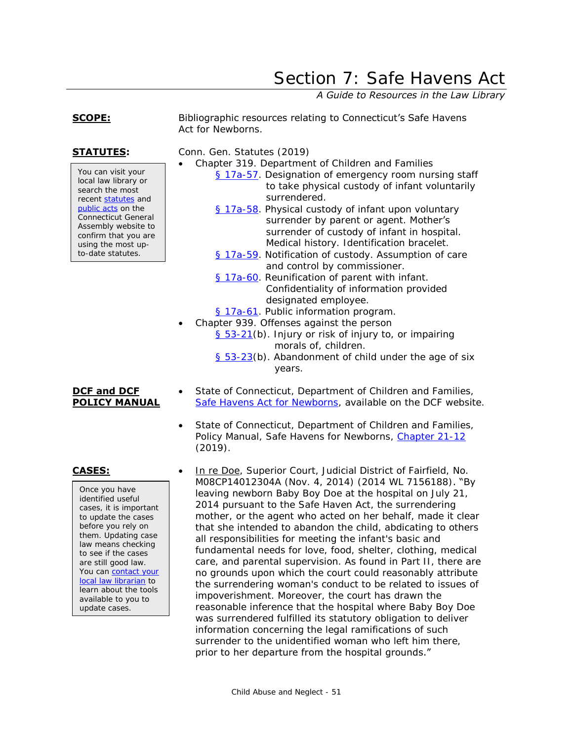# <span id="page-50-0"></span>Section 7: Safe Havens Act

*A Guide to Resources in the Law Library*

### **SCOPE:** Bibliographic resources relating to Connecticut's Safe Havens Act for Newborns.

**STATUTES:** Conn. Gen. Statutes (2019)

- Chapter 319. Department of Children and Families
	- [§ 17a-57.](http://www.cga.ct.gov/current/pub/chap_319.htm#sec_17a-57) Designation of emergency room nursing staff to take physical custody of infant voluntarily surrendered.
	- [§ 17a-58.](http://www.cga.ct.gov/current/pub/chap_319.htm#Sec_17a-58) Physical custody of infant upon voluntary surrender by parent or agent. Mother's surrender of custody of infant in hospital. Medical history. Identification bracelet.
	- [§ 17a-59.](http://www.cga.ct.gov/current/pub/chap_319.htm#Sec_17a-59) Notification of custody. Assumption of care and control by commissioner.
	- [§ 17a-60.](http://www.cga.ct.gov/current/pub/chap_319.htm#Sec_17a-60) Reunification of parent with infant. Confidentiality of information provided designated employee.
	- [§ 17a-61.](http://www.cga.ct.gov/current/pub/chap_319.htm#Sec_17a-61) Public information program.
	- Chapter 939. Offenses against the person
		- [§ 53-21\(](https://www.cga.ct.gov/current/pub/chap_939.htm#sec_53-21)b). Injury or risk of injury to, or impairing morals of, children.
		- [§ 53-23\(](https://www.cga.ct.gov/current/pub/chap_939.htm#sec_53-23)b). Abandonment of child under the age of six years.
	- State of Connecticut, Department of Children and Families, [Safe Havens Act for Newborns,](https://portal.ct.gov/DCF/1-DCF/SAFE-Havens-Act-for-Newborns) available on the DCF website.
	- State of Connecticut, Department of Children and Families, Policy Manual, Safe Havens for Newborns, [Chapter 21-12](https://portal.ct.gov/-/media/DCF/Policy/Chapters/21-12.pdf?la=en) (2019).
- 

Once you have identified useful cases, it is important to update the cases before you rely on them. Updating case law means checking to see if the cases are still good law. You can contact your [local law librarian](http://www.jud.ct.gov/lawlib/staff.htm) to learn about the tools available to you to update cases.

**CASES:** In re Doe, Superior Court, Judicial District of Fairfield, No. M08CP14012304A (Nov. 4, 2014) (2014 WL 7156188). "By leaving newborn Baby Boy Doe at the hospital on July 21, 2014 pursuant to the Safe Haven Act, the surrendering mother, or the agent who acted on her behalf, made it clear that she intended to abandon the child, abdicating to others all responsibilities for meeting the infant's basic and fundamental needs for love, food, shelter, clothing, medical care, and parental supervision. As found in Part II, there are no grounds upon which the court could reasonably attribute the surrendering woman's conduct to be related to issues of impoverishment. Moreover, the court has drawn the reasonable inference that the hospital where Baby Boy Doe was surrendered fulfilled its statutory obligation to deliver information concerning the legal ramifications of such surrender to the unidentified woman who left him there, prior to her departure from the hospital grounds."

You can visit your local law library or search the most recent [statutes](http://search.cga.state.ct.us/r/statute/dtsearch_form.asp) and [public acts](http://search.cga.state.ct.us/r/adv/dtsearch_form.asp) on the Connecticut General Assembly website to confirm that you are using the most upto-date statutes.

# **DCF and DCF POLICY MANUAL**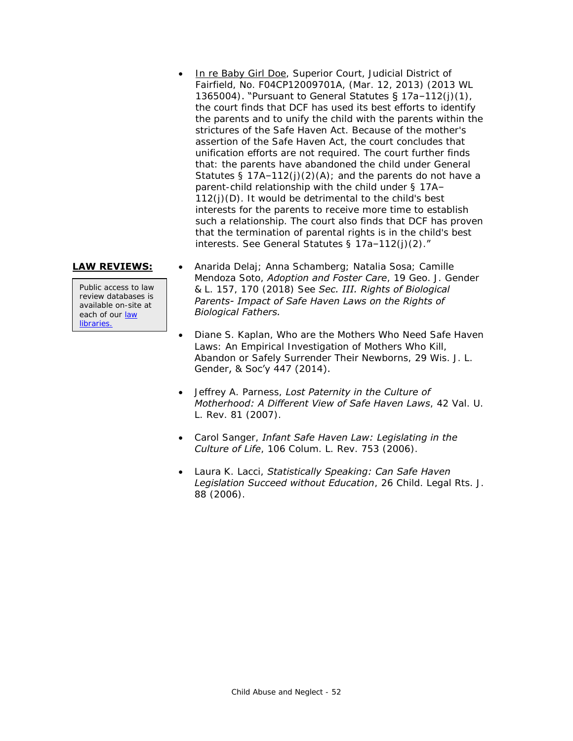In re Baby Girl Doe, Superior Court, Judicial District of Fairfield, No. F04CP12009701A, (Mar. 12, 2013) (2013 WL 1365004). "Pursuant to General Statutes § 17a–112(j)(1), the court finds that DCF has used its best efforts to identify the parents and to unify the child with the parents within the strictures of the Safe Haven Act. Because of the mother's assertion of the Safe Haven Act, the court concludes that unification efforts are not required. The court further finds that: the parents have abandoned the child under General Statutes §  $17A-112(j)(2)(A)$ ; and the parents do not have a parent-child relationship with the child under § 17A– 112(j)(D). It would be detrimental to the child's best interests for the parents to receive more time to establish such a relationship. The court also finds that DCF has proven that the termination of parental rights is in the child's best interests. See General Statutes § 17a–112(j)(2)."

Public access to law review databases is available on-site at each of our [law](https://www.jud.ct.gov/lawlib/staff.htm)  **libraries** 

- **LAW REVIEWS:** . Anarida Delaj; Anna Schamberg; Natalia Sosa; Camille Mendoza Soto, *Adoption and Foster Care*, 19 Geo. J. Gender & L. 157, 170 (2018) See *Sec. III. Rights of Biological Parents- Impact of Safe Haven Laws on the Rights of Biological Fathers.*
	- Diane S. Kaplan, Who are the Mothers Who Need Safe Haven Laws: An Empirical Investigation of Mothers Who Kill, Abandon or Safely Surrender Their Newborns, 29 Wis. J. L. Gender, & Soc'y 447 (2014).
	- Jeffrey A. Parness, *Lost Paternity in the Culture of Motherhood: A Different View of Safe Haven Laws*, 42 Val. U. L. Rev. 81 (2007).
	- Carol Sanger, *Infant Safe Haven Law: Legislating in the Culture of Life*, 106 Colum. L. Rev. 753 (2006).
	- Laura K. Lacci, *Statistically Speaking: Can Safe Haven Legislation Succeed without Education*, 26 Child. Legal Rts. J. 88 (2006).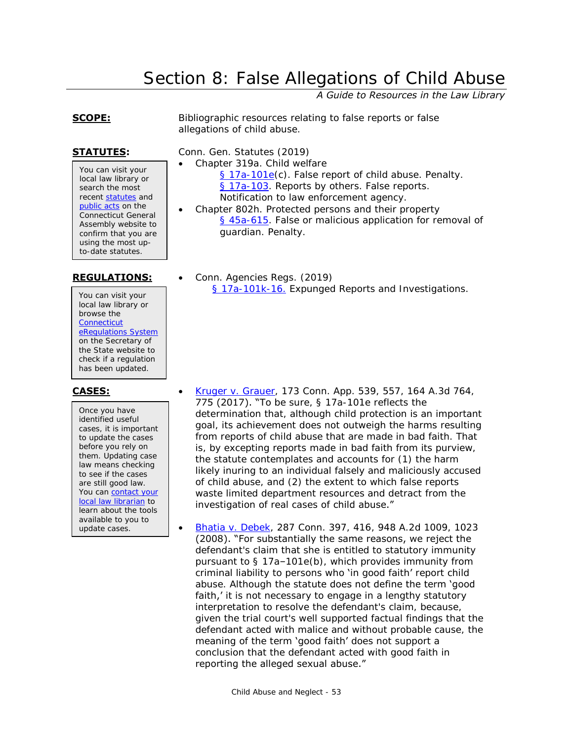# Section 8: False Allegations of Child Abuse

*A Guide to Resources in the Law Library*

<span id="page-52-0"></span>**SCOPE:** Bibliographic resources relating to false reports or false allegations of child abuse.

You can visit your local law library or search the most recent [statutes](http://search.cga.state.ct.us/r/statute/dtsearch_form.asp) and [public acts](http://search.cga.state.ct.us/r/adv/dtsearch_form.asp) on the Connecticut General Assembly website to confirm that you are using the most upto-date statutes.

You can visit your local law library or browse the **Connecticut** [eRegulations System](https://eregulations.ct.gov/eRegsPortal/) on the Secretary of the State website to check if a regulation has been updated.

Once you have identified useful cases, it is important to update the cases before you rely on them. Updating case law means checking to see if the cases are still good law. You can [contact your](http://www.jud.ct.gov/lawlib/staff.htm)  [local law librarian](http://www.jud.ct.gov/lawlib/staff.htm) to learn about the tools available to you to update cases.

**STATUTES:** Conn. Gen. Statutes (2019)

- Chapter 319a. Child welfare [§ 17a-101e\(](https://www.cga.ct.gov/current/pub/chap_319a.htm#sec_17a-101e)c). False report of child abuse. Penalty. [§ 17a-103.](http://www.cga.ct.gov/current/pub/chap_319a.htm#sec_17a-103) Reports by others. False reports. Notification to law enforcement agency.
	- Chapter 802h. Protected persons and their property [§ 45a-615.](http://www.cga.ct.gov/current/pub/chap_802h.htm#Sec_45a-615) False or malicious application for removal of guardian. Penalty.
- REGULATIONS: **•** Conn. Agencies Regs. (2019) [§ 17a-101k-16.](https://eregulations.ct.gov/eRegsPortal/Browse/RCSA?id=Title%2017a|17a-101k|17a-101k-16|17a-101k-16) Expunged Reports and Investigations.

- **CASES:** [Kruger v. Grauer,](https://scholar.google.com/scholar_case?case=5943586639125307303) 173 Conn. App. 539, 557, 164 A.3d 764, 775 (2017). "To be sure, § 17a-101e reflects the determination that, although child protection is an important goal, its achievement does not outweigh the harms resulting from reports of child abuse that are made in bad faith. That is, by excepting reports made in bad faith from its purview, the statute contemplates and accounts for (1) the harm likely inuring to an individual falsely and maliciously accused of child abuse, and (2) the extent to which false reports waste limited department resources and detract from the investigation of real cases of child abuse."
	- [Bhatia v. Debek,](https://scholar.google.com/scholar_case?case=11125371755184024471) 287 Conn. 397, 416, 948 A.2d 1009, 1023 (2008). "For substantially the same reasons, we reject the defendant's claim that she is entitled to statutory immunity pursuant to § 17a–101e(b), which provides immunity from criminal liability to persons who 'in good faith' report child abuse. Although the statute does not define the term 'good faith,' it is not necessary to engage in a lengthy statutory interpretation to resolve the defendant's claim, because, given the trial court's well supported factual findings that the defendant acted with malice and without probable cause, the meaning of the term 'good faith' does not support a conclusion that the defendant acted with good faith in reporting the alleged sexual abuse."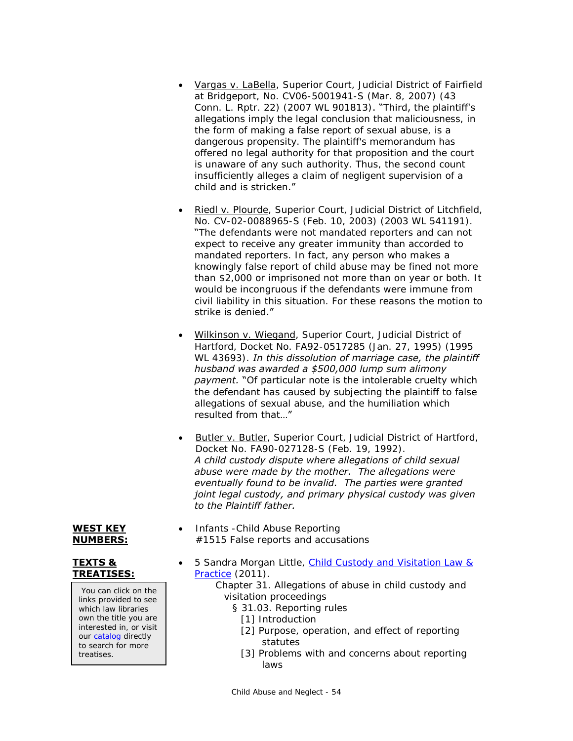- Vargas v. LaBella, Superior Court, Judicial District of Fairfield at Bridgeport, No. CV06-5001941-S (Mar. 8, 2007) (43 Conn. L. Rptr. 22) (2007 WL 901813). "Third, the plaintiff's allegations imply the legal conclusion that maliciousness, in the form of making a false report of sexual abuse, is a dangerous propensity. The plaintiff's memorandum has offered no legal authority for that proposition and the court is unaware of any such authority. Thus, the second count insufficiently alleges a claim of negligent supervision of a child and is stricken."
- Riedl v. Plourde, Superior Court, Judicial District of Litchfield, No. CV-02-0088965-S (Feb. 10, 2003) (2003 WL 541191). "The defendants were not mandated reporters and can not expect to receive any greater immunity than accorded to mandated reporters. In fact, any person who makes a knowingly false report of child abuse may be fined not more than \$2,000 or imprisoned not more than on year or both. It would be incongruous if the defendants were immune from civil liability in this situation. For these reasons the motion to strike is denied."
- Wilkinson v. Wiegand, Superior Court, Judicial District of Hartford, Docket No. FA92-0517285 (Jan. 27, 1995) (1995 WL 43693). *In this dissolution of marriage case, the plaintiff husband was awarded a \$500,000 lump sum alimony payment.* "Of particular note is the intolerable cruelty which the defendant has caused by subjecting the plaintiff to false allegations of sexual abuse, and the humiliation which resulted from that…"
- Butler v. Butler, Superior Court, Judicial District of Hartford, Docket No. FA90-027128-S (Feb. 19, 1992). *A child custody dispute where allegations of child sexual abuse were made by the mother. The allegations were eventually found to be invalid. The parties were granted joint legal custody, and primary physical custody was given to the Plaintiff father.*
- **WEST KEY NUMBERS:**

# **TEXTS & TREATISES:**

You can click on the links provided to see which law libraries own the title you are interested in, or visit our [catalog](http://csjd-agent.auto-graphics.com/MVC/) directly to search for more treatises.

- 5 Sandra Morgan Little, [Child Custody and Visitation Law &](http://csjd-agent.auto-graphics.com/mvc/PersistentLink?key=oqkKCY3ofYkSLrOKa82r8g%3d%3d)  [Practice](http://csjd-agent.auto-graphics.com/mvc/PersistentLink?key=oqkKCY3ofYkSLrOKa82r8g%3d%3d) (2011).
	- Chapter 31. Allegations of abuse in child custody and visitation proceedings
		- § 31.03. Reporting rules
			- [1] Introduction

#1515 False reports and accusations

• Infants - Child Abuse Reporting

- [2] Purpose, operation, and effect of reporting statutes
- [3] Problems with and concerns about reporting laws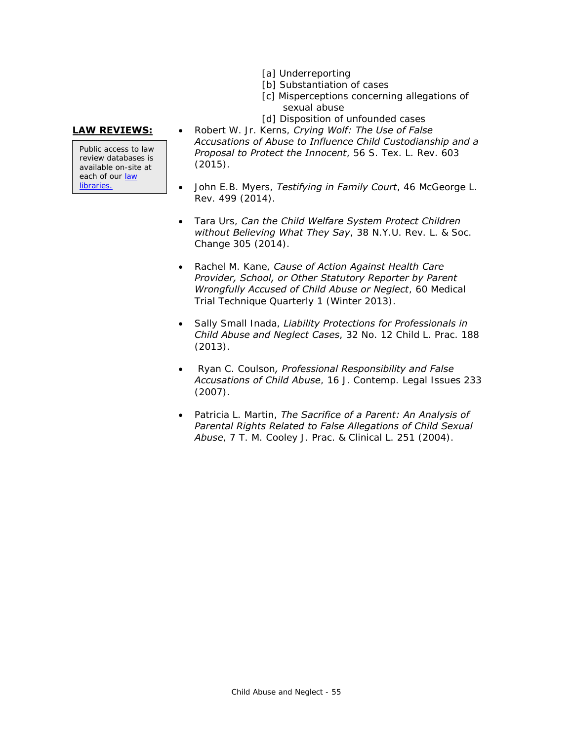- [a] Underreporting
- [b] Substantiation of cases
- [c] Misperceptions concerning allegations of sexual abuse
- [d] Disposition of unfounded cases

Public access to law review databases is available on-site at each of our [law](https://www.jud.ct.gov/lawlib/staff.htm)  [libraries.](https://www.jud.ct.gov/lawlib/staff.htm)

- **LAW REVIEWS:** . . Robert W. Jr. Kerns, *Crying Wolf: The Use of False Accusations of Abuse to Influence Child Custodianship and a Proposal to Protect the Innocent*, 56 S. Tex. L. Rev. 603 (2015).
	- John E.B. Myers, *Testifying in Family Court*, 46 McGeorge L. Rev. 499 (2014).
	- Tara Urs, *Can the Child Welfare System Protect Children without Believing What They Say*, 38 N.Y.U. Rev. L. & Soc. Change 305 (2014).
	- Rachel M. Kane, *Cause of Action Against Health Care Provider, School, or Other Statutory Reporter by Parent Wrongfully Accused of Child Abuse or Neglect*, 60 Medical Trial Technique Quarterly 1 (Winter 2013).
	- Sally Small Inada, *Liability Protections for Professionals in Child Abuse and Neglect Cases*, 32 No. 12 Child L. Prac. 188 (2013).
	- Ryan C. Coulson*, Professional Responsibility and False Accusations of Child Abuse*, 16 J. Contemp. Legal Issues 233 (2007).
	- Patricia L. Martin, *The Sacrifice of a Parent: An Analysis of Parental Rights Related to False Allegations of Child Sexual Abuse*, 7 T. M. Cooley J. Prac. & Clinical L. 251 (2004).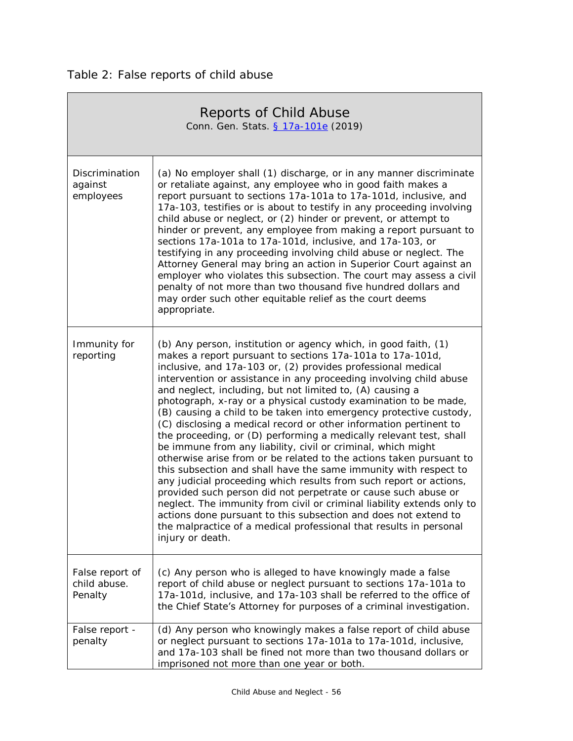<span id="page-55-0"></span>

| Reports of Child Abuse<br>Conn. Gen. Stats. § 17a-101e (2019) |                                                                                                                                                                                                                                                                                                                                                                                                                                                                                                                                                                                                                                                                                                                                                                                                                                                                                                                                                                                                                                                                                                                                                                                                               |  |
|---------------------------------------------------------------|---------------------------------------------------------------------------------------------------------------------------------------------------------------------------------------------------------------------------------------------------------------------------------------------------------------------------------------------------------------------------------------------------------------------------------------------------------------------------------------------------------------------------------------------------------------------------------------------------------------------------------------------------------------------------------------------------------------------------------------------------------------------------------------------------------------------------------------------------------------------------------------------------------------------------------------------------------------------------------------------------------------------------------------------------------------------------------------------------------------------------------------------------------------------------------------------------------------|--|
| Discrimination<br>against<br>employees                        | (a) No employer shall (1) discharge, or in any manner discriminate<br>or retaliate against, any employee who in good faith makes a<br>report pursuant to sections 17a-101a to 17a-101d, inclusive, and<br>17a-103, testifies or is about to testify in any proceeding involving<br>child abuse or neglect, or (2) hinder or prevent, or attempt to<br>hinder or prevent, any employee from making a report pursuant to<br>sections 17a-101a to 17a-101d, inclusive, and 17a-103, or<br>testifying in any proceeding involving child abuse or neglect. The<br>Attorney General may bring an action in Superior Court against an<br>employer who violates this subsection. The court may assess a civil<br>penalty of not more than two thousand five hundred dollars and<br>may order such other equitable relief as the court deems<br>appropriate.                                                                                                                                                                                                                                                                                                                                                           |  |
| Immunity for<br>reporting                                     | (b) Any person, institution or agency which, in good faith, (1)<br>makes a report pursuant to sections 17a-101a to 17a-101d,<br>inclusive, and 17a-103 or, (2) provides professional medical<br>intervention or assistance in any proceeding involving child abuse<br>and neglect, including, but not limited to, (A) causing a<br>photograph, x-ray or a physical custody examination to be made,<br>(B) causing a child to be taken into emergency protective custody,<br>(C) disclosing a medical record or other information pertinent to<br>the proceeding, or (D) performing a medically relevant test, shall<br>be immune from any liability, civil or criminal, which might<br>otherwise arise from or be related to the actions taken pursuant to<br>this subsection and shall have the same immunity with respect to<br>any judicial proceeding which results from such report or actions,<br>provided such person did not perpetrate or cause such abuse or<br>neglect. The immunity from civil or criminal liability extends only to<br>actions done pursuant to this subsection and does not extend to<br>the malpractice of a medical professional that results in personal<br>injury or death. |  |
| False report of<br>child abuse.<br>Penalty                    | (c) Any person who is alleged to have knowingly made a false<br>report of child abuse or neglect pursuant to sections 17a-101a to<br>17a-101d, inclusive, and 17a-103 shall be referred to the office of<br>the Chief State's Attorney for purposes of a criminal investigation.                                                                                                                                                                                                                                                                                                                                                                                                                                                                                                                                                                                                                                                                                                                                                                                                                                                                                                                              |  |
| False report -<br>penalty                                     | (d) Any person who knowingly makes a false report of child abuse<br>or neglect pursuant to sections 17a-101a to 17a-101d, inclusive,<br>and 17a-103 shall be fined not more than two thousand dollars or<br>imprisoned not more than one year or both.                                                                                                                                                                                                                                                                                                                                                                                                                                                                                                                                                                                                                                                                                                                                                                                                                                                                                                                                                        |  |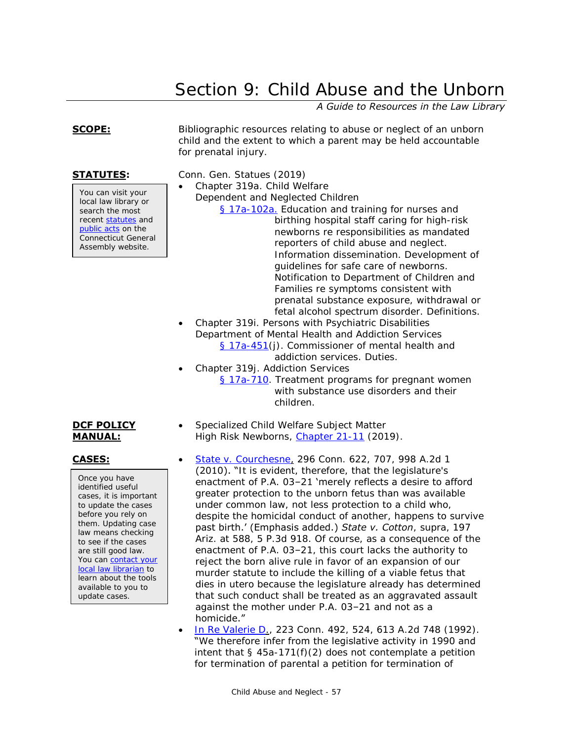# Section 9: Child Abuse and the Unborn

*A Guide to Resources in the Law Library*

You can visit your local law library or search the most recent [statutes](http://search.cga.state.ct.us/r/statute/dtsearch_form.asp) and [public acts](http://search.cga.state.ct.us/r/adv/dtsearch_form.asp) on the Connecticut General Assembly website.

<span id="page-56-0"></span>**SCOPE:** Bibliographic resources relating to abuse or neglect of an unborn child and the extent to which a parent may be held accountable for prenatal injury.

**STATUTES:** Conn. Gen. Statues (2019)

- Chapter 319a. Child Welfare
	- Dependent and Neglected Children
		- [§ 17a-102a.](https://www.cga.ct.gov/current/pub/chap_319a.htm#sec_17a-102a) Education and training for nurses and birthing hospital staff caring for high-risk newborns re responsibilities as mandated reporters of child abuse and neglect. Information dissemination. Development of guidelines for safe care of newborns. Notification to Department of Children and Families re symptoms consistent with prenatal substance exposure, withdrawal or fetal alcohol spectrum disorder. Definitions.
	- Chapter 319i. Persons with Psychiatric Disabilities Department of Mental Health and Addiction Services [§ 17a-451\(](https://www.cga.ct.gov/current/pub/chap_319i.htm#sec_17a-451)j). Commissioner of mental health and addiction services. Duties.
- Chapter 319j. Addiction Services [§ 17a-710.](http://www.cga.ct.gov/current/pub/chap_319j.htm#Sec_17a-710) Treatment programs for pregnant women with substance use disorders and their children.
- Specialized Child Welfare Subject Matter High Risk Newborns, [Chapter 21-11](https://portal.ct.gov/-/media/DCF/Policy/Chapters/21-11.pdf?la=en) (2019).
- **CASES:** [State v. Courchesne,](http://scholar.google.com/scholar_case?case=3828658724935910742) 296 Conn. 622, 707, 998 A.2d 1 (2010). "It is evident, therefore, that the legislature's enactment of P.A. 03–21 'merely reflects a desire to afford greater protection to the unborn fetus than was available under common law, not less protection to a child who, despite the homicidal conduct of another, happens to survive past birth.' (Emphasis added.) *State v. Cotton*, supra, 197 Ariz. at 588, 5 P.3d 918. Of course, as a consequence of the enactment of P.A. 03–21, this court lacks the authority to reject the born alive rule in favor of an expansion of our murder statute to include the killing of a viable fetus that dies in utero because the legislature already has determined that such conduct shall be treated as an aggravated assault against the mother under P.A. 03–21 and not as a
	- homicide." [In Re Valerie D.](http://scholar.google.com/scholar_case?case=150085234628356202), 223 Conn. 492, 524, 613 A.2d 748 (1992). "We therefore infer from the legislative activity in 1990 and intent that  $\S$  45a-171(f)(2) does not contemplate a petition for termination of parental a petition for termination of

# **DCF POLICY MANUAL:**

Once you have identified useful cases, it is important to update the cases before you rely on them. Updating case law means checking to see if the cases are still good law. You can contact your [local law librarian](http://www.jud.ct.gov/lawlib/staff.htm) to learn about the tools available to you to update cases.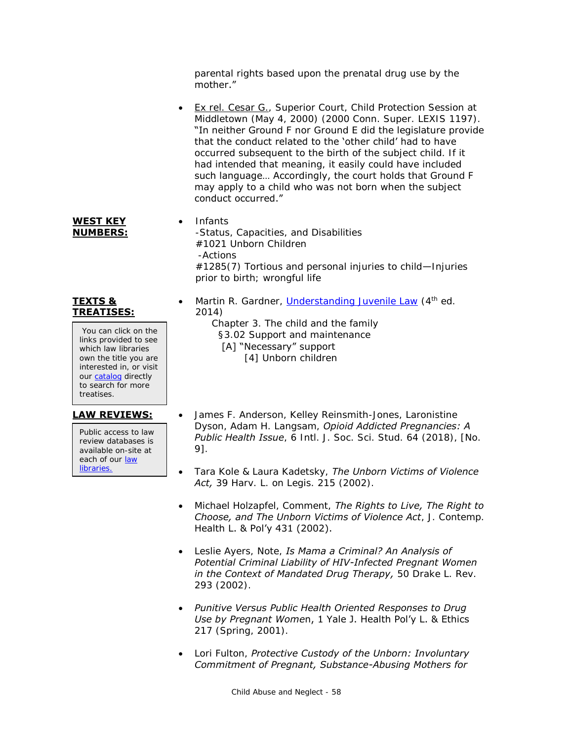parental rights based upon the prenatal drug use by the mother."

- Ex rel. Cesar G., Superior Court, Child Protection Session at Middletown (May 4, 2000) (2000 Conn. Super. LEXIS 1197). "In neither Ground F nor Ground E did the legislature provide that the conduct related to the 'other child' had to have occurred subsequent to the birth of the subject child. If it had intended that meaning, it easily could have included such language... Accordingly, the court holds that Ground F may apply to a child who was not born when the subject conduct occurred."
- Infants -Status, Capacities, and Disabilities #1021 Unborn Children -Actions #1285(7) Tortious and personal injuries to child—Injuries prior to birth; wrongful life
- Martin R. Gardner, *Understanding Juvenile Law* (4<sup>th</sup> ed. 2014)

 Chapter 3. The child and the family §3.02 Support and maintenance [A] "Necessary" support [4] Unborn children

- **LAW REVIEWS:** . James F. Anderson, Kelley Reinsmith-Jones, Laronistine Dyson, Adam H. Langsam, *Opioid Addicted Pregnancies: A Public Health Issue*, 6 Intl. J. Soc. Sci. Stud. 64 (2018), [No. 9].
	- Tara Kole & Laura Kadetsky, *The Unborn Victims of Violence Act,* 39 Harv. L. on Legis. 215 (2002).
	- Michael Holzapfel, Comment, *The Rights to Live, The Right to Choose, and The Unborn Victims of Violence Act*, J. Contemp. Health L. & Pol'y 431 (2002).
	- Leslie Ayers, Note, *Is Mama a Criminal? An Analysis of Potential Criminal Liability of HIV-Infected Pregnant Women in the Context of Mandated Drug Therapy,* 50 Drake L. Rev. 293 (2002).
	- *Punitive Versus Public Health Oriented Responses to Drug Use by Pregnant Wome*n, 1 Yale J. Health Pol'y L. & Ethics 217 (Spring, 2001).
	- Lori Fulton, *Protective Custody of the Unborn: Involuntary Commitment of Pregnant, Substance-Abusing Mothers for*

# You can click on the

**TEXTS & TREATISES:**

**WEST KEY NUMBERS:**

links provided to see which law libraries own the title you are interested in, or visit our [catalog](http://csjd-agent.auto-graphics.com/MVC/) directly to search for more treatises.

Public access to law review databases is available on-site at each of our law [libraries.](https://www.jud.ct.gov/lawlib/staff.htm)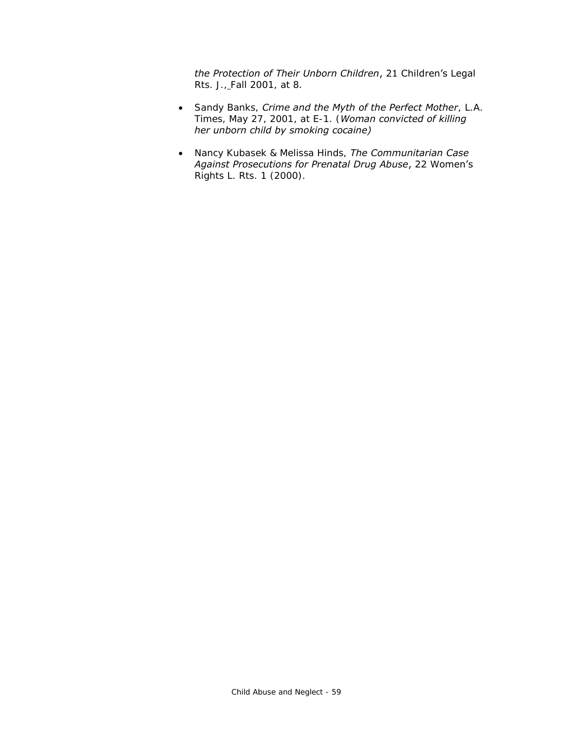*the Protection of Their Unborn Children*, 21 Children's Legal Rts. J., Fall 2001, at 8.

- Sandy Banks, *Crime and the Myth of the Perfect Mother*, L.A. Times, May 27, 2001, at E-1. (*Woman convicted of killing her unborn child by smoking cocaine)*
- Nancy Kubasek & Melissa Hinds, *The Communitarian Case Against Prosecutions for Prenatal Drug Abuse*, 22 Women's Rights L. Rts. 1 (2000).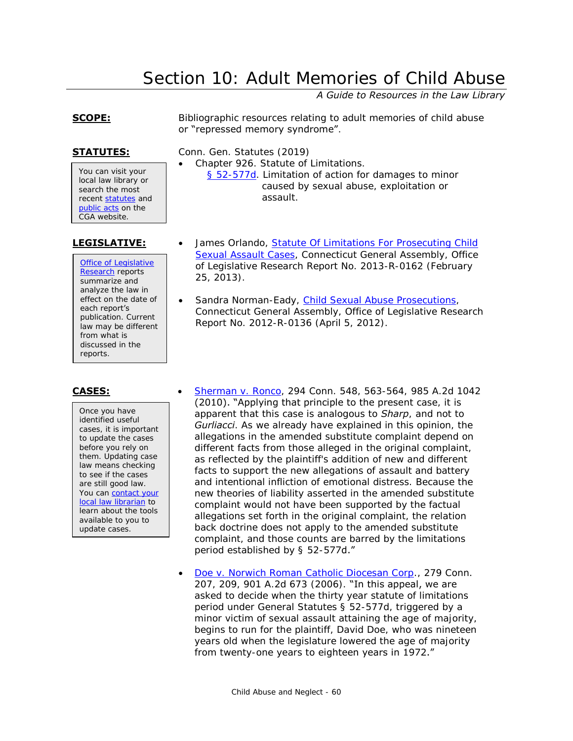# Section 10: Adult Memories of Child Abuse

*A Guide to Resources in the Law Library*

# <span id="page-59-0"></span>**SCOPE:** Bibliographic resources relating to adult memories of child abuse or "repressed memory syndrome".

**STATUTES:** Conn. Gen. Statutes (2019)

Chapter 926. Statute of Limitations.

- [§ 52-577d.](http://www.cga.ct.gov/current/pub/chap_926.htm#sec_52-577d) Limitation of action for damages to minor caused by sexual abuse, exploitation or assault.
- You can visit your local law library or search the most recent [statutes](http://search.cga.state.ct.us/r/statute/dtsearch_form.asp) and [public acts](http://search.cga.state.ct.us/r/adv/dtsearch_form.asp) on the CGA website.

[Office of Legislative](http://www.cga.ct.gov/olr/default.asp)  [Research](http://www.cga.ct.gov/olr/default.asp) reports summarize and analyze the law in effect on the date of each report's publication. Current law may be different from what is discussed in the reports.

Once you have identified useful cases, it is important to update the cases before you rely on them. Updating case law means checking to see if the cases are still good law. You can contact your [local law librarian](http://www.jud.ct.gov/lawlib/staff.htm) to learn about the tools available to you to update cases.

- **LEGISLATIVE:** James Orlando, Statute Of Limitations For Prosecuting Child [Sexual Assault Cases,](http://www.cga.ct.gov/2013/rpt/pdf/2013-R-0162.pdf) Connecticut General Assembly, Office of Legislative Research Report No. 2013-R-0162 (February 25, 2013).
	- Sandra Norman-Eady, [Child Sexual Abuse Prosecutions,](http://www.cga.ct.gov/2012/rpt/2012-R-0136.htm) Connecticut General Assembly, Office of Legislative Research Report No. 2012-R-0136 (April 5, 2012).
- **CASES:** [Sherman v. Ronco,](http://scholar.google.com/scholar_case?case=7412029984450893547) 294 Conn. 548, 563-564, 985 A.2d 1042 (2010). "Applying that principle to the present case, it is apparent that this case is analogous to *Sharp*, and not to *Gurliacci*. As we already have explained in this opinion, the allegations in the amended substitute complaint depend on different facts from those alleged in the original complaint, as reflected by the plaintiff's addition of new and different facts to support the new allegations of assault and battery and intentional infliction of emotional distress. Because the new theories of liability asserted in the amended substitute complaint would not have been supported by the factual allegations set forth in the original complaint, the relation back doctrine does not apply to the amended substitute complaint, and those counts are barred by the limitations period established by § 52-577d."
	- [Doe v. Norwich Roman Catholic Diocesan Corp.](http://scholar.google.com/scholar_case?case=7652565681024020816), 279 Conn. 207, 209, 901 A.2d 673 (2006). "In this appeal, we are asked to decide when the thirty year statute of limitations period under General Statutes § 52-577d, triggered by a minor victim of sexual assault attaining the age of majority, begins to run for the plaintiff, David Doe, who was nineteen years old when the legislature lowered the age of majority from twenty-one years to eighteen years in 1972."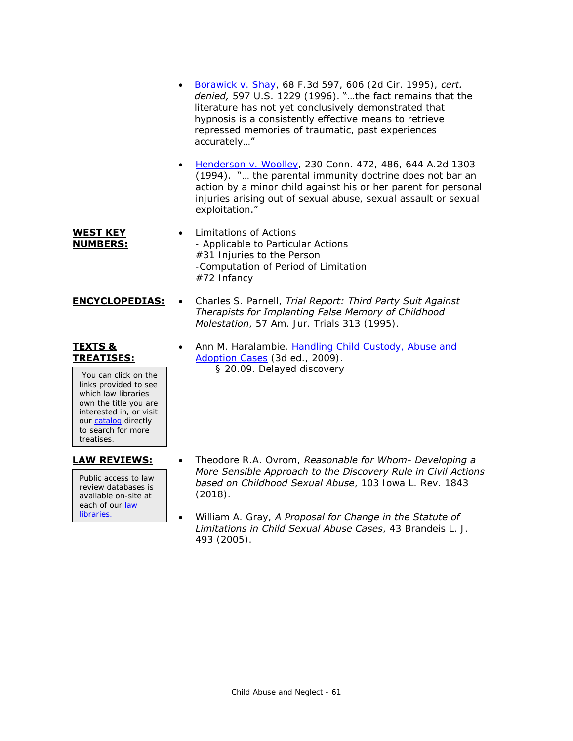- [Borawick v. Shay,](http://scholar.google.com/scholar_case?case=9507597635880998520) 68 F.3d 597, 606 (2d Cir. 1995), *cert. denied,* 597 U.S. 1229 (1996). "…the fact remains that the literature has not yet conclusively demonstrated that hypnosis is a consistently effective means to retrieve repressed memories of traumatic, past experiences accurately…"
- [Henderson v. Woolley,](http://scholar.google.com/scholar_case?case=627731272501277522) 230 Conn. 472, 486, 644 A.2d 1303 (1994). "… the parental immunity doctrine does not bar an action by a minor child against his or her parent for personal injuries arising out of sexual abuse, sexual assault or sexual exploitation."
- **WEST KEY NUMBERS:** Limitations of Actions - Applicable to Particular Actions #31 Injuries to the Person -Computation of Period of Limitation #72 Infancy
- **ENCYCLOPEDIAS:** . Charles S. Parnell, *Trial Report: Third Party Suit Against Therapists for Implanting False Memory of Childhood Molestation*, 57 Am. Jur. Trials 313 (1995).

# **TEXTS & TREATISES:**

You can click on the links provided to see which law libraries own the title you are interested in, or visit our [catalog](http://csjd-agent.auto-graphics.com/MVC/) directly to search for more treatises.

Public access to law review databases is available on-site at each of our law [libraries.](https://www.jud.ct.gov/lawlib/staff.htm)

• Ann M. Haralambie, Handling Child Custody, Abuse and [Adoption Cases](http://csjd-agent.auto-graphics.com/mvc/PersistentLink?key=IIo3p906pSMEv9xah4xxZ%2bMxPDY5x0%2fLwkpsPNwh5ns%3d) (3d ed., 2009). § 20.09. Delayed discovery

- **LAW REVIEWS:** Theodore R.A. Ovrom, *Reasonable for Whom- Developing a More Sensible Approach to the Discovery Rule in Civil Actions based on Childhood Sexual Abuse*, 103 Iowa L. Rev. 1843 (2018).
	- William A. Gray, *A Proposal for Change in the Statute of Limitations in Child Sexual Abuse Cases*, 43 Brandeis L. J. 493 (2005).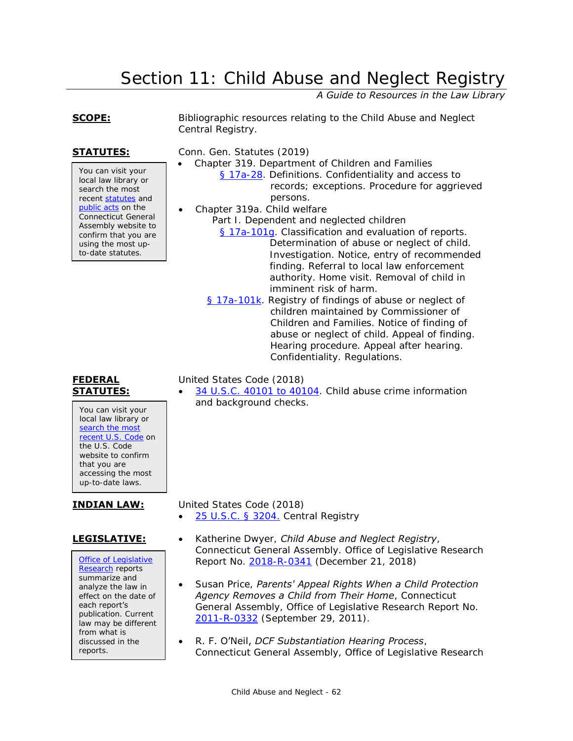# Section 11: Child Abuse and Neglect Registry

*A Guide to Resources in the Law Library*

You can visit your local law library or search the most recent [statutes](http://search.cga.state.ct.us/r/statute/dtsearch_form.asp) and [public acts](http://search.cga.state.ct.us/r/adv/dtsearch_form.asp) on the Connecticut General Assembly website to confirm that you are using the most upto-date statutes.

<span id="page-61-0"></span>**SCOPE:** Bibliographic resources relating to the Child Abuse and Neglect Central Registry.

**STATUTES:** Conn. Gen. Statutes (2019)

- Chapter 319. Department of Children and Families
	- [§ 17a-28.](https://www.cga.ct.gov/current/pub/chap_319.htm#sec_17a-28) Definitions. Confidentiality and access to records; exceptions. Procedure for aggrieved persons.
	- Chapter 319a. Child welfare Part I. Dependent and neglected children [§ 17a-101g.](https://www.cga.ct.gov/current/pub/chap_319a.htm#sec_17a-101g) Classification and evaluation of reports.

Determination of abuse or neglect of child. Investigation. Notice, entry of recommended finding. Referral to local law enforcement authority. Home visit. Removal of child in imminent risk of harm.

[§ 17a-101k.](https://www.cga.ct.gov/current/pub/chap_319a.htm#sec_17a-101k) Registry of findings of abuse or neglect of children maintained by Commissioner of Children and Families. Notice of finding of abuse or neglect of child. Appeal of finding. Hearing procedure. Appeal after hearing. Confidentiality. Regulations.

United States Code (2018)

 [34 U.S.C. 40101 to 40104.](https://www.law.cornell.edu/uscode/text/34/subtitle-IV/chapter-401) Child abuse crime information and background checks.

**INDIAN LAW:** United States Code (2018)

[25 U.S.C. § 3204.](https://www.law.cornell.edu/uscode/text/25/3204) Central Registry

[Office of Legislative](http://www.cga.ct.gov/olr/default.asp)  [Research](http://www.cga.ct.gov/olr/default.asp) reports summarize and analyze the law in effect on the date of each report's publication. Current law may be different from what is discussed in the reports.

- **LEGISLATIVE:** Katherine Dwyer, *Child Abuse and Neglect Registry*, Connecticut General Assembly. Office of Legislative Research Report No. [2018-R-0341](https://cga.ct.gov/2018/rpt/pdf/2018-R-0341.pdf) (December 21, 2018)
	- Susan Price, *Parents' Appeal Rights When a Child Protection Agency Removes a Child from Their Home*, Connecticut General Assembly, Office of Legislative Research Report No. [2011-R-0332](http://www.cga.ct.gov/2011/rpt/2011-R-0332.htm) (September 29, 2011).
	- R. F. O'Neil, *DCF Substantiation Hearing Process*, Connecticut General Assembly, Office of Legislative Research

# **FEDERAL STATUTES:**

You can visit your local law library or search the most [recent U.S. Code](http://uscode.house.gov/) on the U.S. Code website to confirm that you are accessing the most up-to-date laws.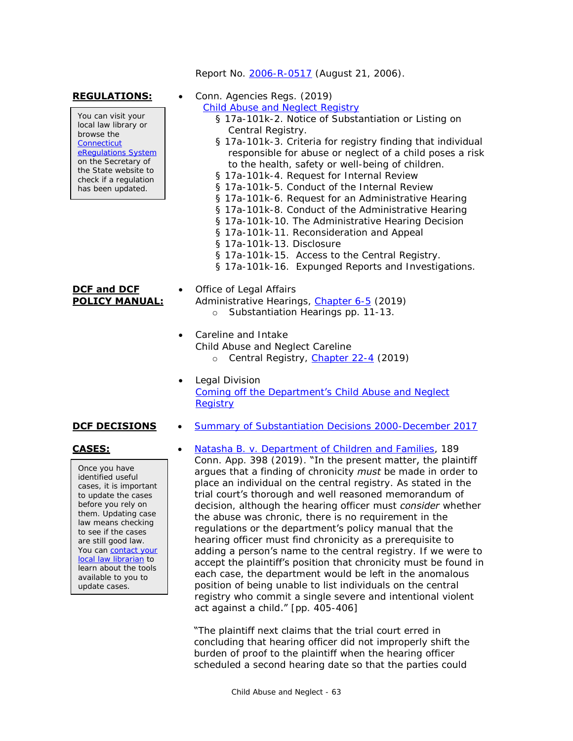### Report No. [2006-R-0517](http://www.cga.ct.gov/2006/rpt/2006-R-0517.htm) (August 21, 2006).

You can visit your local law library or browse the **Connecticut** [eRegulations System](https://eregulations.ct.gov/eRegsPortal/) on the Secretary of the State website to check if a regulation has been updated.

# **DCF and DCF POLICY MANUAL:**

REGULATIONS:  $\bullet$  Conn. Agencies Regs. (2019)

[Child Abuse and Neglect Registry](https://eregulations.ct.gov/eRegsPortal/Browse/RCSA/%7B671040CA-2C0F-48CE-940C-6C6CDE56C2BF%7D)

- § 17a-101k-2. Notice of Substantiation or Listing on Central Registry.
- § 17a-101k-3. Criteria for registry finding that individual responsible for abuse or neglect of a child poses a risk to the health, safety or well-being of children.
- § 17a-101k-4. Request for Internal Review
- § 17a-101k-5. Conduct of the Internal Review
- § 17a-101k-6. Request for an Administrative Hearing
- § 17a-101k-8. Conduct of the Administrative Hearing
- § 17a-101k-10. The Administrative Hearing Decision
- § 17a-101k-11. Reconsideration and Appeal
- § 17a-101k-13. Disclosure
- § 17a-101k-15. Access to the Central Registry.
- § 17a-101k-16. Expunged Reports and Investigations.
- Office of Legal Affairs Administrative Hearings, [Chapter 6-5](https://portal.ct.gov/-/media/DCF/Policy/Chapters/6-5.pdf?la=en) (2019) o Substantiation Hearings pp. 11-13.
	- Careline and Intake Child Abuse and Neglect Careline o Central Registry, [Chapter 22-4](https://portal.ct.gov/-/media/DCF/Policy/Chapters/22-4.pdf?la=en) (2019)
	- Legal Division [Coming off the Department](https://portal.ct.gov/-/media/dcf/Legal_Division/pdf/ComingofftheDepartmentsRegistry42417pdf.pdf?la=en)'s Child Abuse and Neglect **[Registry](https://portal.ct.gov/-/media/dcf/Legal_Division/pdf/ComingofftheDepartmentsRegistry42417pdf.pdf?la=en)**

### **DCF DECISIONS** • [Summary of Substantiation Decisions 2000-December 2017](https://portal.ct.gov/-/media/DCF/Legal_Division/pdf/Summary-of-Substantiation-Decisions-2000-to-December-2017.pdf?la=en)

Once you have identified useful cases, it is important to update the cases before you rely on them. Updating case law means checking to see if the cases are still good law. You can contact your [local law librarian](http://www.jud.ct.gov/lawlib/staff.htm) to learn about the tools available to you to update cases.

**CASES:** • [Natasha B. v. Department of Children and Families,](https://scholar.google.com/scholar_case?case=10515736345106892421) 189 Conn. App. 398 (2019). "In the present matter, the plaintiff argues that a finding of chronicity *must* be made in order to place an individual on the central registry. As stated in the trial court's thorough and well reasoned memorandum of decision, although the hearing officer must *consider* whether the abuse was chronic, there is no requirement in the regulations or the department's policy manual that the hearing officer must find chronicity as a prerequisite to adding a person's name to the central registry. If we were to accept the plaintiff's position that chronicity must be found in each case, the department would be left in the anomalous position of being unable to list individuals on the central registry who commit a single severe and intentional violent act against a child." [pp. 405-406]

# "The plaintiff next claims that the trial court erred in

concluding that hearing officer did not improperly shift the burden of proof to the plaintiff when the hearing officer scheduled a second hearing date so that the parties could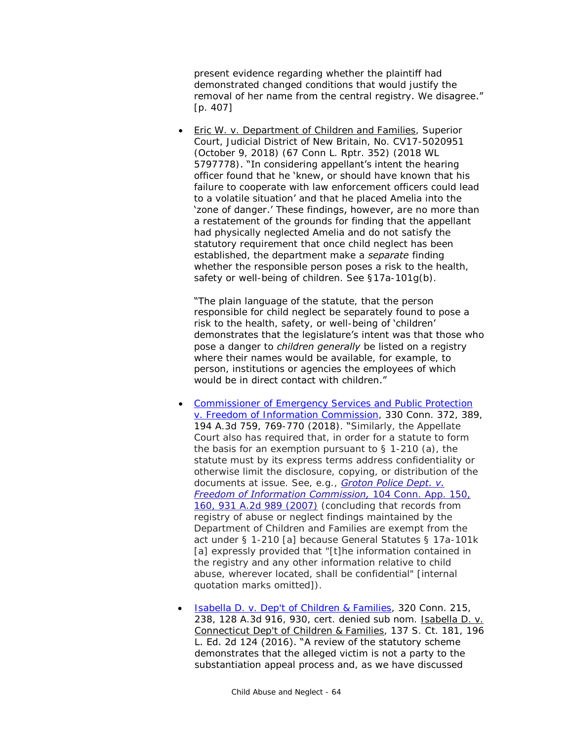present evidence regarding whether the plaintiff had demonstrated changed conditions that would justify the removal of her name from the central registry. We disagree." [p. 407]

 Eric W. v. Department of Children and Families, Superior Court, Judicial District of New Britain, No. CV17-5020951 (October 9, 2018) (67 Conn L. Rptr. 352) (2018 WL 5797778). "In considering appellant's intent the hearing officer found that he 'knew, or should have known that his failure to cooperate with law enforcement officers could lead to a volatile situation' and that he placed Amelia into the 'zone of danger.' These findings, however, are no more than a restatement of the grounds for finding that the appellant had physically neglected Amelia and do not satisfy the statutory requirement that once child neglect has been established, the department make a *separate* finding whether the responsible person poses a risk to the health, safety or well-being of children. See §17a-101g(b).

**"The plain** language of the statute, that the person responsible for child neglect be separately found to pose a risk to the health, safety, or well-being of 'children' demonstrates that the legislature's intent was that those who pose a danger to *children generally* be listed on a registry where their names would be available, for example, to person, institutions or agencies the employees of which would be in direct contact with children."

- [Commissioner of Emergency Services and Public Protection](https://scholar.google.com/scholar_case?case=2738623404178689952)  [v. Freedom of Information Commission,](https://scholar.google.com/scholar_case?case=2738623404178689952) 330 Conn. 372, 389, 194 A.3d 759, 769-770 (2018). "Similarly, the Appellate Court also has required that, in order for a statute to form the basis for an exemption pursuant to  $\S$  1-210 (a), the statute must by its express terms address confidentiality or otherwise limit the disclosure, copying, or distribution of the documents at issue. See, e.g., *[Groton Police Dept. v.](https://scholar.google.com/scholar_case?case=2182149019965335627&q=330+Conn.+372&hl=en&as_sdt=8006)  [Freedom of Information Commission,](https://scholar.google.com/scholar_case?case=2182149019965335627&q=330+Conn.+372&hl=en&as_sdt=8006)* 104 Conn. App. 150, [160, 931 A.2d 989 \(2007\)](https://scholar.google.com/scholar_case?case=2182149019965335627&q=330+Conn.+372&hl=en&as_sdt=8006) (concluding that records from registry of abuse or neglect findings maintained by the Department of Children and Families are exempt from the act under § 1-210 [a] because General Statutes § 17a-101k [a] expressly provided that "[t]he information contained in the registry and any other information relative to child abuse, wherever located, shall be confidential" [internal quotation marks omitted]).
- [Isabella D. v. Dep't of Children & Families,](http://scholar.google.com/scholar_case?case=4462876477824520952) 320 Conn. 215, 238, 128 A.3d 916, 930, cert. denied sub nom. Isabella D. v. Connecticut Dep't of Children & Families, 137 S. Ct. 181, 196 L. Ed. 2d 124 (2016). "A review of the statutory scheme demonstrates that the alleged victim is not a party to the substantiation appeal process and, as we have discussed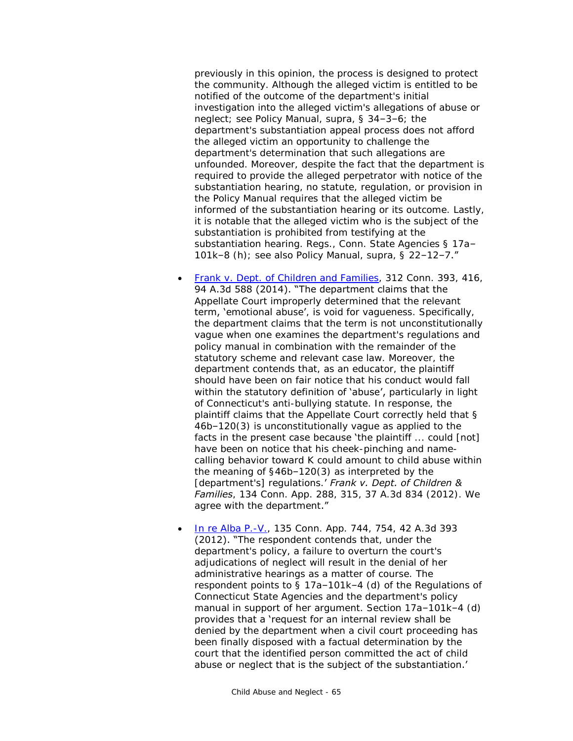previously in this opinion, the process is designed to protect the community. Although the alleged victim is entitled to be notified of the outcome of the department's initial investigation into the alleged victim's allegations of abuse or neglect; see Policy Manual, supra, § 34–3–6; the department's substantiation appeal process does not afford the alleged victim an opportunity to challenge the department's determination that such allegations are unfounded. Moreover, despite the fact that the department is required to provide the alleged perpetrator with notice of the substantiation hearing, no statute, regulation, or provision in the Policy Manual requires that the alleged victim be informed of the substantiation hearing or its outcome. Lastly, it is notable that the alleged victim who is the subject of the substantiation is prohibited from testifying at the substantiation hearing. Regs., Conn. State Agencies § 17a– 101k–8 (h); see also Policy Manual, supra, §  $22-12-7$ ."

- **[Frank v. Dept. of Children and Families,](http://scholar.google.com/scholar_case?case=241592626276820560) 312 Conn. 393, 416,** 94 A.3d 588 (2014). "The department claims that the Appellate Court improperly determined that the relevant term, 'emotional abuse', is void for vagueness. Specifically, the department claims that the term is not unconstitutionally vague when one examines the department's regulations and policy manual in combination with the remainder of the statutory scheme and relevant case law. Moreover, the department contends that, as an educator, the plaintiff should have been on fair notice that his conduct would fall within the statutory definition of 'abuse', particularly in light of Connecticut's anti-bullying statute. In response, the plaintiff claims that the Appellate Court correctly held that § 46b–120(3) is unconstitutionally vague as applied to the facts in the present case because 'the plaintiff ... could [not] have been on notice that his cheek-pinching and namecalling behavior toward K could amount to child abuse within the meaning of §46b–120(3) as interpreted by the [department's] regulations.' *Frank v. Dept. of Children & Families*, 134 Conn. App. 288, 315, 37 A.3d 834 (2012). We agree with the department."
- [In re Alba P.-V.,](http://scholar.google.com/scholar_case?case=2567629002326222523) 135 Conn. App. 744, 754, 42 A.3d 393 (2012). "The respondent contends that, under the department's policy, a failure to overturn the court's adjudications of neglect will result in the denial of her administrative hearings as a matter of course. The respondent points to § 17a–101k–4 (d) of the Regulations of Connecticut State Agencies and the department's policy manual in support of her argument. Section 17a–101k–4 (d) provides that a 'request for an internal review shall be denied by the department when a civil court proceeding has been finally disposed with a factual determination by the court that the identified person committed the act of child abuse or neglect that is the subject of the substantiation.'